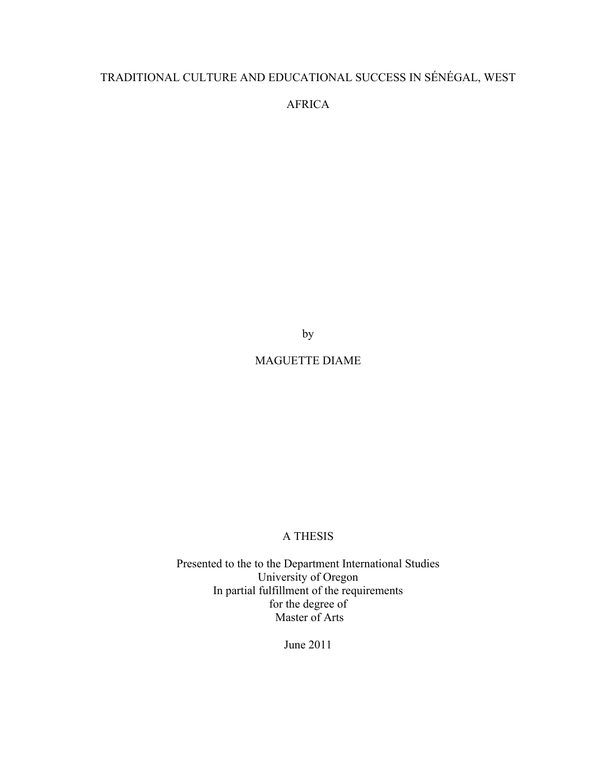# TRADITIONAL CULTURE AND EDUCATIONAL SUCCESS IN SÉNÉGAL, WEST

AFRICA

by

# MAGUETTE DIAME

# A THESIS

Presented to the to the Department International Studies University of Oregon In partial fulfillment of the requirements for the degree of Master of Arts

June 2011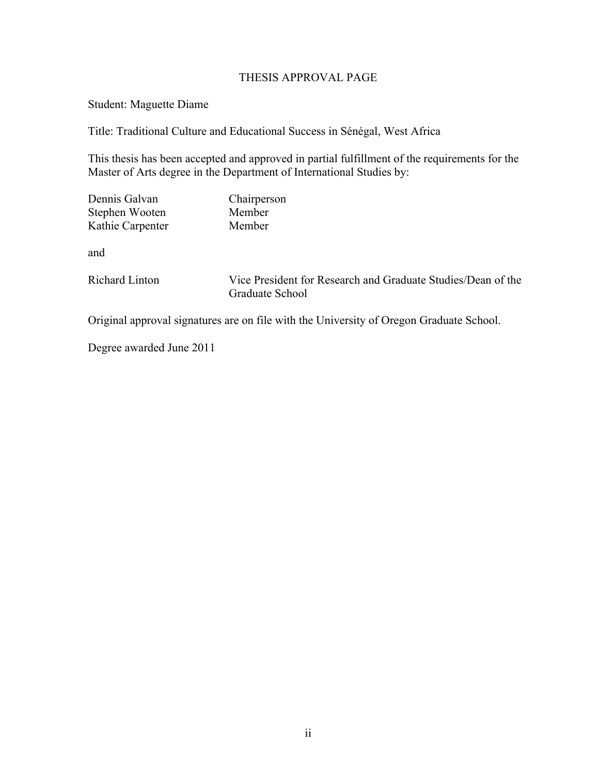# THESIS APPROVAL PAGE

Student: Maguette Diame

Title: Traditional Culture and Educational Success in Sénégal, West Africa

This thesis has been accepted and approved in partial fulfillment of the requirements for the Master of Arts degree in the Department of International Studies by:

| Dennis Galvan    | Chairperson |
|------------------|-------------|
| Stephen Wooten   | Member      |
| Kathie Carpenter | Member      |

and

Richard Linton Vice President for Research and Graduate Studies/Dean of the Graduate School

Original approval signatures are on file with the University of Oregon Graduate School.

Degree awarded June 2011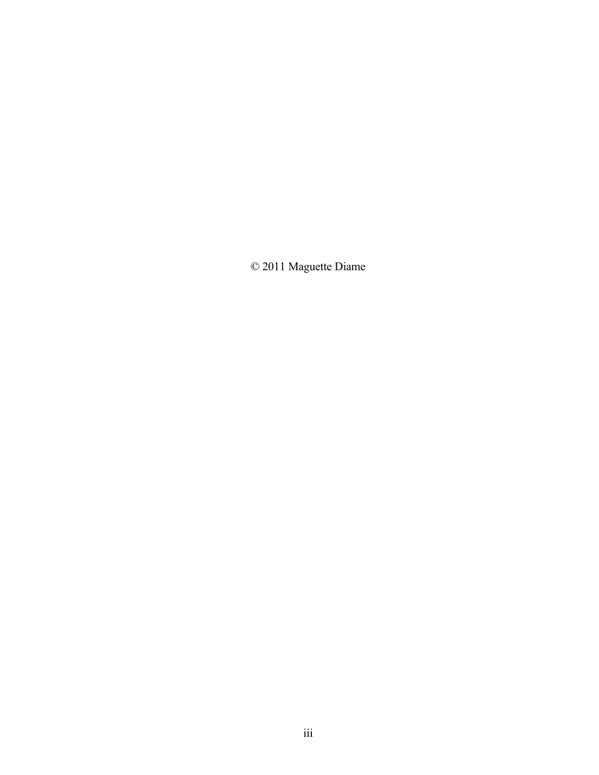© 2011 Maguette Diame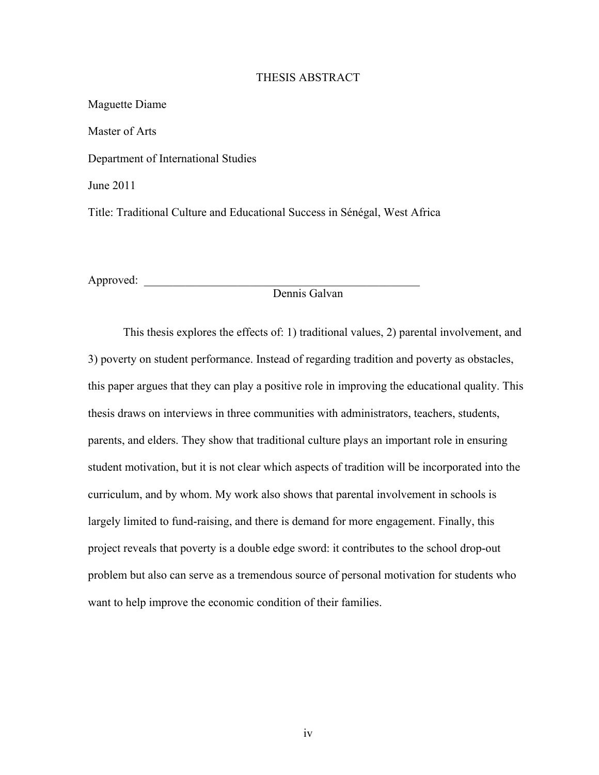### THESIS ABSTRACT

Maguette Diame Master of Arts Department of International Studies June 2011 Title: Traditional Culture and Educational Success in Sénégal, West Africa

Approved: \_\_\_\_\_\_\_\_\_\_\_\_\_\_\_\_\_\_\_\_\_\_\_\_\_\_\_\_\_\_\_\_\_\_\_\_\_\_\_\_\_\_\_\_\_\_\_

# Dennis Galvan

This thesis explores the effects of: 1) traditional values, 2) parental involvement, and 3) poverty on student performance. Instead of regarding tradition and poverty as obstacles, this paper argues that they can play a positive role in improving the educational quality. This thesis draws on interviews in three communities with administrators, teachers, students, parents, and elders. They show that traditional culture plays an important role in ensuring student motivation, but it is not clear which aspects of tradition will be incorporated into the curriculum, and by whom. My work also shows that parental involvement in schools is largely limited to fund-raising, and there is demand for more engagement. Finally, this project reveals that poverty is a double edge sword: it contributes to the school drop-out problem but also can serve as a tremendous source of personal motivation for students who want to help improve the economic condition of their families.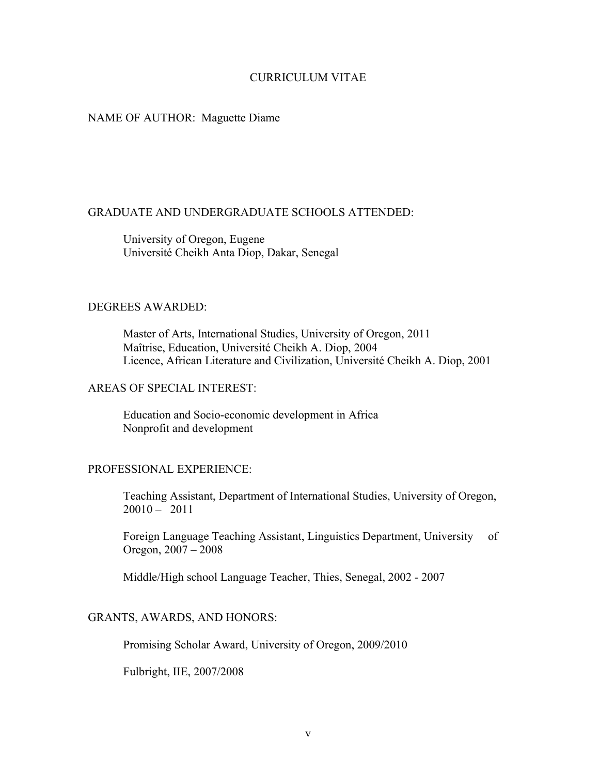# CURRICULUM VITAE

## NAME OF AUTHOR: Maguette Diame

## GRADUATE AND UNDERGRADUATE SCHOOLS ATTENDED:

University of Oregon, Eugene Université Cheikh Anta Diop, Dakar, Senegal

# DEGREES AWARDED:

Master of Arts, International Studies, University of Oregon, 2011 Maîtrise, Education, Université Cheikh A. Diop, 2004 Licence, African Literature and Civilization, Université Cheikh A. Diop, 2001

### AREAS OF SPECIAL INTEREST:

Education and Socio-economic development in Africa Nonprofit and development

# PROFESSIONAL EXPERIENCE:

Teaching Assistant, Department of International Studies, University of Oregon, 20010 – 2011

Foreign Language Teaching Assistant, Linguistics Department, University of Oregon, 2007 – 2008

Middle/High school Language Teacher, Thies, Senegal, 2002 - 2007

### GRANTS, AWARDS, AND HONORS:

Promising Scholar Award, University of Oregon, 2009/2010

Fulbright, IIE, 2007/2008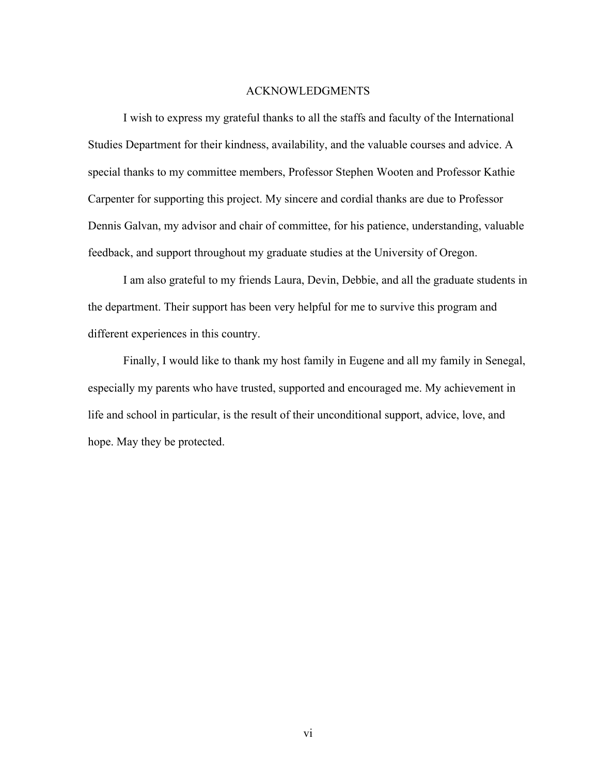### ACKNOWLEDGMENTS

I wish to express my grateful thanks to all the staffs and faculty of the International Studies Department for their kindness, availability, and the valuable courses and advice. A special thanks to my committee members, Professor Stephen Wooten and Professor Kathie Carpenter for supporting this project. My sincere and cordial thanks are due to Professor Dennis Galvan, my advisor and chair of committee, for his patience, understanding, valuable feedback, and support throughout my graduate studies at the University of Oregon.

I am also grateful to my friends Laura, Devin, Debbie, and all the graduate students in the department. Their support has been very helpful for me to survive this program and different experiences in this country.

Finally, I would like to thank my host family in Eugene and all my family in Senegal, especially my parents who have trusted, supported and encouraged me. My achievement in life and school in particular, is the result of their unconditional support, advice, love, and hope. May they be protected.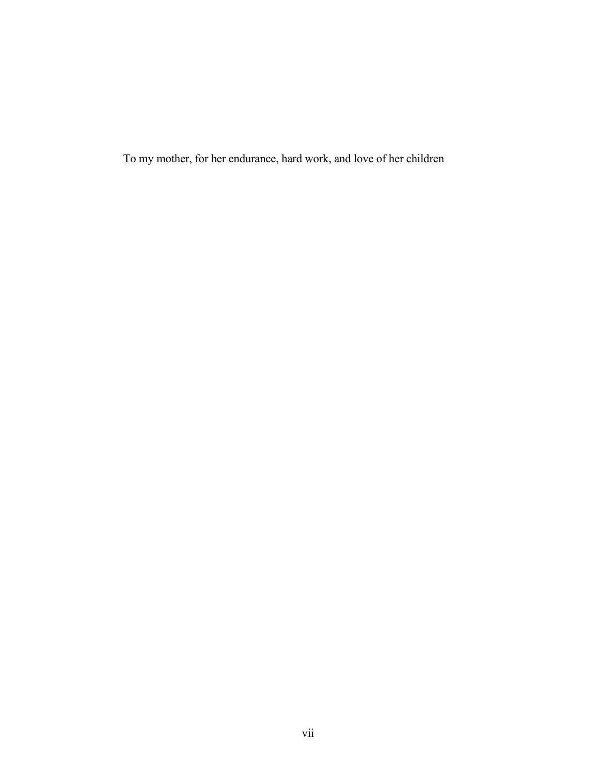To my mother, for her endurance, hard work, and love of her children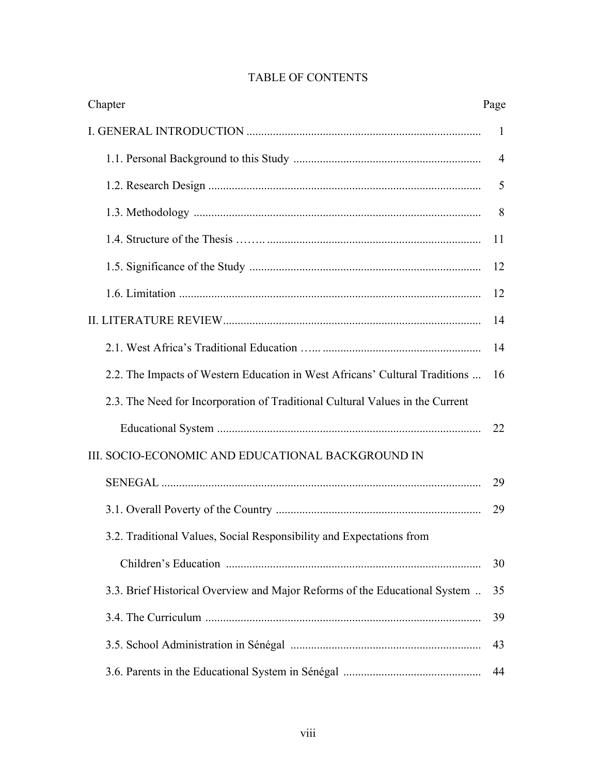| Chapter                                                                       | Page           |
|-------------------------------------------------------------------------------|----------------|
|                                                                               | 1              |
|                                                                               | $\overline{4}$ |
|                                                                               | 5              |
|                                                                               | 8              |
|                                                                               | 11             |
|                                                                               | 12             |
|                                                                               | 12             |
|                                                                               | 14             |
|                                                                               | 14             |
| 2.2. The Impacts of Western Education in West Africans' Cultural Traditions   | 16             |
| 2.3. The Need for Incorporation of Traditional Cultural Values in the Current |                |
|                                                                               | 22             |
| III. SOCIO-ECONOMIC AND EDUCATIONAL BACKGROUND IN                             |                |
|                                                                               | 29             |
|                                                                               | 29             |
| 3.2. Traditional Values, Social Responsibility and Expectations from          |                |
|                                                                               | 30             |
| 3.3. Brief Historical Overview and Major Reforms of the Educational System    | 35             |
|                                                                               | 39             |
|                                                                               | 43             |
|                                                                               | 44             |

# TABLE OF CONTENTS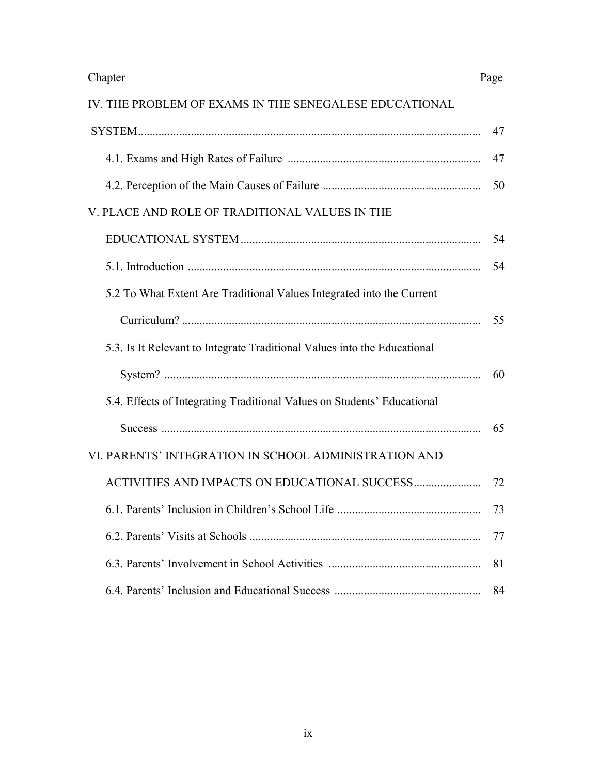# IV. THE PROBLEM OF EXAMS IN THE SENEGALESE EDUCATIONAL

|                                                                          | 47 |
|--------------------------------------------------------------------------|----|
|                                                                          | 47 |
|                                                                          | 50 |
| V. PLACE AND ROLE OF TRADITIONAL VALUES IN THE                           |    |
|                                                                          | 54 |
|                                                                          | 54 |
| 5.2 To What Extent Are Traditional Values Integrated into the Current    |    |
|                                                                          | 55 |
| 5.3. Is It Relevant to Integrate Traditional Values into the Educational |    |
|                                                                          | 60 |
| 5.4. Effects of Integrating Traditional Values on Students' Educational  |    |
|                                                                          | 65 |
| VI. PARENTS' INTEGRATION IN SCHOOL ADMINISTRATION AND                    |    |
|                                                                          | 72 |
|                                                                          | 73 |
|                                                                          | 77 |
|                                                                          | 81 |
|                                                                          | 84 |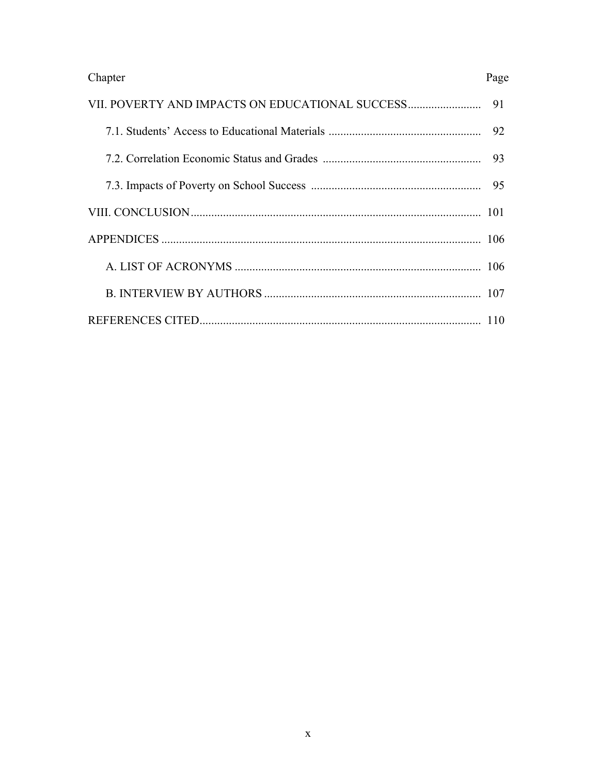| Chapter | Page |
|---------|------|
|         | 91   |
|         | 92   |
|         | 93   |
|         | 95   |
|         |      |
|         |      |
|         |      |
|         |      |
|         |      |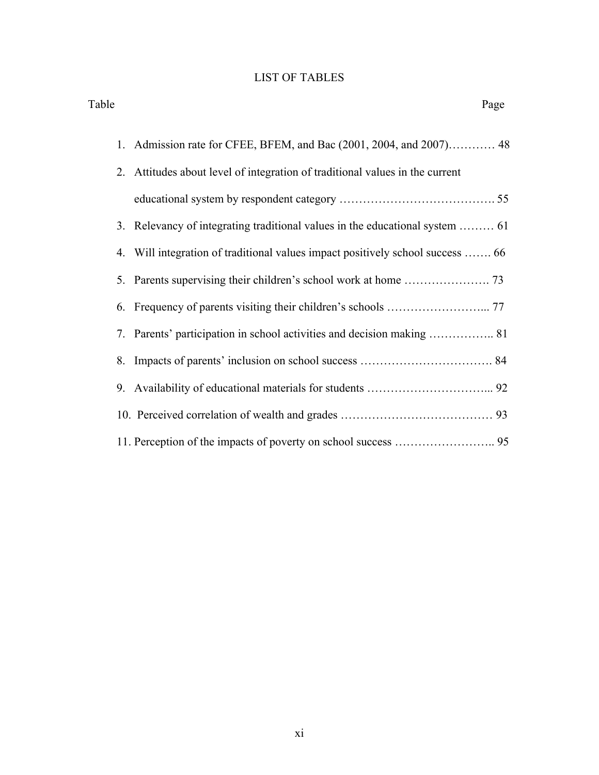# LIST OF TABLES

| Table | Page                                                                           |  |
|-------|--------------------------------------------------------------------------------|--|
| 1.    | Admission rate for CFEE, BFEM, and Bac (2001, 2004, and 2007) 48               |  |
|       | 2. Attitudes about level of integration of traditional values in the current   |  |
|       |                                                                                |  |
|       | 3. Relevancy of integrating traditional values in the educational system  61   |  |
|       | 4. Will integration of traditional values impact positively school success  66 |  |
|       |                                                                                |  |
|       |                                                                                |  |
|       |                                                                                |  |
|       |                                                                                |  |
|       |                                                                                |  |
|       |                                                                                |  |
|       |                                                                                |  |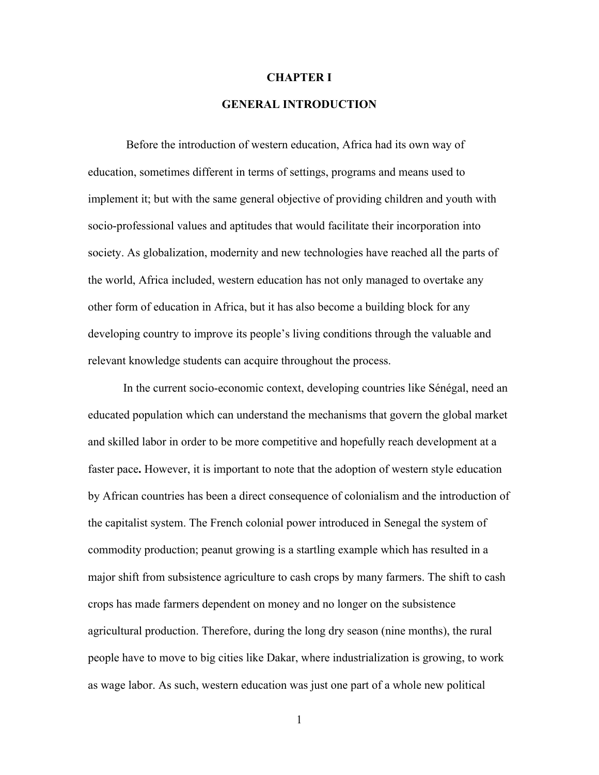#### **CHAPTER I**

# **GENERAL INTRODUCTION**

Before the introduction of western education, Africa had its own way of education, sometimes different in terms of settings, programs and means used to implement it; but with the same general objective of providing children and youth with socio-professional values and aptitudes that would facilitate their incorporation into society. As globalization, modernity and new technologies have reached all the parts of the world, Africa included, western education has not only managed to overtake any other form of education in Africa, but it has also become a building block for any developing country to improve its people's living conditions through the valuable and relevant knowledge students can acquire throughout the process.

In the current socio-economic context, developing countries like Sénégal, need an educated population which can understand the mechanisms that govern the global market and skilled labor in order to be more competitive and hopefully reach development at a faster pace**.** However, it is important to note that the adoption of western style education by African countries has been a direct consequence of colonialism and the introduction of the capitalist system. The French colonial power introduced in Senegal the system of commodity production; peanut growing is a startling example which has resulted in a major shift from subsistence agriculture to cash crops by many farmers. The shift to cash crops has made farmers dependent on money and no longer on the subsistence agricultural production. Therefore, during the long dry season (nine months), the rural people have to move to big cities like Dakar, where industrialization is growing, to work as wage labor. As such, western education was just one part of a whole new political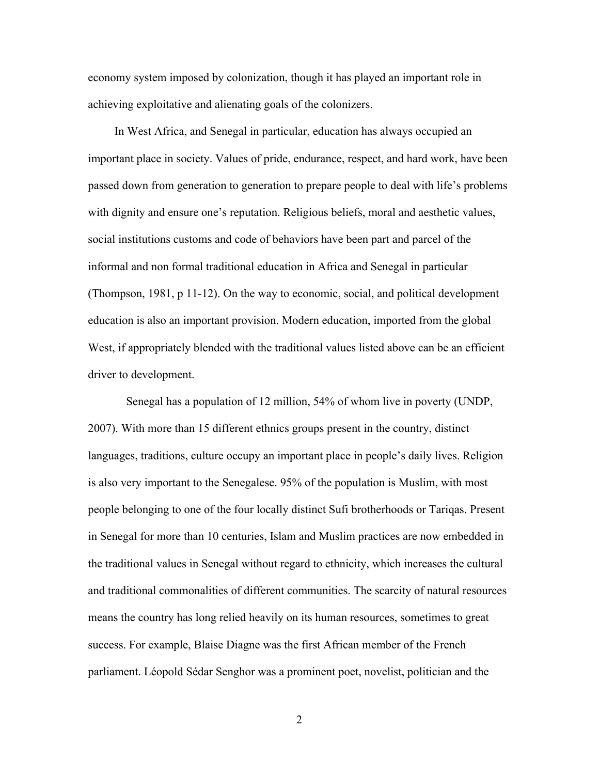economy system imposed by colonization, though it has played an important role in achieving exploitative and alienating goals of the colonizers.

 In West Africa, and Senegal in particular, education has always occupied an important place in society. Values of pride, endurance, respect, and hard work, have been passed down from generation to generation to prepare people to deal with life's problems with dignity and ensure one's reputation. Religious beliefs, moral and aesthetic values, social institutions customs and code of behaviors have been part and parcel of the informal and non formal traditional education in Africa and Senegal in particular (Thompson, 1981, p 11-12). On the way to economic, social, and political development education is also an important provision. Modern education, imported from the global West, if appropriately blended with the traditional values listed above can be an efficient driver to development.

Senegal has a population of 12 million, 54% of whom live in poverty (UNDP, 2007). With more than 15 different ethnics groups present in the country, distinct languages, traditions, culture occupy an important place in people's daily lives. Religion is also very important to the Senegalese. 95% of the population is Muslim, with most people belonging to one of the four locally distinct Sufi brotherhoods or Tariqas. Present in Senegal for more than 10 centuries, Islam and Muslim practices are now embedded in the traditional values in Senegal without regard to ethnicity, which increases the cultural and traditional commonalities of different communities. The scarcity of natural resources means the country has long relied heavily on its human resources, sometimes to great success. For example, Blaise Diagne was the first African member of the French parliament. Léopold Sédar Senghor was a prominent poet, novelist, politician and the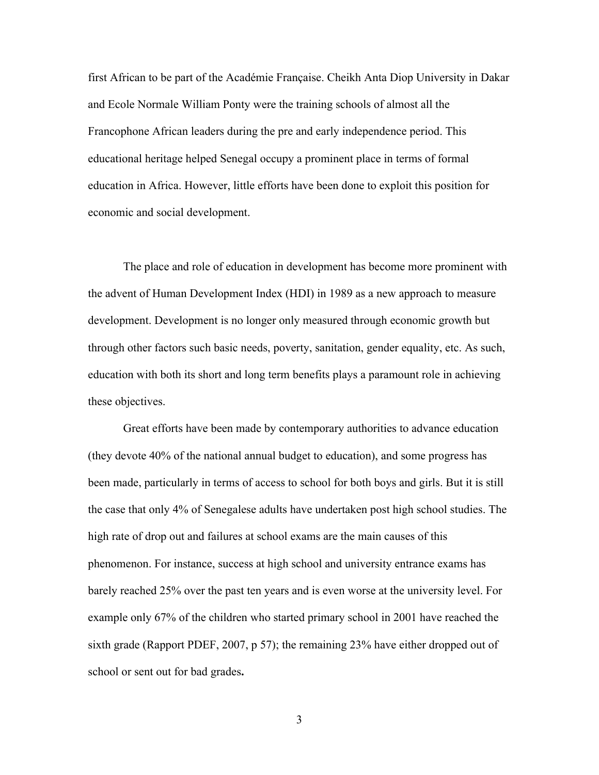first African to be part of the Académie Française. Cheikh Anta Diop University in Dakar and Ecole Normale William Ponty were the training schools of almost all the Francophone African leaders during the pre and early independence period. This educational heritage helped Senegal occupy a prominent place in terms of formal education in Africa. However, little efforts have been done to exploit this position for economic and social development.

The place and role of education in development has become more prominent with the advent of Human Development Index (HDI) in 1989 as a new approach to measure development. Development is no longer only measured through economic growth but through other factors such basic needs, poverty, sanitation, gender equality, etc. As such, education with both its short and long term benefits plays a paramount role in achieving these objectives.

 Great efforts have been made by contemporary authorities to advance education (they devote 40% of the national annual budget to education), and some progress has been made, particularly in terms of access to school for both boys and girls. But it is still the case that only 4% of Senegalese adults have undertaken post high school studies. The high rate of drop out and failures at school exams are the main causes of this phenomenon. For instance, success at high school and university entrance exams has barely reached 25% over the past ten years and is even worse at the university level. For example only 67% of the children who started primary school in 2001 have reached the sixth grade (Rapport PDEF, 2007, p 57); the remaining 23% have either dropped out of school or sent out for bad grades**.**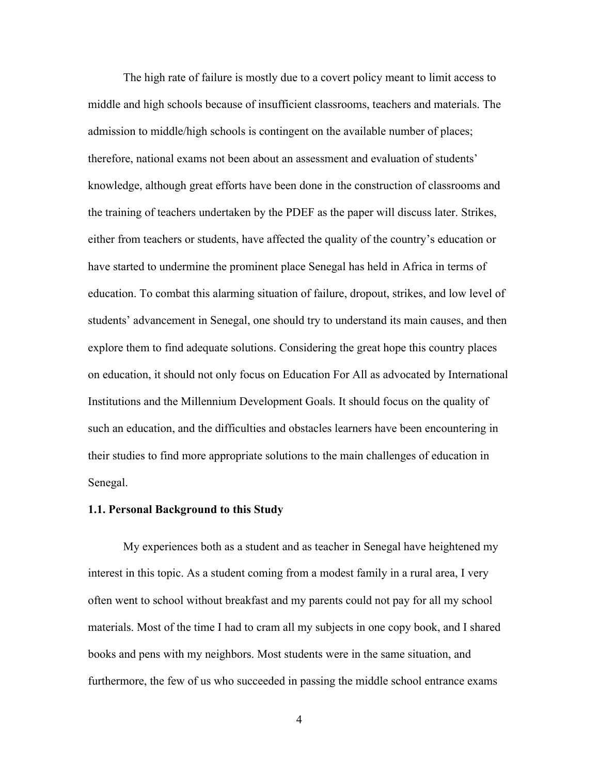The high rate of failure is mostly due to a covert policy meant to limit access to middle and high schools because of insufficient classrooms, teachers and materials. The admission to middle/high schools is contingent on the available number of places; therefore, national exams not been about an assessment and evaluation of students' knowledge, although great efforts have been done in the construction of classrooms and the training of teachers undertaken by the PDEF as the paper will discuss later. Strikes, either from teachers or students, have affected the quality of the country's education or have started to undermine the prominent place Senegal has held in Africa in terms of education. To combat this alarming situation of failure, dropout, strikes, and low level of students' advancement in Senegal, one should try to understand its main causes, and then explore them to find adequate solutions. Considering the great hope this country places on education, it should not only focus on Education For All as advocated by International Institutions and the Millennium Development Goals. It should focus on the quality of such an education, and the difficulties and obstacles learners have been encountering in their studies to find more appropriate solutions to the main challenges of education in Senegal.

### **1.1. Personal Background to this Study**

My experiences both as a student and as teacher in Senegal have heightened my interest in this topic. As a student coming from a modest family in a rural area, I very often went to school without breakfast and my parents could not pay for all my school materials. Most of the time I had to cram all my subjects in one copy book, and I shared books and pens with my neighbors. Most students were in the same situation, and furthermore, the few of us who succeeded in passing the middle school entrance exams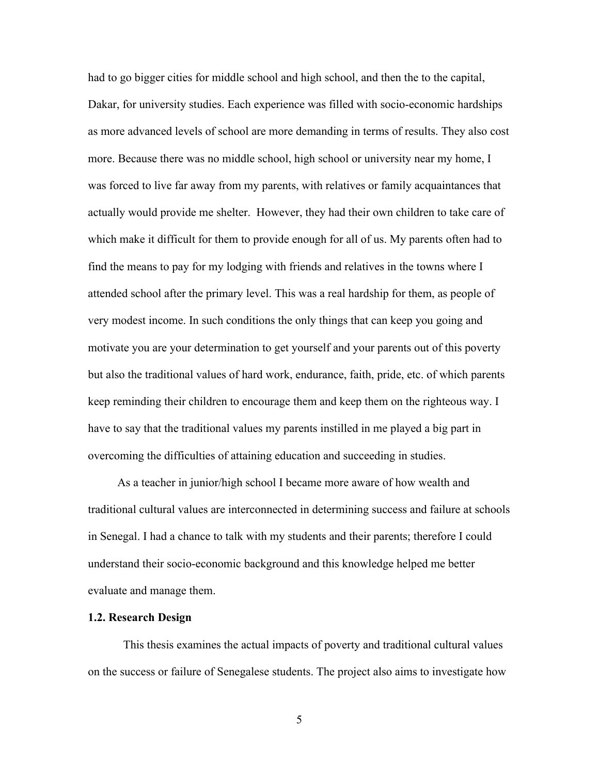had to go bigger cities for middle school and high school, and then the to the capital, Dakar, for university studies. Each experience was filled with socio-economic hardships as more advanced levels of school are more demanding in terms of results. They also cost more. Because there was no middle school, high school or university near my home, I was forced to live far away from my parents, with relatives or family acquaintances that actually would provide me shelter. However, they had their own children to take care of which make it difficult for them to provide enough for all of us. My parents often had to find the means to pay for my lodging with friends and relatives in the towns where I attended school after the primary level. This was a real hardship for them, as people of very modest income. In such conditions the only things that can keep you going and motivate you are your determination to get yourself and your parents out of this poverty but also the traditional values of hard work, endurance, faith, pride, etc. of which parents keep reminding their children to encourage them and keep them on the righteous way. I have to say that the traditional values my parents instilled in me played a big part in overcoming the difficulties of attaining education and succeeding in studies.

 As a teacher in junior/high school I became more aware of how wealth and traditional cultural values are interconnected in determining success and failure at schools in Senegal. I had a chance to talk with my students and their parents; therefore I could understand their socio-economic background and this knowledge helped me better evaluate and manage them.

#### **1.2. Research Design**

This thesis examines the actual impacts of poverty and traditional cultural values on the success or failure of Senegalese students. The project also aims to investigate how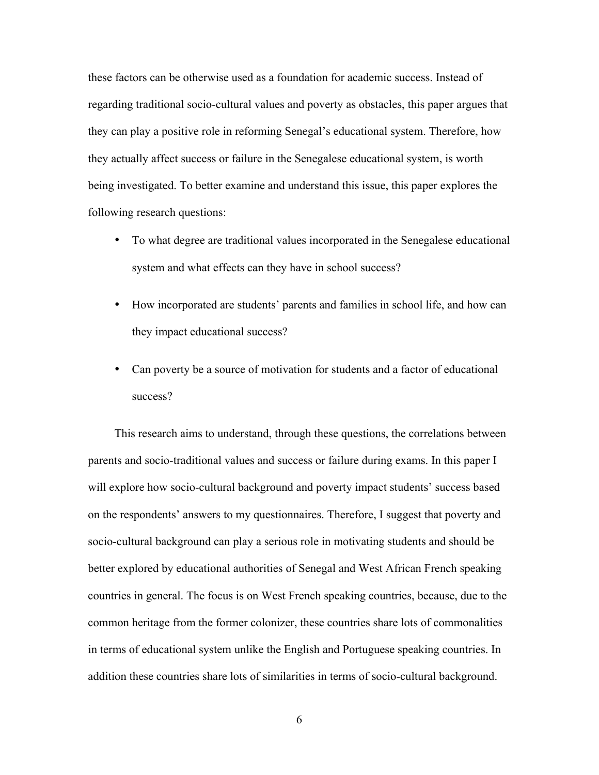these factors can be otherwise used as a foundation for academic success. Instead of regarding traditional socio-cultural values and poverty as obstacles, this paper argues that they can play a positive role in reforming Senegal's educational system. Therefore, how they actually affect success or failure in the Senegalese educational system, is worth being investigated. To better examine and understand this issue, this paper explores the following research questions:

- To what degree are traditional values incorporated in the Senegalese educational system and what effects can they have in school success?
- How incorporated are students' parents and families in school life, and how can they impact educational success?
- Can poverty be a source of motivation for students and a factor of educational success?

This research aims to understand, through these questions, the correlations between parents and socio-traditional values and success or failure during exams. In this paper I will explore how socio-cultural background and poverty impact students' success based on the respondents' answers to my questionnaires. Therefore, I suggest that poverty and socio-cultural background can play a serious role in motivating students and should be better explored by educational authorities of Senegal and West African French speaking countries in general. The focus is on West French speaking countries, because, due to the common heritage from the former colonizer, these countries share lots of commonalities in terms of educational system unlike the English and Portuguese speaking countries. In addition these countries share lots of similarities in terms of socio-cultural background.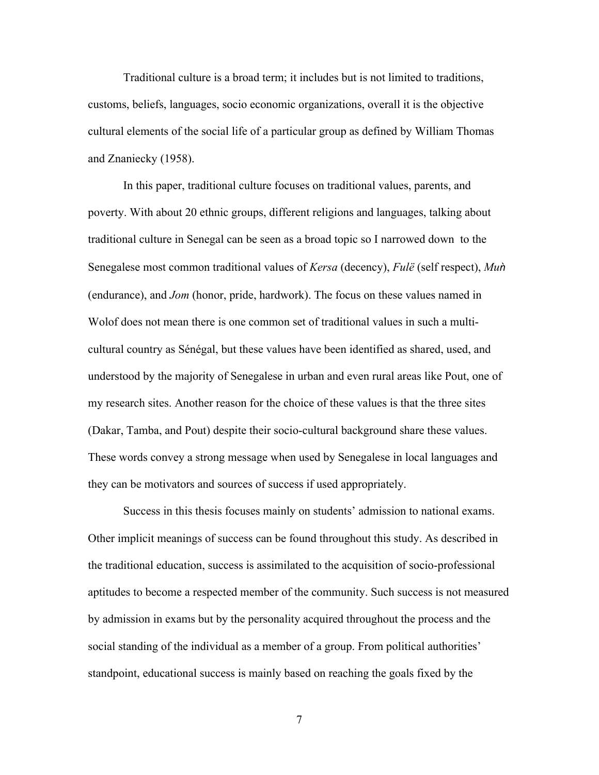Traditional culture is a broad term; it includes but is not limited to traditions, customs, beliefs, languages, socio economic organizations, overall it is the objective cultural elements of the social life of a particular group as defined by William Thomas and Znaniecky (1958).

In this paper, traditional culture focuses on traditional values, parents, and poverty. With about 20 ethnic groups, different religions and languages, talking about traditional culture in Senegal can be seen as a broad topic so I narrowed down to the Senegalese most common traditional values of *Kersa* (decency), *Fulë* (self respect), *Mun* (endurance), and *Jom* (honor, pride, hardwork). The focus on these values named in Wolof does not mean there is one common set of traditional values in such a multicultural country as Sénégal, but these values have been identified as shared, used, and understood by the majority of Senegalese in urban and even rural areas like Pout, one of my research sites. Another reason for the choice of these values is that the three sites (Dakar, Tamba, and Pout) despite their socio-cultural background share these values. These words convey a strong message when used by Senegalese in local languages and they can be motivators and sources of success if used appropriately.

Success in this thesis focuses mainly on students' admission to national exams. Other implicit meanings of success can be found throughout this study. As described in the traditional education, success is assimilated to the acquisition of socio-professional aptitudes to become a respected member of the community. Such success is not measured by admission in exams but by the personality acquired throughout the process and the social standing of the individual as a member of a group. From political authorities' standpoint, educational success is mainly based on reaching the goals fixed by the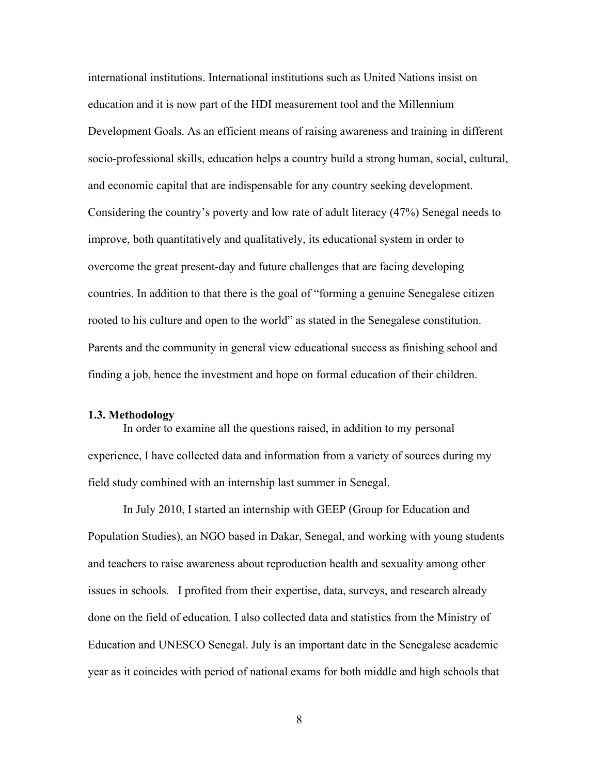international institutions. International institutions such as United Nations insist on education and it is now part of the HDI measurement tool and the Millennium Development Goals. As an efficient means of raising awareness and training in different socio-professional skills, education helps a country build a strong human, social, cultural, and economic capital that are indispensable for any country seeking development. Considering the country's poverty and low rate of adult literacy (47%) Senegal needs to improve, both quantitatively and qualitatively, its educational system in order to overcome the great present-day and future challenges that are facing developing countries. In addition to that there is the goal of "forming a genuine Senegalese citizen rooted to his culture and open to the world" as stated in the Senegalese constitution. Parents and the community in general view educational success as finishing school and finding a job, hence the investment and hope on formal education of their children.

### **1.3. Methodology**

In order to examine all the questions raised, in addition to my personal experience, I have collected data and information from a variety of sources during my field study combined with an internship last summer in Senegal.

In July 2010, I started an internship with GEEP (Group for Education and Population Studies), an NGO based in Dakar, Senegal, and working with young students and teachers to raise awareness about reproduction health and sexuality among other issues in schools. I profited from their expertise, data, surveys, and research already done on the field of education. I also collected data and statistics from the Ministry of Education and UNESCO Senegal. July is an important date in the Senegalese academic year as it coincides with period of national exams for both middle and high schools that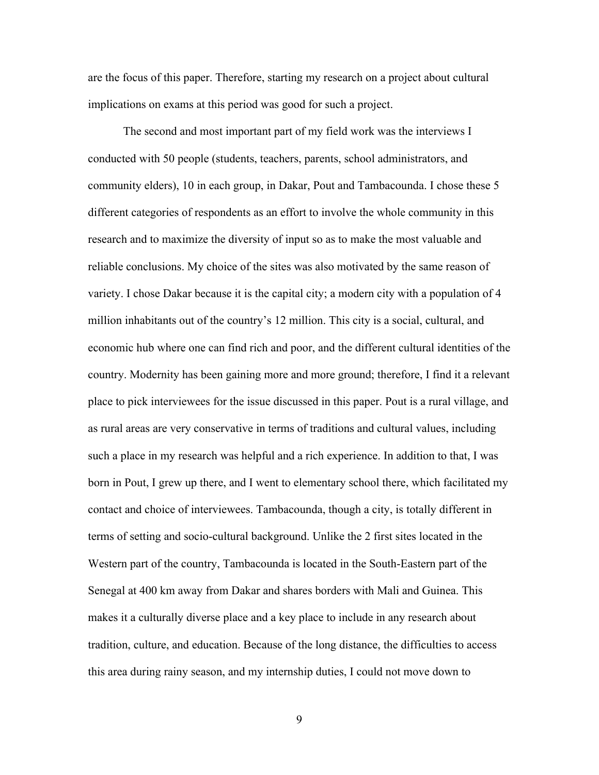are the focus of this paper. Therefore, starting my research on a project about cultural implications on exams at this period was good for such a project.

The second and most important part of my field work was the interviews I conducted with 50 people (students, teachers, parents, school administrators, and community elders), 10 in each group, in Dakar, Pout and Tambacounda. I chose these 5 different categories of respondents as an effort to involve the whole community in this research and to maximize the diversity of input so as to make the most valuable and reliable conclusions. My choice of the sites was also motivated by the same reason of variety. I chose Dakar because it is the capital city; a modern city with a population of 4 million inhabitants out of the country's 12 million. This city is a social, cultural, and economic hub where one can find rich and poor, and the different cultural identities of the country. Modernity has been gaining more and more ground; therefore, I find it a relevant place to pick interviewees for the issue discussed in this paper. Pout is a rural village, and as rural areas are very conservative in terms of traditions and cultural values, including such a place in my research was helpful and a rich experience. In addition to that, I was born in Pout, I grew up there, and I went to elementary school there, which facilitated my contact and choice of interviewees. Tambacounda, though a city, is totally different in terms of setting and socio-cultural background. Unlike the 2 first sites located in the Western part of the country, Tambacounda is located in the South-Eastern part of the Senegal at 400 km away from Dakar and shares borders with Mali and Guinea. This makes it a culturally diverse place and a key place to include in any research about tradition, culture, and education. Because of the long distance, the difficulties to access this area during rainy season, and my internship duties, I could not move down to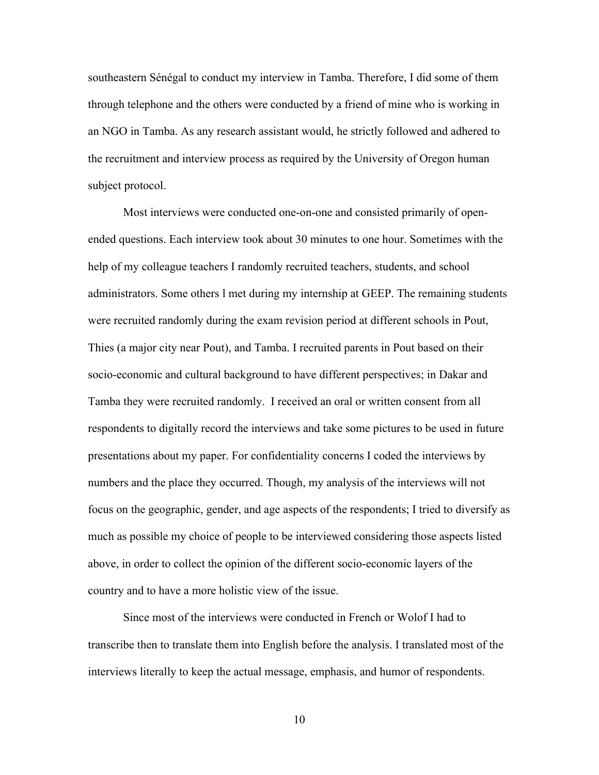southeastern Sénégal to conduct my interview in Tamba. Therefore, I did some of them through telephone and the others were conducted by a friend of mine who is working in an NGO in Tamba. As any research assistant would, he strictly followed and adhered to the recruitment and interview process as required by the University of Oregon human subject protocol.

Most interviews were conducted one-on-one and consisted primarily of openended questions. Each interview took about 30 minutes to one hour. Sometimes with the help of my colleague teachers I randomly recruited teachers, students, and school administrators. Some others l met during my internship at GEEP. The remaining students were recruited randomly during the exam revision period at different schools in Pout, Thies (a major city near Pout), and Tamba. I recruited parents in Pout based on their socio-economic and cultural background to have different perspectives; in Dakar and Tamba they were recruited randomly. I received an oral or written consent from all respondents to digitally record the interviews and take some pictures to be used in future presentations about my paper. For confidentiality concerns I coded the interviews by numbers and the place they occurred. Though, my analysis of the interviews will not focus on the geographic, gender, and age aspects of the respondents; I tried to diversify as much as possible my choice of people to be interviewed considering those aspects listed above, in order to collect the opinion of the different socio-economic layers of the country and to have a more holistic view of the issue.

Since most of the interviews were conducted in French or Wolof I had to transcribe then to translate them into English before the analysis. I translated most of the interviews literally to keep the actual message, emphasis, and humor of respondents.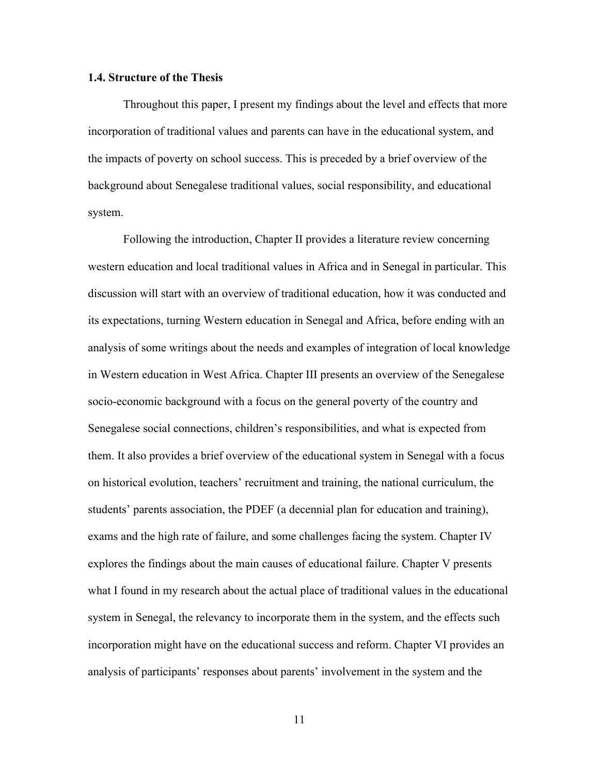### **1.4. Structure of the Thesis**

Throughout this paper, I present my findings about the level and effects that more incorporation of traditional values and parents can have in the educational system, and the impacts of poverty on school success. This is preceded by a brief overview of the background about Senegalese traditional values, social responsibility, and educational system.

Following the introduction, Chapter II provides a literature review concerning western education and local traditional values in Africa and in Senegal in particular. This discussion will start with an overview of traditional education, how it was conducted and its expectations, turning Western education in Senegal and Africa, before ending with an analysis of some writings about the needs and examples of integration of local knowledge in Western education in West Africa. Chapter III presents an overview of the Senegalese socio-economic background with a focus on the general poverty of the country and Senegalese social connections, children's responsibilities, and what is expected from them. It also provides a brief overview of the educational system in Senegal with a focus on historical evolution, teachers' recruitment and training, the national curriculum, the students' parents association, the PDEF (a decennial plan for education and training), exams and the high rate of failure, and some challenges facing the system. Chapter IV explores the findings about the main causes of educational failure. Chapter V presents what I found in my research about the actual place of traditional values in the educational system in Senegal, the relevancy to incorporate them in the system, and the effects such incorporation might have on the educational success and reform. Chapter VI provides an analysis of participants' responses about parents' involvement in the system and the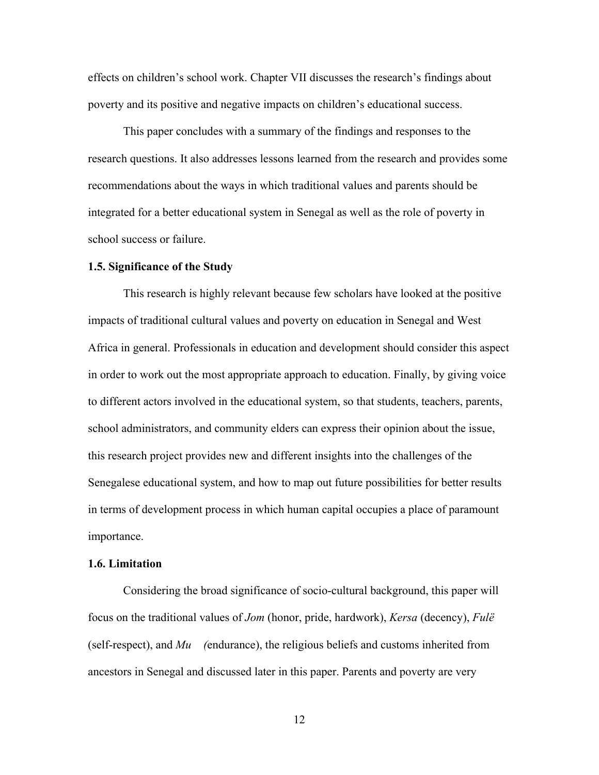effects on children's school work. Chapter VII discusses the research's findings about poverty and its positive and negative impacts on children's educational success.

This paper concludes with a summary of the findings and responses to the research questions. It also addresses lessons learned from the research and provides some recommendations about the ways in which traditional values and parents should be integrated for a better educational system in Senegal as well as the role of poverty in school success or failure.

#### **1.5. Significance of the Study**

This research is highly relevant because few scholars have looked at the positive impacts of traditional cultural values and poverty on education in Senegal and West Africa in general. Professionals in education and development should consider this aspect in order to work out the most appropriate approach to education. Finally, by giving voice to different actors involved in the educational system, so that students, teachers, parents, school administrators, and community elders can express their opinion about the issue, this research project provides new and different insights into the challenges of the Senegalese educational system, and how to map out future possibilities for better results in terms of development process in which human capital occupies a place of paramount importance.

### **1.6. Limitation**

Considering the broad significance of socio-cultural background, this paper will focus on the traditional values of *Jom* (honor, pride, hardwork), *Kersa* (decency), *Fulё* (self-respect), and *Mu (*endurance), the religious beliefs and customs inherited from ancestors in Senegal and discussed later in this paper. Parents and poverty are very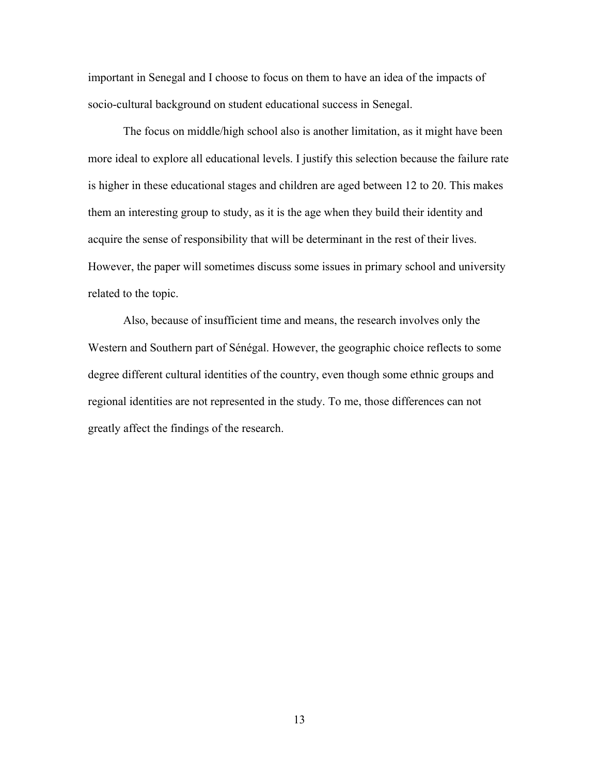important in Senegal and I choose to focus on them to have an idea of the impacts of socio-cultural background on student educational success in Senegal.

The focus on middle/high school also is another limitation, as it might have been more ideal to explore all educational levels. I justify this selection because the failure rate is higher in these educational stages and children are aged between 12 to 20. This makes them an interesting group to study, as it is the age when they build their identity and acquire the sense of responsibility that will be determinant in the rest of their lives. However, the paper will sometimes discuss some issues in primary school and university related to the topic.

Also, because of insufficient time and means, the research involves only the Western and Southern part of Sénégal. However, the geographic choice reflects to some degree different cultural identities of the country, even though some ethnic groups and regional identities are not represented in the study. To me, those differences can not greatly affect the findings of the research.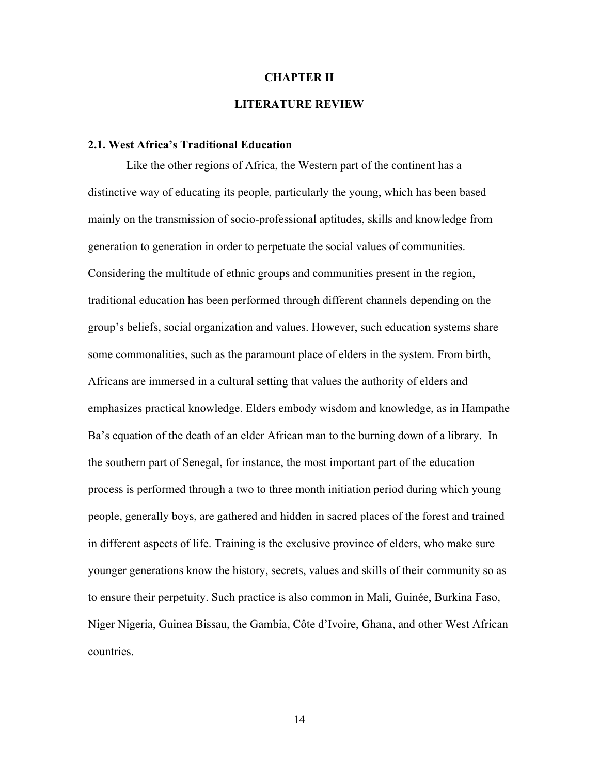### **CHAPTER II**

# **LITERATURE REVIEW**

## **2.1. West Africa's Traditional Education**

Like the other regions of Africa, the Western part of the continent has a distinctive way of educating its people, particularly the young, which has been based mainly on the transmission of socio-professional aptitudes, skills and knowledge from generation to generation in order to perpetuate the social values of communities. Considering the multitude of ethnic groups and communities present in the region, traditional education has been performed through different channels depending on the group's beliefs, social organization and values. However, such education systems share some commonalities, such as the paramount place of elders in the system. From birth, Africans are immersed in a cultural setting that values the authority of elders and emphasizes practical knowledge. Elders embody wisdom and knowledge, as in Hampathe Ba's equation of the death of an elder African man to the burning down of a library. In the southern part of Senegal, for instance, the most important part of the education process is performed through a two to three month initiation period during which young people, generally boys, are gathered and hidden in sacred places of the forest and trained in different aspects of life. Training is the exclusive province of elders, who make sure younger generations know the history, secrets, values and skills of their community so as to ensure their perpetuity. Such practice is also common in Mali, Guinée, Burkina Faso, Niger Nigeria, Guinea Bissau, the Gambia, Côte d'Ivoire, Ghana, and other West African countries.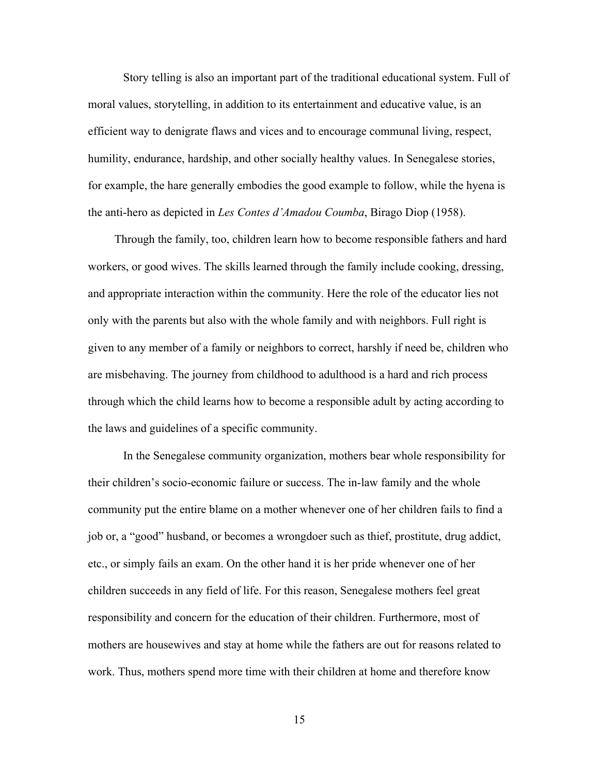Story telling is also an important part of the traditional educational system. Full of moral values, storytelling, in addition to its entertainment and educative value, is an efficient way to denigrate flaws and vices and to encourage communal living, respect, humility, endurance, hardship, and other socially healthy values. In Senegalese stories, for example, the hare generally embodies the good example to follow, while the hyena is the anti-hero as depicted in *Les Contes d'Amadou Coumba*, Birago Diop (1958).

 Through the family, too, children learn how to become responsible fathers and hard workers, or good wives. The skills learned through the family include cooking, dressing, and appropriate interaction within the community. Here the role of the educator lies not only with the parents but also with the whole family and with neighbors. Full right is given to any member of a family or neighbors to correct, harshly if need be, children who are misbehaving. The journey from childhood to adulthood is a hard and rich process through which the child learns how to become a responsible adult by acting according to the laws and guidelines of a specific community.

In the Senegalese community organization, mothers bear whole responsibility for their children's socio-economic failure or success. The in-law family and the whole community put the entire blame on a mother whenever one of her children fails to find a job or, a "good" husband, or becomes a wrongdoer such as thief, prostitute, drug addict, etc., or simply fails an exam. On the other hand it is her pride whenever one of her children succeeds in any field of life. For this reason, Senegalese mothers feel great responsibility and concern for the education of their children. Furthermore, most of mothers are housewives and stay at home while the fathers are out for reasons related to work. Thus, mothers spend more time with their children at home and therefore know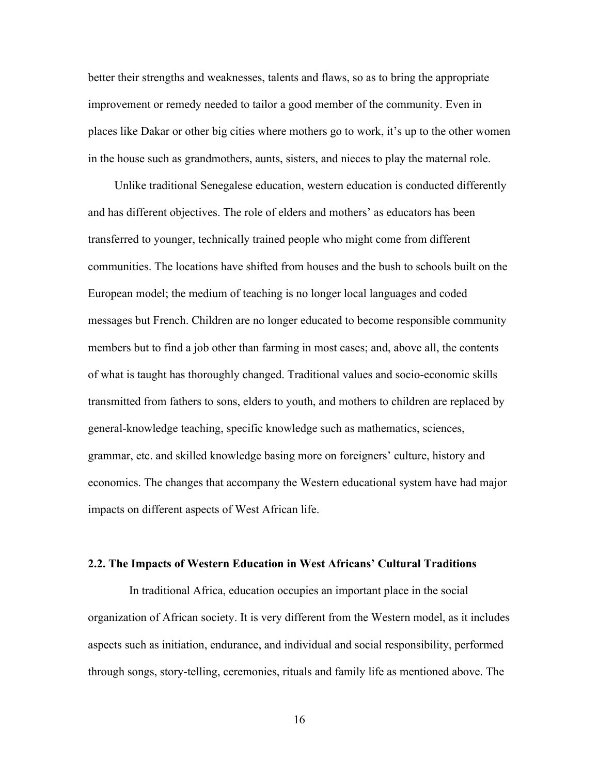better their strengths and weaknesses, talents and flaws, so as to bring the appropriate improvement or remedy needed to tailor a good member of the community. Even in places like Dakar or other big cities where mothers go to work, it's up to the other women in the house such as grandmothers, aunts, sisters, and nieces to play the maternal role.

 Unlike traditional Senegalese education, western education is conducted differently and has different objectives. The role of elders and mothers' as educators has been transferred to younger, technically trained people who might come from different communities. The locations have shifted from houses and the bush to schools built on the European model; the medium of teaching is no longer local languages and coded messages but French. Children are no longer educated to become responsible community members but to find a job other than farming in most cases; and, above all, the contents of what is taught has thoroughly changed. Traditional values and socio-economic skills transmitted from fathers to sons, elders to youth, and mothers to children are replaced by general-knowledge teaching, specific knowledge such as mathematics, sciences, grammar, etc. and skilled knowledge basing more on foreigners' culture, history and economics. The changes that accompany the Western educational system have had major impacts on different aspects of West African life.

#### **2.2. The Impacts of Western Education in West Africans' Cultural Traditions**

 In traditional Africa, education occupies an important place in the social organization of African society. It is very different from the Western model, as it includes aspects such as initiation, endurance, and individual and social responsibility, performed through songs, story-telling, ceremonies, rituals and family life as mentioned above. The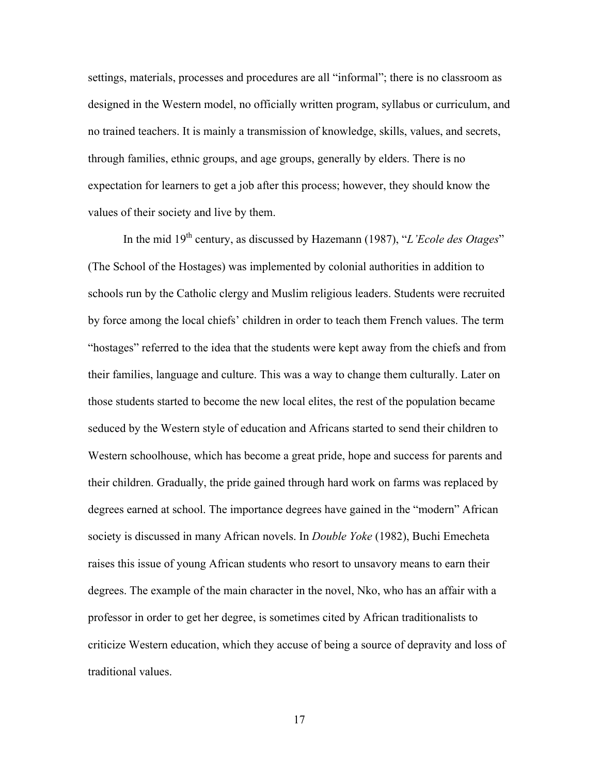settings, materials, processes and procedures are all "informal"; there is no classroom as designed in the Western model, no officially written program, syllabus or curriculum, and no trained teachers. It is mainly a transmission of knowledge, skills, values, and secrets, through families, ethnic groups, and age groups, generally by elders. There is no expectation for learners to get a job after this process; however, they should know the values of their society and live by them.

In the mid 19<sup>th</sup> century, as discussed by Hazemann (1987), "*L'Ecole des Otages*" (The School of the Hostages) was implemented by colonial authorities in addition to schools run by the Catholic clergy and Muslim religious leaders. Students were recruited by force among the local chiefs' children in order to teach them French values. The term "hostages" referred to the idea that the students were kept away from the chiefs and from their families, language and culture. This was a way to change them culturally. Later on those students started to become the new local elites, the rest of the population became seduced by the Western style of education and Africans started to send their children to Western schoolhouse, which has become a great pride, hope and success for parents and their children. Gradually, the pride gained through hard work on farms was replaced by degrees earned at school. The importance degrees have gained in the "modern" African society is discussed in many African novels. In *Double Yoke* (1982), Buchi Emecheta raises this issue of young African students who resort to unsavory means to earn their degrees. The example of the main character in the novel, Nko, who has an affair with a professor in order to get her degree, is sometimes cited by African traditionalists to criticize Western education, which they accuse of being a source of depravity and loss of traditional values.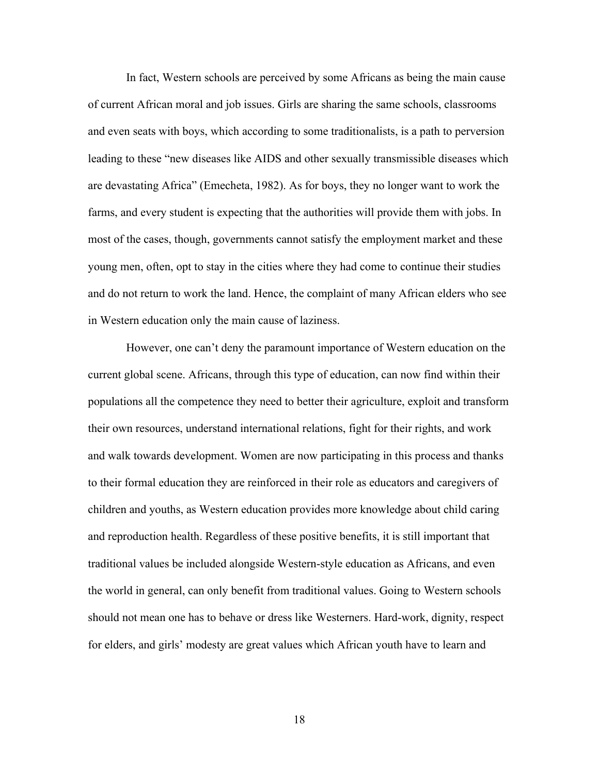In fact, Western schools are perceived by some Africans as being the main cause of current African moral and job issues. Girls are sharing the same schools, classrooms and even seats with boys, which according to some traditionalists, is a path to perversion leading to these "new diseases like AIDS and other sexually transmissible diseases which are devastating Africa" (Emecheta, 1982). As for boys, they no longer want to work the farms, and every student is expecting that the authorities will provide them with jobs. In most of the cases, though, governments cannot satisfy the employment market and these young men, often, opt to stay in the cities where they had come to continue their studies and do not return to work the land. Hence, the complaint of many African elders who see in Western education only the main cause of laziness.

However, one can't deny the paramount importance of Western education on the current global scene. Africans, through this type of education, can now find within their populations all the competence they need to better their agriculture, exploit and transform their own resources, understand international relations, fight for their rights, and work and walk towards development. Women are now participating in this process and thanks to their formal education they are reinforced in their role as educators and caregivers of children and youths, as Western education provides more knowledge about child caring and reproduction health. Regardless of these positive benefits, it is still important that traditional values be included alongside Western-style education as Africans, and even the world in general, can only benefit from traditional values. Going to Western schools should not mean one has to behave or dress like Westerners. Hard-work, dignity, respect for elders, and girls' modesty are great values which African youth have to learn and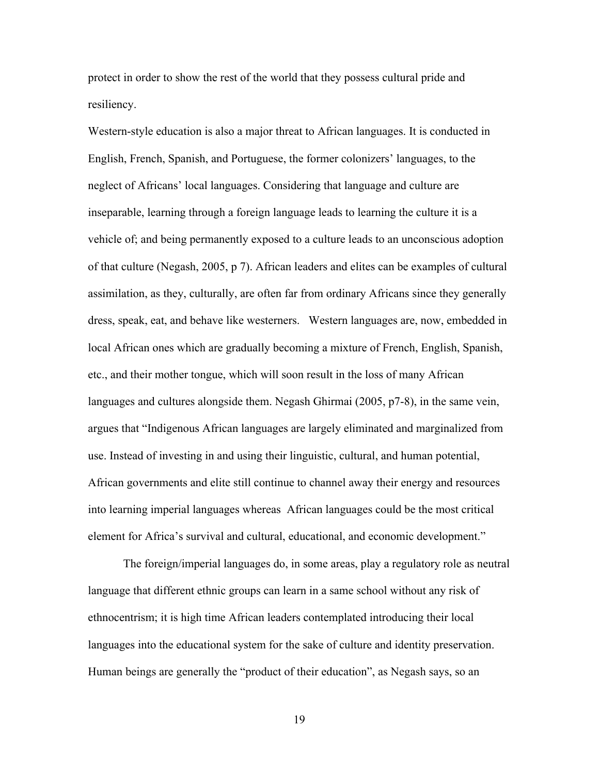protect in order to show the rest of the world that they possess cultural pride and resiliency.

Western-style education is also a major threat to African languages. It is conducted in English, French, Spanish, and Portuguese, the former colonizers' languages, to the neglect of Africans' local languages. Considering that language and culture are inseparable, learning through a foreign language leads to learning the culture it is a vehicle of; and being permanently exposed to a culture leads to an unconscious adoption of that culture (Negash, 2005, p 7). African leaders and elites can be examples of cultural assimilation, as they, culturally, are often far from ordinary Africans since they generally dress, speak, eat, and behave like westerners. Western languages are, now, embedded in local African ones which are gradually becoming a mixture of French, English, Spanish, etc., and their mother tongue, which will soon result in the loss of many African languages and cultures alongside them. Negash Ghirmai (2005, p7-8), in the same vein, argues that "Indigenous African languages are largely eliminated and marginalized from use. Instead of investing in and using their linguistic, cultural, and human potential, African governments and elite still continue to channel away their energy and resources into learning imperial languages whereas African languages could be the most critical element for Africa's survival and cultural, educational, and economic development."

The foreign/imperial languages do, in some areas, play a regulatory role as neutral language that different ethnic groups can learn in a same school without any risk of ethnocentrism; it is high time African leaders contemplated introducing their local languages into the educational system for the sake of culture and identity preservation. Human beings are generally the "product of their education", as Negash says, so an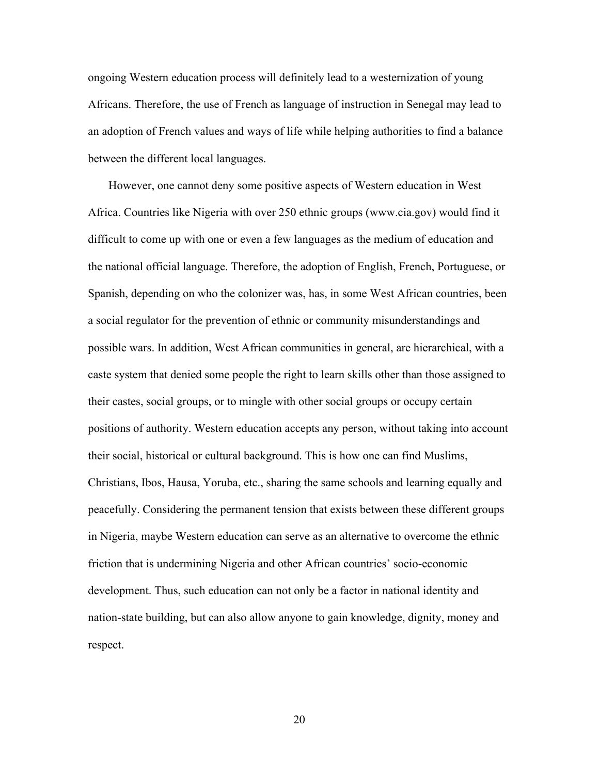ongoing Western education process will definitely lead to a westernization of young Africans. Therefore, the use of French as language of instruction in Senegal may lead to an adoption of French values and ways of life while helping authorities to find a balance between the different local languages.

 However, one cannot deny some positive aspects of Western education in West Africa. Countries like Nigeria with over 250 ethnic groups (www.cia.gov) would find it difficult to come up with one or even a few languages as the medium of education and the national official language. Therefore, the adoption of English, French, Portuguese, or Spanish, depending on who the colonizer was, has, in some West African countries, been a social regulator for the prevention of ethnic or community misunderstandings and possible wars. In addition, West African communities in general, are hierarchical, with a caste system that denied some people the right to learn skills other than those assigned to their castes, social groups, or to mingle with other social groups or occupy certain positions of authority. Western education accepts any person, without taking into account their social, historical or cultural background. This is how one can find Muslims, Christians, Ibos, Hausa, Yoruba, etc., sharing the same schools and learning equally and peacefully. Considering the permanent tension that exists between these different groups in Nigeria, maybe Western education can serve as an alternative to overcome the ethnic friction that is undermining Nigeria and other African countries' socio-economic development. Thus, such education can not only be a factor in national identity and nation-state building, but can also allow anyone to gain knowledge, dignity, money and respect.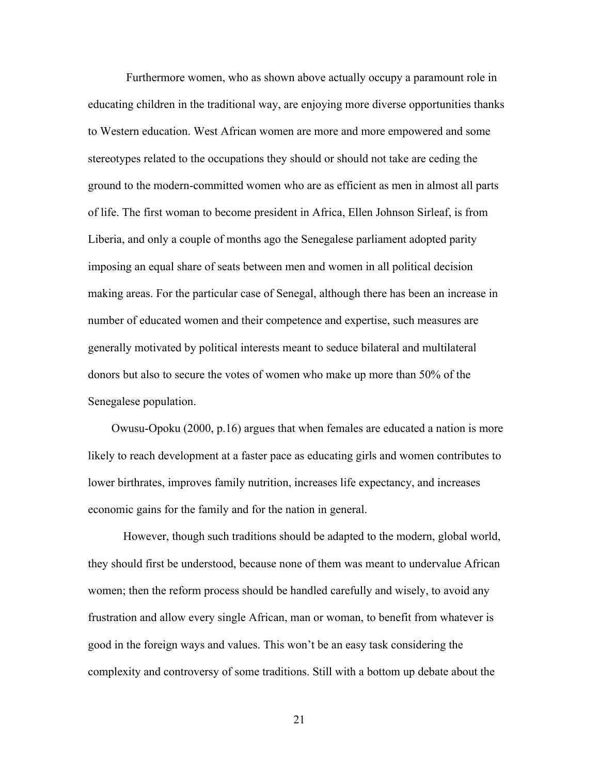Furthermore women, who as shown above actually occupy a paramount role in educating children in the traditional way, are enjoying more diverse opportunities thanks to Western education. West African women are more and more empowered and some stereotypes related to the occupations they should or should not take are ceding the ground to the modern-committed women who are as efficient as men in almost all parts of life. The first woman to become president in Africa, Ellen Johnson Sirleaf, is from Liberia, and only a couple of months ago the Senegalese parliament adopted parity imposing an equal share of seats between men and women in all political decision making areas. For the particular case of Senegal, although there has been an increase in number of educated women and their competence and expertise, such measures are generally motivated by political interests meant to seduce bilateral and multilateral donors but also to secure the votes of women who make up more than 50% of the Senegalese population.

 Owusu-Opoku (2000, p.16) argues that when females are educated a nation is more likely to reach development at a faster pace as educating girls and women contributes to lower birthrates, improves family nutrition, increases life expectancy, and increases economic gains for the family and for the nation in general.

However, though such traditions should be adapted to the modern, global world, they should first be understood, because none of them was meant to undervalue African women; then the reform process should be handled carefully and wisely, to avoid any frustration and allow every single African, man or woman, to benefit from whatever is good in the foreign ways and values. This won't be an easy task considering the complexity and controversy of some traditions. Still with a bottom up debate about the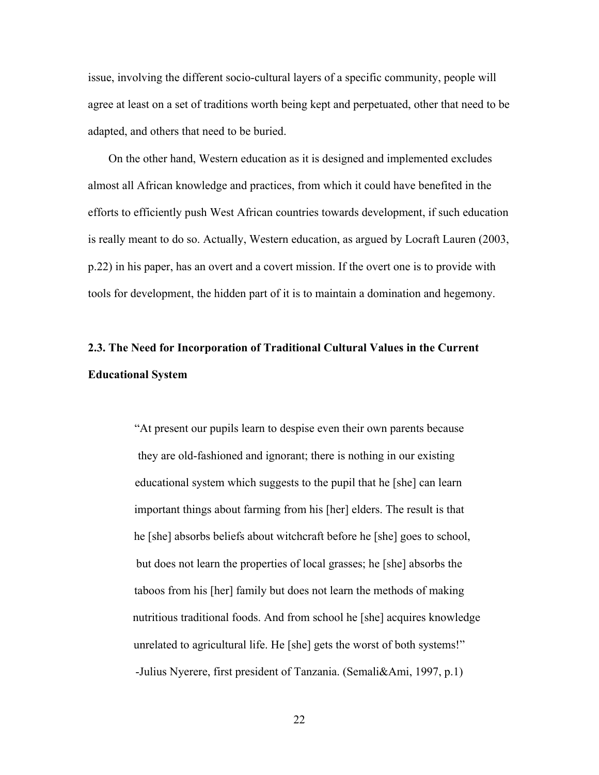issue, involving the different socio-cultural layers of a specific community, people will agree at least on a set of traditions worth being kept and perpetuated, other that need to be adapted, and others that need to be buried.

 On the other hand, Western education as it is designed and implemented excludes almost all African knowledge and practices, from which it could have benefited in the efforts to efficiently push West African countries towards development, if such education is really meant to do so. Actually, Western education, as argued by Locraft Lauren (2003, p.22) in his paper, has an overt and a covert mission. If the overt one is to provide with tools for development, the hidden part of it is to maintain a domination and hegemony.

# **2.3. The Need for Incorporation of Traditional Cultural Values in the Current Educational System**

"At present our pupils learn to despise even their own parents because they are old-fashioned and ignorant; there is nothing in our existing educational system which suggests to the pupil that he [she] can learn important things about farming from his [her] elders. The result is that he [she] absorbs beliefs about witchcraft before he [she] goes to school, but does not learn the properties of local grasses; he [she] absorbs the taboos from his [her] family but does not learn the methods of making nutritious traditional foods. And from school he [she] acquires knowledge unrelated to agricultural life. He [she] gets the worst of both systems!" -Julius Nyerere, first president of Tanzania. (Semali&Ami, 1997, p.1)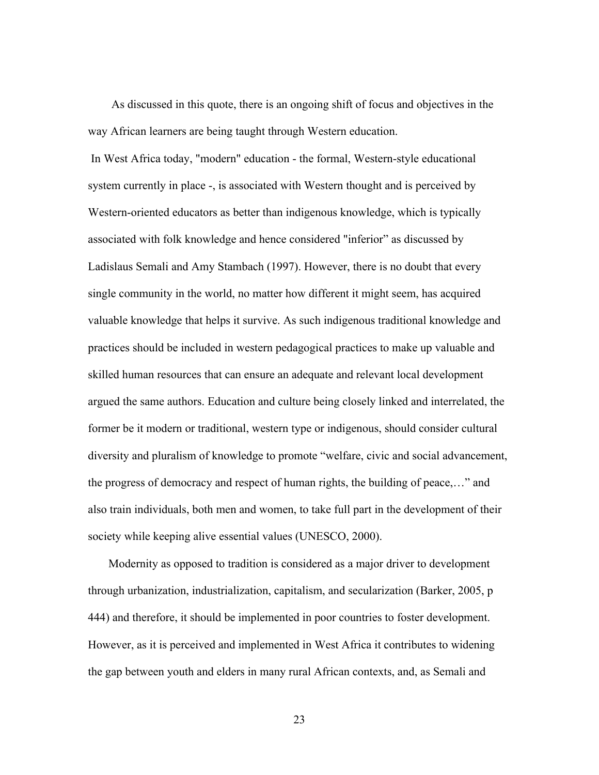As discussed in this quote, there is an ongoing shift of focus and objectives in the way African learners are being taught through Western education.

In West Africa today, "modern" education - the formal, Western-style educational system currently in place -, is associated with Western thought and is perceived by Western-oriented educators as better than indigenous knowledge, which is typically associated with folk knowledge and hence considered "inferior" as discussed by Ladislaus Semali and Amy Stambach (1997). However, there is no doubt that every single community in the world, no matter how different it might seem, has acquired valuable knowledge that helps it survive. As such indigenous traditional knowledge and practices should be included in western pedagogical practices to make up valuable and skilled human resources that can ensure an adequate and relevant local development argued the same authors. Education and culture being closely linked and interrelated, the former be it modern or traditional, western type or indigenous, should consider cultural diversity and pluralism of knowledge to promote "welfare, civic and social advancement, the progress of democracy and respect of human rights, the building of peace,…" and also train individuals, both men and women, to take full part in the development of their society while keeping alive essential values (UNESCO, 2000).

 Modernity as opposed to tradition is considered as a major driver to development through urbanization, industrialization, capitalism, and secularization (Barker, 2005, p 444) and therefore, it should be implemented in poor countries to foster development. However, as it is perceived and implemented in West Africa it contributes to widening the gap between youth and elders in many rural African contexts, and, as Semali and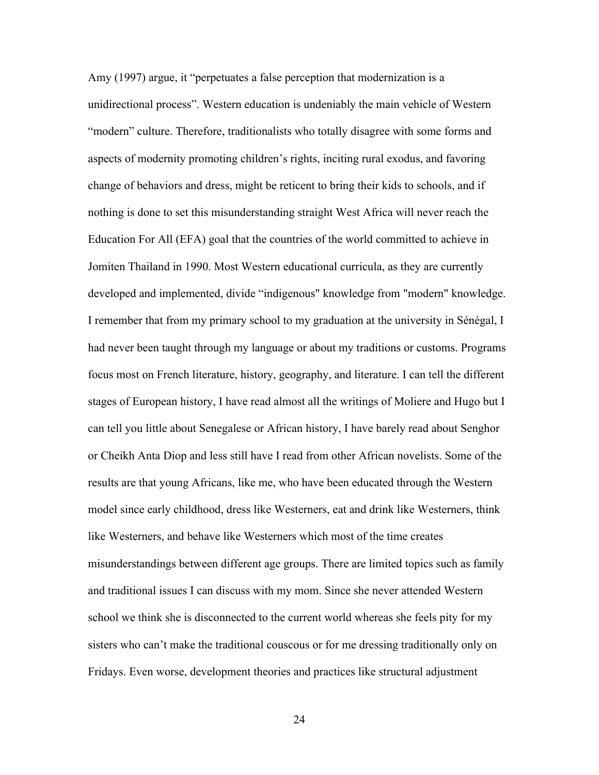Amy (1997) argue, it "perpetuates a false perception that modernization is a unidirectional process". Western education is undeniably the main vehicle of Western "modern" culture. Therefore, traditionalists who totally disagree with some forms and aspects of modernity promoting children's rights, inciting rural exodus, and favoring change of behaviors and dress, might be reticent to bring their kids to schools, and if nothing is done to set this misunderstanding straight West Africa will never reach the Education For All (EFA) goal that the countries of the world committed to achieve in Jomiten Thailand in 1990. Most Western educational curricula, as they are currently developed and implemented, divide "indigenous" knowledge from "modern" knowledge. I remember that from my primary school to my graduation at the university in Sénégal, I had never been taught through my language or about my traditions or customs. Programs focus most on French literature, history, geography, and literature. I can tell the different stages of European history, I have read almost all the writings of Moliere and Hugo but I can tell you little about Senegalese or African history, I have barely read about Senghor or Cheikh Anta Diop and less still have I read from other African novelists. Some of the results are that young Africans, like me, who have been educated through the Western model since early childhood, dress like Westerners, eat and drink like Westerners, think like Westerners, and behave like Westerners which most of the time creates misunderstandings between different age groups. There are limited topics such as family and traditional issues I can discuss with my mom. Since she never attended Western school we think she is disconnected to the current world whereas she feels pity for my sisters who can't make the traditional couscous or for me dressing traditionally only on Fridays. Even worse, development theories and practices like structural adjustment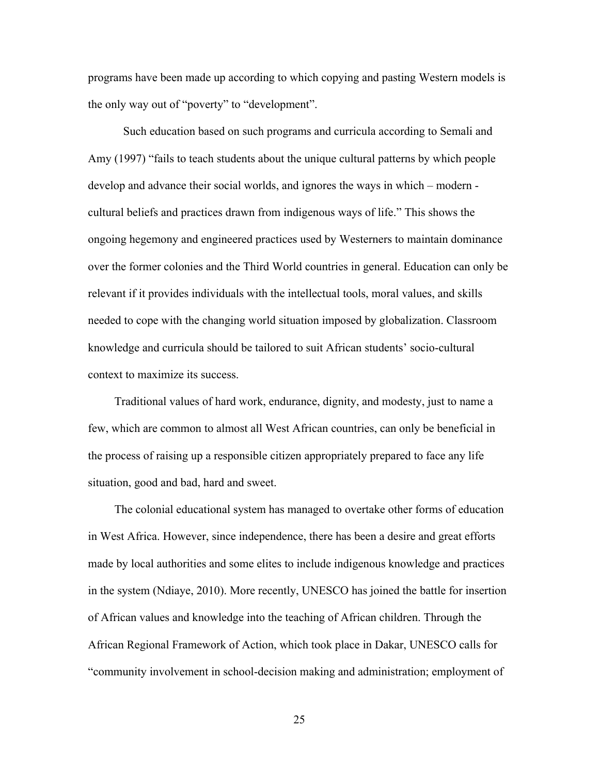programs have been made up according to which copying and pasting Western models is the only way out of "poverty" to "development".

Such education based on such programs and curricula according to Semali and Amy (1997) "fails to teach students about the unique cultural patterns by which people develop and advance their social worlds, and ignores the ways in which – modern cultural beliefs and practices drawn from indigenous ways of life." This shows the ongoing hegemony and engineered practices used by Westerners to maintain dominance over the former colonies and the Third World countries in general. Education can only be relevant if it provides individuals with the intellectual tools, moral values, and skills needed to cope with the changing world situation imposed by globalization. Classroom knowledge and curricula should be tailored to suit African students' socio-cultural context to maximize its success.

 Traditional values of hard work, endurance, dignity, and modesty, just to name a few, which are common to almost all West African countries, can only be beneficial in the process of raising up a responsible citizen appropriately prepared to face any life situation, good and bad, hard and sweet.

 The colonial educational system has managed to overtake other forms of education in West Africa. However, since independence, there has been a desire and great efforts made by local authorities and some elites to include indigenous knowledge and practices in the system (Ndiaye, 2010). More recently, UNESCO has joined the battle for insertion of African values and knowledge into the teaching of African children. Through the African Regional Framework of Action, which took place in Dakar, UNESCO calls for "community involvement in school-decision making and administration; employment of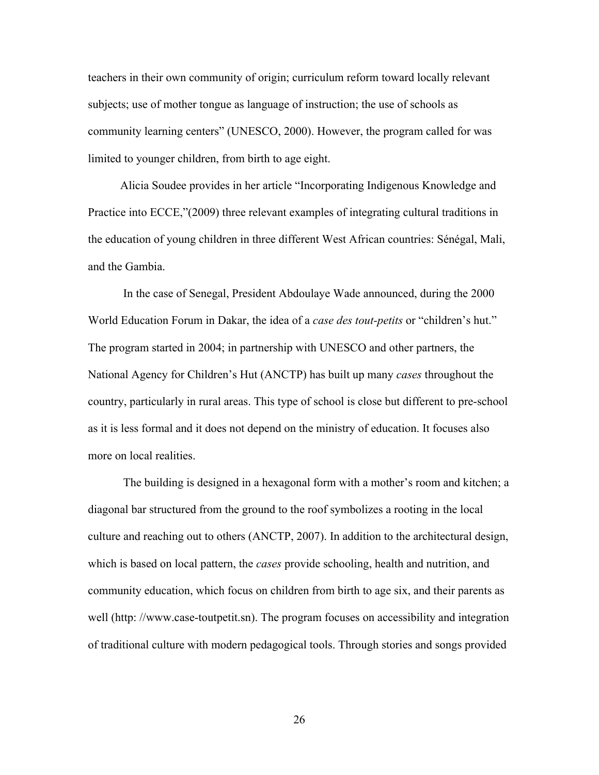teachers in their own community of origin; curriculum reform toward locally relevant subjects; use of mother tongue as language of instruction; the use of schools as community learning centers" (UNESCO, 2000). However, the program called for was limited to younger children, from birth to age eight.

 Alicia Soudee provides in her article "Incorporating Indigenous Knowledge and Practice into ECCE,"(2009) three relevant examples of integrating cultural traditions in the education of young children in three different West African countries: Sénégal, Mali, and the Gambia.

In the case of Senegal, President Abdoulaye Wade announced, during the 2000 World Education Forum in Dakar, the idea of a *case des tout-petits* or "children's hut." The program started in 2004; in partnership with UNESCO and other partners, the National Agency for Children's Hut (ANCTP) has built up many *cases* throughout the country, particularly in rural areas. This type of school is close but different to pre-school as it is less formal and it does not depend on the ministry of education. It focuses also more on local realities.

 The building is designed in a hexagonal form with a mother's room and kitchen; a diagonal bar structured from the ground to the roof symbolizes a rooting in the local culture and reaching out to others (ANCTP, 2007). In addition to the architectural design, which is based on local pattern, the *cases* provide schooling, health and nutrition, and community education, which focus on children from birth to age six, and their parents as well (http: //www.case-toutpetit.sn). The program focuses on accessibility and integration of traditional culture with modern pedagogical tools. Through stories and songs provided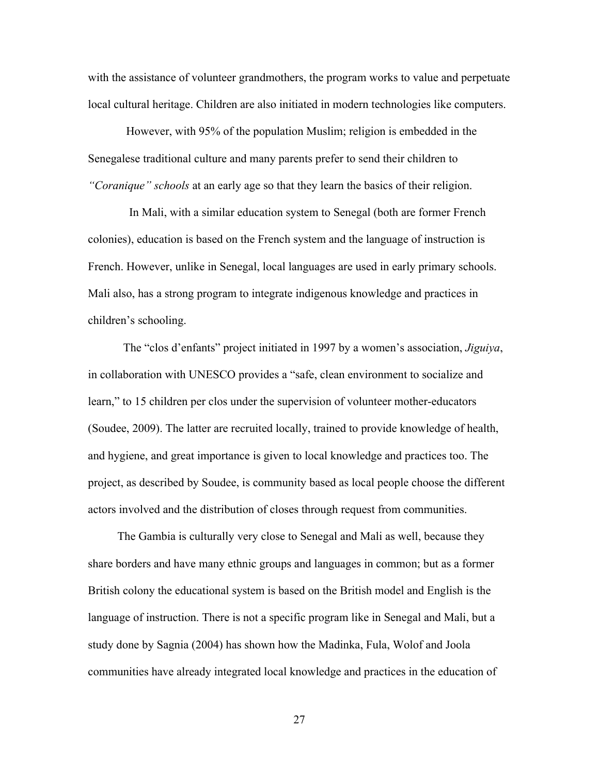with the assistance of volunteer grandmothers, the program works to value and perpetuate local cultural heritage. Children are also initiated in modern technologies like computers.

 However, with 95% of the population Muslim; religion is embedded in the Senegalese traditional culture and many parents prefer to send their children to *"Coranique" schools* at an early age so that they learn the basics of their religion.

 In Mali, with a similar education system to Senegal (both are former French colonies), education is based on the French system and the language of instruction is French. However, unlike in Senegal, local languages are used in early primary schools. Mali also, has a strong program to integrate indigenous knowledge and practices in children's schooling.

The "clos d'enfants" project initiated in 1997 by a women's association, *Jiguiya*, in collaboration with UNESCO provides a "safe, clean environment to socialize and learn," to 15 children per clos under the supervision of volunteer mother-educators (Soudee, 2009). The latter are recruited locally, trained to provide knowledge of health, and hygiene, and great importance is given to local knowledge and practices too. The project, as described by Soudee, is community based as local people choose the different actors involved and the distribution of closes through request from communities.

 The Gambia is culturally very close to Senegal and Mali as well, because they share borders and have many ethnic groups and languages in common; but as a former British colony the educational system is based on the British model and English is the language of instruction. There is not a specific program like in Senegal and Mali, but a study done by Sagnia (2004) has shown how the Madinka, Fula, Wolof and Joola communities have already integrated local knowledge and practices in the education of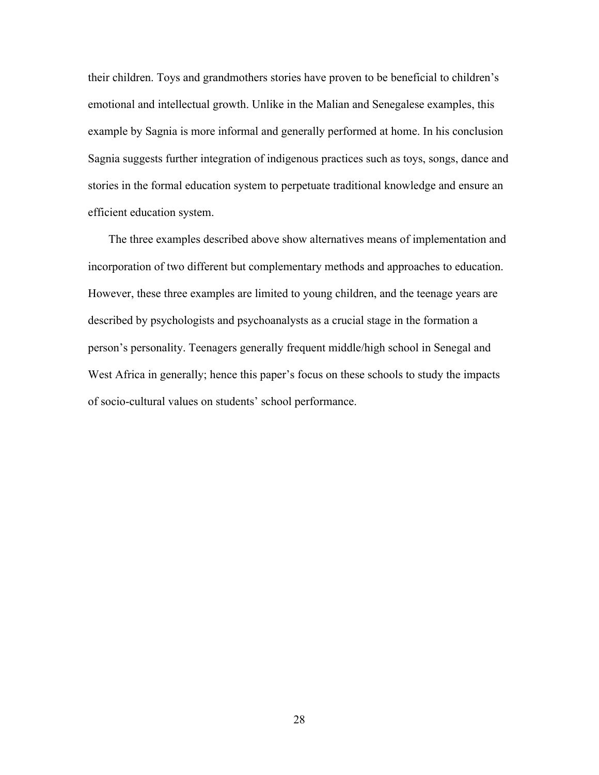their children. Toys and grandmothers stories have proven to be beneficial to children's emotional and intellectual growth. Unlike in the Malian and Senegalese examples, this example by Sagnia is more informal and generally performed at home. In his conclusion Sagnia suggests further integration of indigenous practices such as toys, songs, dance and stories in the formal education system to perpetuate traditional knowledge and ensure an efficient education system.

 The three examples described above show alternatives means of implementation and incorporation of two different but complementary methods and approaches to education. However, these three examples are limited to young children, and the teenage years are described by psychologists and psychoanalysts as a crucial stage in the formation a person's personality. Teenagers generally frequent middle/high school in Senegal and West Africa in generally; hence this paper's focus on these schools to study the impacts of socio-cultural values on students' school performance.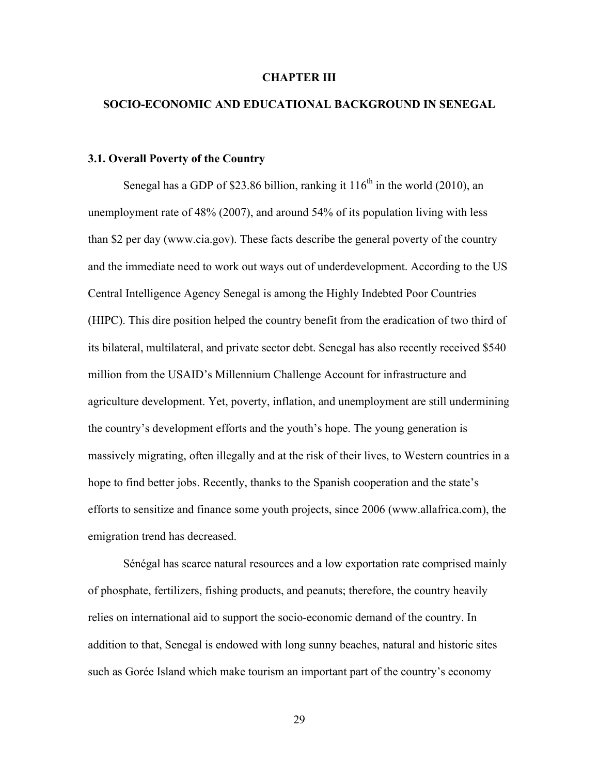#### **CHAPTER III**

### **SOCIO-ECONOMIC AND EDUCATIONAL BACKGROUND IN SENEGAL**

#### **3.1. Overall Poverty of the Country**

Senegal has a GDP of \$23.86 billion, ranking it  $116<sup>th</sup>$  in the world (2010), an unemployment rate of 48% (2007), and around 54% of its population living with less than \$2 per day (www.cia.gov). These facts describe the general poverty of the country and the immediate need to work out ways out of underdevelopment. According to the US Central Intelligence Agency Senegal is among the Highly Indebted Poor Countries (HIPC). This dire position helped the country benefit from the eradication of two third of its bilateral, multilateral, and private sector debt. Senegal has also recently received \$540 million from the USAID's Millennium Challenge Account for infrastructure and agriculture development. Yet, poverty, inflation, and unemployment are still undermining the country's development efforts and the youth's hope. The young generation is massively migrating, often illegally and at the risk of their lives, to Western countries in a hope to find better jobs. Recently, thanks to the Spanish cooperation and the state's efforts to sensitize and finance some youth projects, since 2006 (www.allafrica.com), the emigration trend has decreased.

Sénégal has scarce natural resources and a low exportation rate comprised mainly of phosphate, fertilizers, fishing products, and peanuts; therefore, the country heavily relies on international aid to support the socio-economic demand of the country. In addition to that, Senegal is endowed with long sunny beaches, natural and historic sites such as Gorée Island which make tourism an important part of the country's economy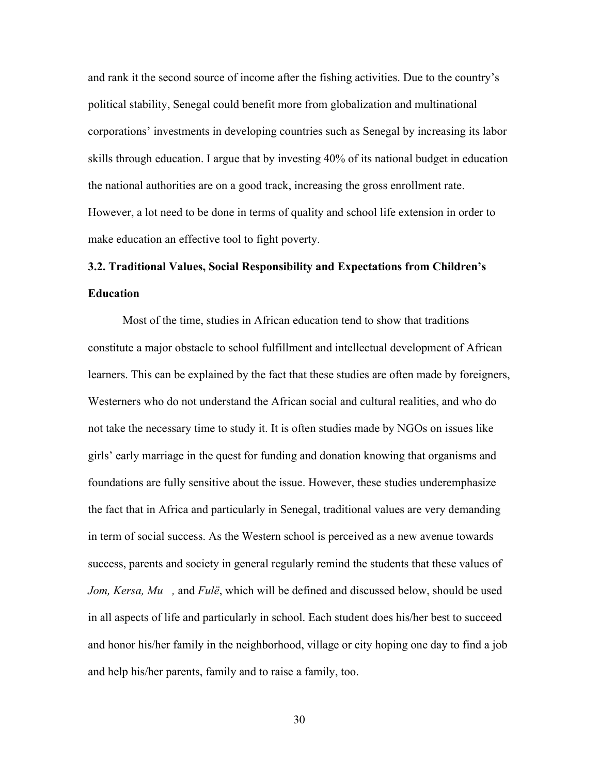and rank it the second source of income after the fishing activities. Due to the country's political stability, Senegal could benefit more from globalization and multinational corporations' investments in developing countries such as Senegal by increasing its labor skills through education. I argue that by investing 40% of its national budget in education the national authorities are on a good track, increasing the gross enrollment rate. However, a lot need to be done in terms of quality and school life extension in order to make education an effective tool to fight poverty.

# **3.2. Traditional Values, Social Responsibility and Expectations from Children's Education**

Most of the time, studies in African education tend to show that traditions constitute a major obstacle to school fulfillment and intellectual development of African learners. This can be explained by the fact that these studies are often made by foreigners, Westerners who do not understand the African social and cultural realities, and who do not take the necessary time to study it. It is often studies made by NGOs on issues like girls' early marriage in the quest for funding and donation knowing that organisms and foundations are fully sensitive about the issue. However, these studies underemphasize the fact that in Africa and particularly in Senegal, traditional values are very demanding in term of social success. As the Western school is perceived as a new avenue towards success, parents and society in general regularly remind the students that these values of *Jom, Kersa, Mu, and Fulë*, which will be defined and discussed below, should be used in all aspects of life and particularly in school. Each student does his/her best to succeed and honor his/her family in the neighborhood, village or city hoping one day to find a job and help his/her parents, family and to raise a family, too.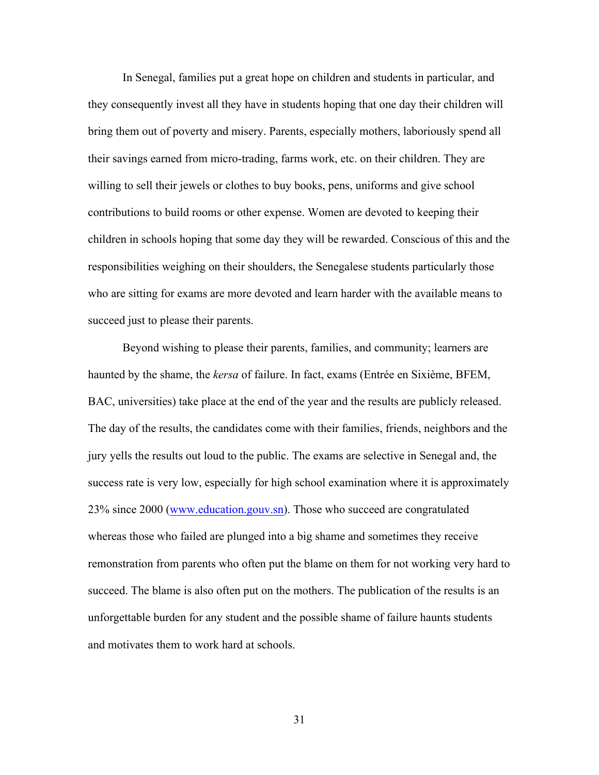In Senegal, families put a great hope on children and students in particular, and they consequently invest all they have in students hoping that one day their children will bring them out of poverty and misery. Parents, especially mothers, laboriously spend all their savings earned from micro-trading, farms work, etc. on their children. They are willing to sell their jewels or clothes to buy books, pens, uniforms and give school contributions to build rooms or other expense. Women are devoted to keeping their children in schools hoping that some day they will be rewarded. Conscious of this and the responsibilities weighing on their shoulders, the Senegalese students particularly those who are sitting for exams are more devoted and learn harder with the available means to succeed just to please their parents.

Beyond wishing to please their parents, families, and community; learners are haunted by the shame, the *kersa* of failure. In fact, exams (Entrée en Sixième, BFEM, BAC, universities) take place at the end of the year and the results are publicly released. The day of the results, the candidates come with their families, friends, neighbors and the jury yells the results out loud to the public. The exams are selective in Senegal and, the success rate is very low, especially for high school examination where it is approximately 23% since 2000 (www.education.gouv.sn). Those who succeed are congratulated whereas those who failed are plunged into a big shame and sometimes they receive remonstration from parents who often put the blame on them for not working very hard to succeed. The blame is also often put on the mothers. The publication of the results is an unforgettable burden for any student and the possible shame of failure haunts students and motivates them to work hard at schools.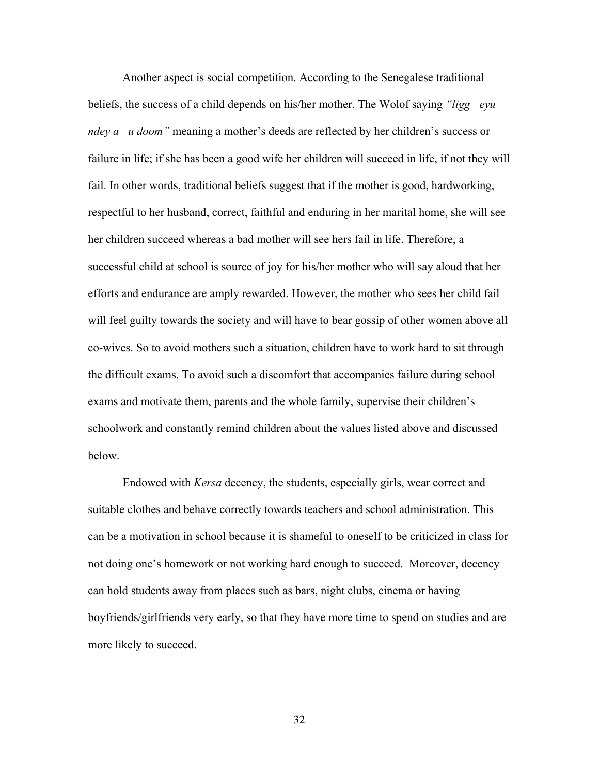Another aspect is social competition. According to the Senegalese traditional beliefs, the success of a child depends on his/her mother. The Wolof saying *"liggeuryu ndey a u doom*" meaning a mother's deeds are reflected by her children's success or failure in life; if she has been a good wife her children will succeed in life, if not they will fail. In other words, traditional beliefs suggest that if the mother is good, hardworking, respectful to her husband, correct, faithful and enduring in her marital home, she will see her children succeed whereas a bad mother will see hers fail in life. Therefore, a successful child at school is source of joy for his/her mother who will say aloud that her efforts and endurance are amply rewarded. However, the mother who sees her child fail will feel guilty towards the society and will have to bear gossip of other women above all co-wives. So to avoid mothers such a situation, children have to work hard to sit through the difficult exams. To avoid such a discomfort that accompanies failure during school exams and motivate them, parents and the whole family, supervise their children's schoolwork and constantly remind children about the values listed above and discussed below.

Endowed with *Kersa* decency, the students, especially girls, wear correct and suitable clothes and behave correctly towards teachers and school administration. This can be a motivation in school because it is shameful to oneself to be criticized in class for not doing one's homework or not working hard enough to succeed. Moreover, decency can hold students away from places such as bars, night clubs, cinema or having boyfriends/girlfriends very early, so that they have more time to spend on studies and are more likely to succeed.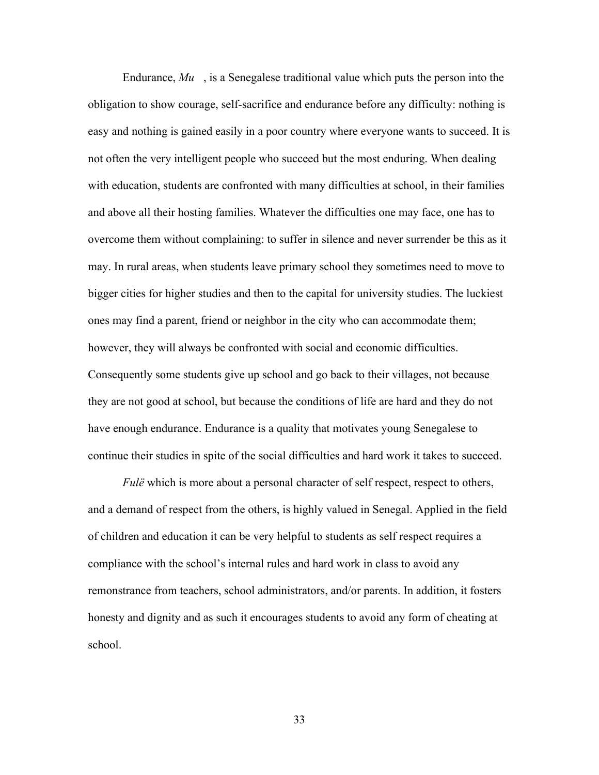Endurance, *Mu*, is a Senegalese traditional value which puts the person into the obligation to show courage, self-sacrifice and endurance before any difficulty: nothing is easy and nothing is gained easily in a poor country where everyone wants to succeed. It is not often the very intelligent people who succeed but the most enduring. When dealing with education, students are confronted with many difficulties at school, in their families and above all their hosting families. Whatever the difficulties one may face, one has to overcome them without complaining: to suffer in silence and never surrender be this as it may. In rural areas, when students leave primary school they sometimes need to move to bigger cities for higher studies and then to the capital for university studies. The luckiest ones may find a parent, friend or neighbor in the city who can accommodate them; however, they will always be confronted with social and economic difficulties. Consequently some students give up school and go back to their villages, not because they are not good at school, but because the conditions of life are hard and they do not have enough endurance. Endurance is a quality that motivates young Senegalese to continue their studies in spite of the social difficulties and hard work it takes to succeed.

*Fulë* which is more about a personal character of self respect, respect to others, and a demand of respect from the others, is highly valued in Senegal. Applied in the field of children and education it can be very helpful to students as self respect requires a compliance with the school's internal rules and hard work in class to avoid any remonstrance from teachers, school administrators, and/or parents. In addition, it fosters honesty and dignity and as such it encourages students to avoid any form of cheating at school.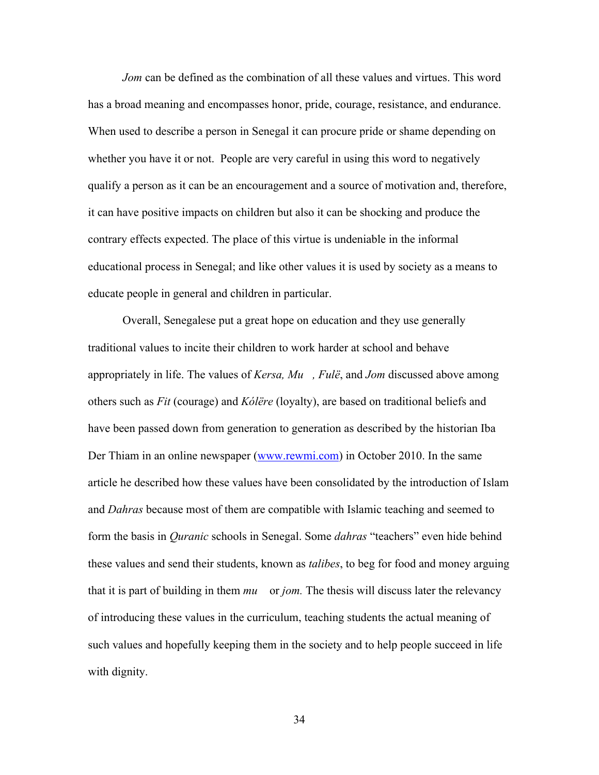*Jom* can be defined as the combination of all these values and virtues. This word has a broad meaning and encompasses honor, pride, courage, resistance, and endurance. When used to describe a person in Senegal it can procure pride or shame depending on whether you have it or not. People are very careful in using this word to negatively qualify a person as it can be an encouragement and a source of motivation and, therefore, it can have positive impacts on children but also it can be shocking and produce the contrary effects expected. The place of this virtue is undeniable in the informal educational process in Senegal; and like other values it is used by society as a means to educate people in general and children in particular.

Overall, Senegalese put a great hope on education and they use generally traditional values to incite their children to work harder at school and behave appropriately in life. The values of *Kersa, Mu, Fulё*, and *Jom* discussed above among others such as *Fit* (courage) and *Kόlёre* (loyalty), are based on traditional beliefs and have been passed down from generation to generation as described by the historian Iba Der Thiam in an online newspaper (www.rewmi.com) in October 2010. In the same article he described how these values have been consolidated by the introduction of Islam and *Dahras* because most of them are compatible with Islamic teaching and seemed to form the basis in *Quranic* schools in Senegal. Some *dahras* "teachers" even hide behind these values and send their students, known as *talibes*, to beg for food and money arguing that it is part of building in them *mu* or *jom.* The thesis will discuss later the relevancy of introducing these values in the curriculum, teaching students the actual meaning of such values and hopefully keeping them in the society and to help people succeed in life with dignity.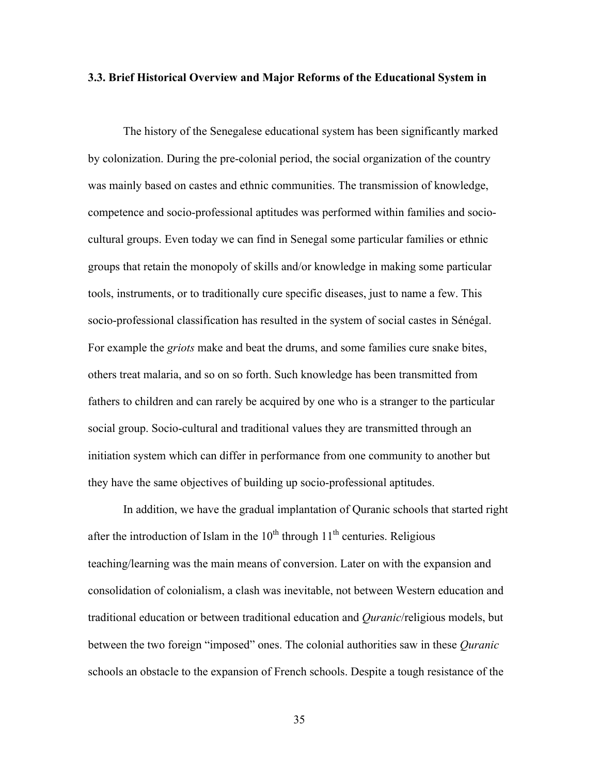#### **3.3. Brief Historical Overview and Major Reforms of the Educational System in**

The history of the Senegalese educational system has been significantly marked by colonization. During the pre-colonial period, the social organization of the country was mainly based on castes and ethnic communities. The transmission of knowledge, competence and socio-professional aptitudes was performed within families and sociocultural groups. Even today we can find in Senegal some particular families or ethnic groups that retain the monopoly of skills and/or knowledge in making some particular tools, instruments, or to traditionally cure specific diseases, just to name a few. This socio-professional classification has resulted in the system of social castes in Sénégal. For example the *griots* make and beat the drums, and some families cure snake bites, others treat malaria, and so on so forth. Such knowledge has been transmitted from fathers to children and can rarely be acquired by one who is a stranger to the particular social group. Socio-cultural and traditional values they are transmitted through an initiation system which can differ in performance from one community to another but they have the same objectives of building up socio-professional aptitudes.

In addition, we have the gradual implantation of Quranic schools that started right after the introduction of Islam in the  $10^{th}$  through  $11^{th}$  centuries. Religious teaching/learning was the main means of conversion. Later on with the expansion and consolidation of colonialism, a clash was inevitable, not between Western education and traditional education or between traditional education and *Quranic*/religious models, but between the two foreign "imposed" ones. The colonial authorities saw in these *Quranic* schools an obstacle to the expansion of French schools. Despite a tough resistance of the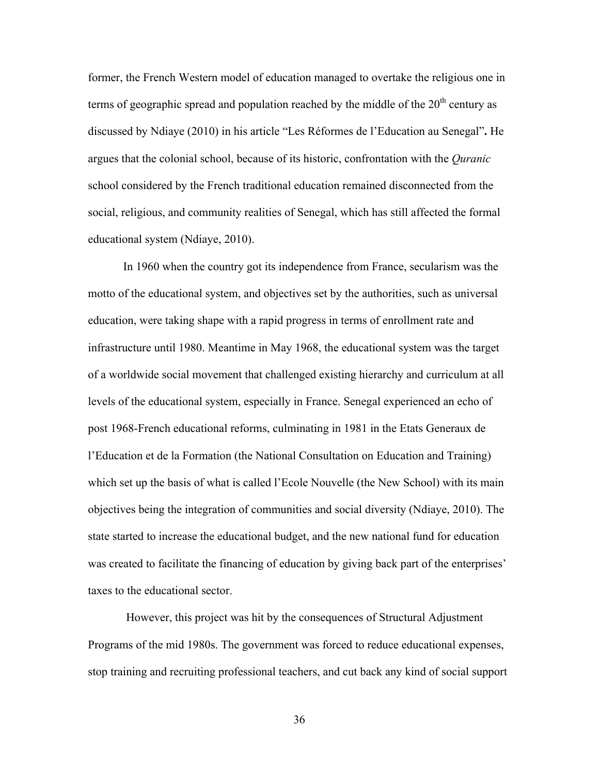former, the French Western model of education managed to overtake the religious one in terms of geographic spread and population reached by the middle of the  $20<sup>th</sup>$  century as discussed by Ndiaye (2010) in his article "Les Réformes de l'Education au Senegal"**.** He argues that the colonial school, because of its historic, confrontation with the *Quranic* school considered by the French traditional education remained disconnected from the social, religious, and community realities of Senegal, which has still affected the formal educational system (Ndiaye, 2010).

In 1960 when the country got its independence from France, secularism was the motto of the educational system, and objectives set by the authorities, such as universal education, were taking shape with a rapid progress in terms of enrollment rate and infrastructure until 1980. Meantime in May 1968, the educational system was the target of a worldwide social movement that challenged existing hierarchy and curriculum at all levels of the educational system, especially in France. Senegal experienced an echo of post 1968-French educational reforms, culminating in 1981 in the Etats Generaux de l'Education et de la Formation (the National Consultation on Education and Training) which set up the basis of what is called l'Ecole Nouvelle (the New School) with its main objectives being the integration of communities and social diversity (Ndiaye, 2010). The state started to increase the educational budget, and the new national fund for education was created to facilitate the financing of education by giving back part of the enterprises' taxes to the educational sector.

However, this project was hit by the consequences of Structural Adjustment Programs of the mid 1980s. The government was forced to reduce educational expenses, stop training and recruiting professional teachers, and cut back any kind of social support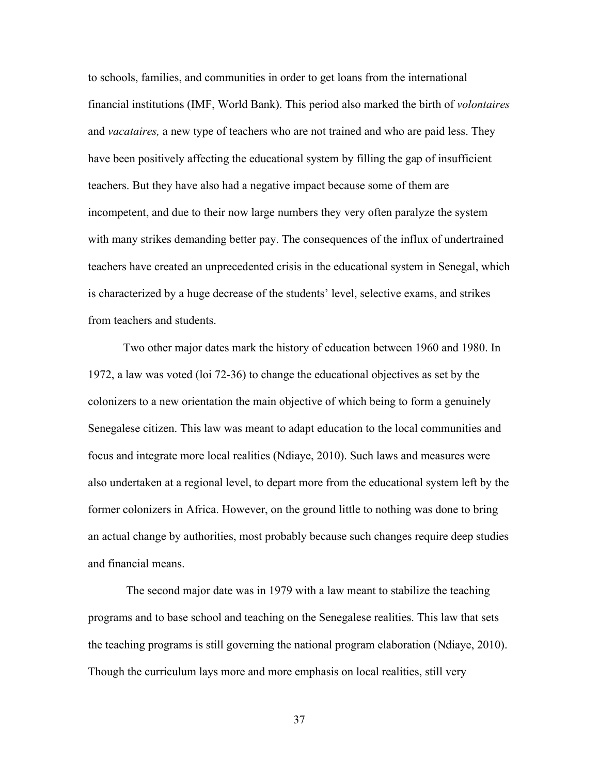to schools, families, and communities in order to get loans from the international financial institutions (IMF, World Bank). This period also marked the birth of *volontaires* and *vacataires,* a new type of teachers who are not trained and who are paid less. They have been positively affecting the educational system by filling the gap of insufficient teachers. But they have also had a negative impact because some of them are incompetent, and due to their now large numbers they very often paralyze the system with many strikes demanding better pay. The consequences of the influx of undertrained teachers have created an unprecedented crisis in the educational system in Senegal, which is characterized by a huge decrease of the students' level, selective exams, and strikes from teachers and students.

Two other major dates mark the history of education between 1960 and 1980. In 1972, a law was voted (loi 72-36) to change the educational objectives as set by the colonizers to a new orientation the main objective of which being to form a genuinely Senegalese citizen. This law was meant to adapt education to the local communities and focus and integrate more local realities (Ndiaye, 2010). Such laws and measures were also undertaken at a regional level, to depart more from the educational system left by the former colonizers in Africa. However, on the ground little to nothing was done to bring an actual change by authorities, most probably because such changes require deep studies and financial means.

The second major date was in 1979 with a law meant to stabilize the teaching programs and to base school and teaching on the Senegalese realities. This law that sets the teaching programs is still governing the national program elaboration (Ndiaye, 2010). Though the curriculum lays more and more emphasis on local realities, still very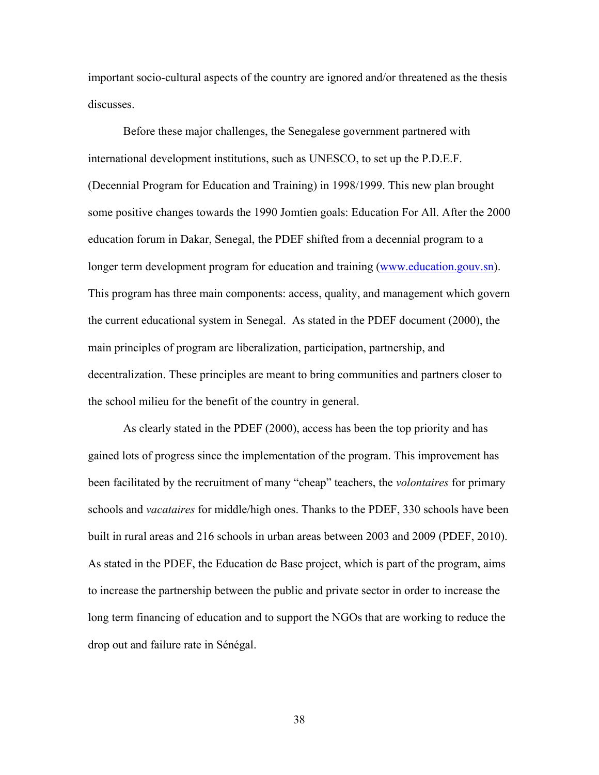important socio-cultural aspects of the country are ignored and/or threatened as the thesis discusses.

Before these major challenges, the Senegalese government partnered with international development institutions, such as UNESCO, to set up the P.D.E.F. (Decennial Program for Education and Training) in 1998/1999. This new plan brought some positive changes towards the 1990 Jomtien goals: Education For All. After the 2000 education forum in Dakar, Senegal, the PDEF shifted from a decennial program to a longer term development program for education and training (www.education.gouv.sn). This program has three main components: access, quality, and management which govern the current educational system in Senegal. As stated in the PDEF document (2000), the main principles of program are liberalization, participation, partnership, and decentralization. These principles are meant to bring communities and partners closer to the school milieu for the benefit of the country in general.

As clearly stated in the PDEF (2000), access has been the top priority and has gained lots of progress since the implementation of the program. This improvement has been facilitated by the recruitment of many "cheap" teachers, the *volontaires* for primary schools and *vacataires* for middle/high ones. Thanks to the PDEF, 330 schools have been built in rural areas and 216 schools in urban areas between 2003 and 2009 (PDEF, 2010). As stated in the PDEF, the Education de Base project, which is part of the program, aims to increase the partnership between the public and private sector in order to increase the long term financing of education and to support the NGOs that are working to reduce the drop out and failure rate in Sénégal.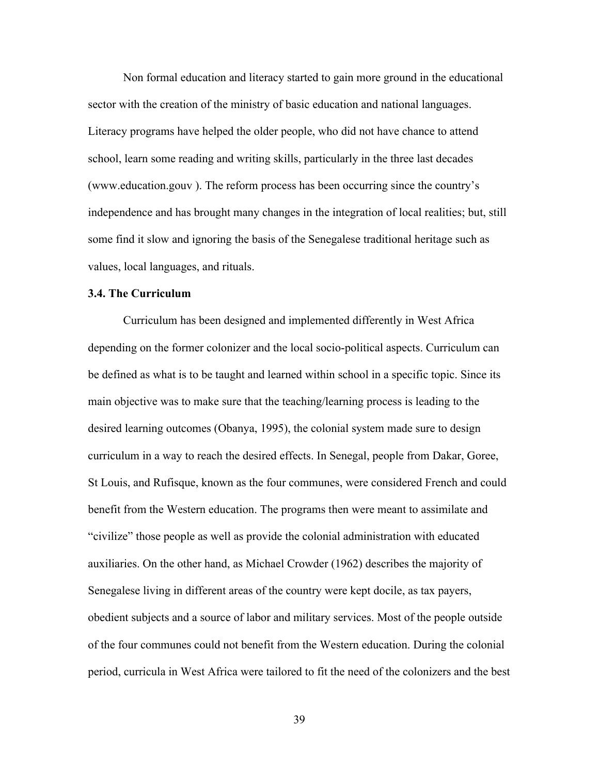Non formal education and literacy started to gain more ground in the educational sector with the creation of the ministry of basic education and national languages. Literacy programs have helped the older people, who did not have chance to attend school, learn some reading and writing skills, particularly in the three last decades (www.education.gouv ). The reform process has been occurring since the country's independence and has brought many changes in the integration of local realities; but, still some find it slow and ignoring the basis of the Senegalese traditional heritage such as values, local languages, and rituals.

### **3.4. The Curriculum**

Curriculum has been designed and implemented differently in West Africa depending on the former colonizer and the local socio-political aspects. Curriculum can be defined as what is to be taught and learned within school in a specific topic. Since its main objective was to make sure that the teaching/learning process is leading to the desired learning outcomes (Obanya, 1995), the colonial system made sure to design curriculum in a way to reach the desired effects. In Senegal, people from Dakar, Goree, St Louis, and Rufisque, known as the four communes, were considered French and could benefit from the Western education. The programs then were meant to assimilate and "civilize" those people as well as provide the colonial administration with educated auxiliaries. On the other hand, as Michael Crowder (1962) describes the majority of Senegalese living in different areas of the country were kept docile, as tax payers, obedient subjects and a source of labor and military services. Most of the people outside of the four communes could not benefit from the Western education. During the colonial period, curricula in West Africa were tailored to fit the need of the colonizers and the best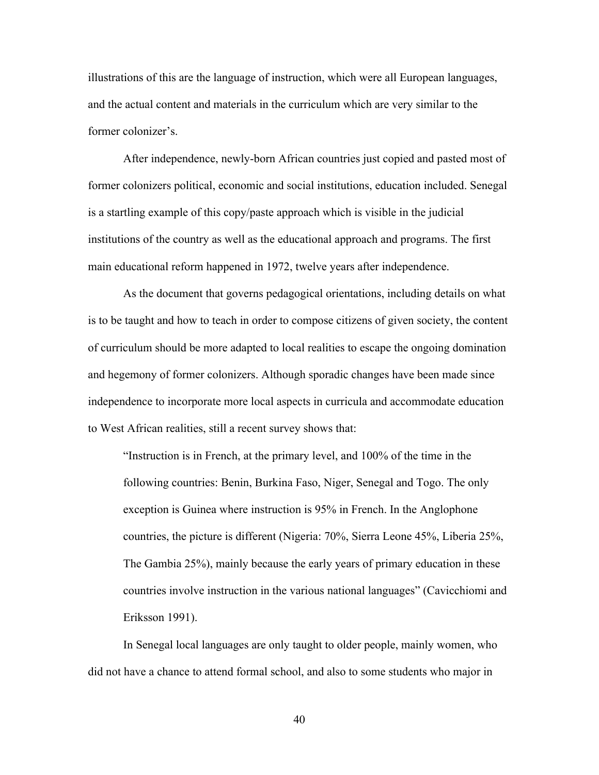illustrations of this are the language of instruction, which were all European languages, and the actual content and materials in the curriculum which are very similar to the former colonizer's.

After independence, newly-born African countries just copied and pasted most of former colonizers political, economic and social institutions, education included. Senegal is a startling example of this copy/paste approach which is visible in the judicial institutions of the country as well as the educational approach and programs. The first main educational reform happened in 1972, twelve years after independence.

As the document that governs pedagogical orientations, including details on what is to be taught and how to teach in order to compose citizens of given society, the content of curriculum should be more adapted to local realities to escape the ongoing domination and hegemony of former colonizers. Although sporadic changes have been made since independence to incorporate more local aspects in curricula and accommodate education to West African realities, still a recent survey shows that:

"Instruction is in French, at the primary level, and 100% of the time in the following countries: Benin, Burkina Faso, Niger, Senegal and Togo. The only exception is Guinea where instruction is 95% in French. In the Anglophone countries, the picture is different (Nigeria: 70%, Sierra Leone 45%, Liberia 25%, The Gambia 25%), mainly because the early years of primary education in these countries involve instruction in the various national languages" (Cavicchiomi and Eriksson 1991).

In Senegal local languages are only taught to older people, mainly women, who did not have a chance to attend formal school, and also to some students who major in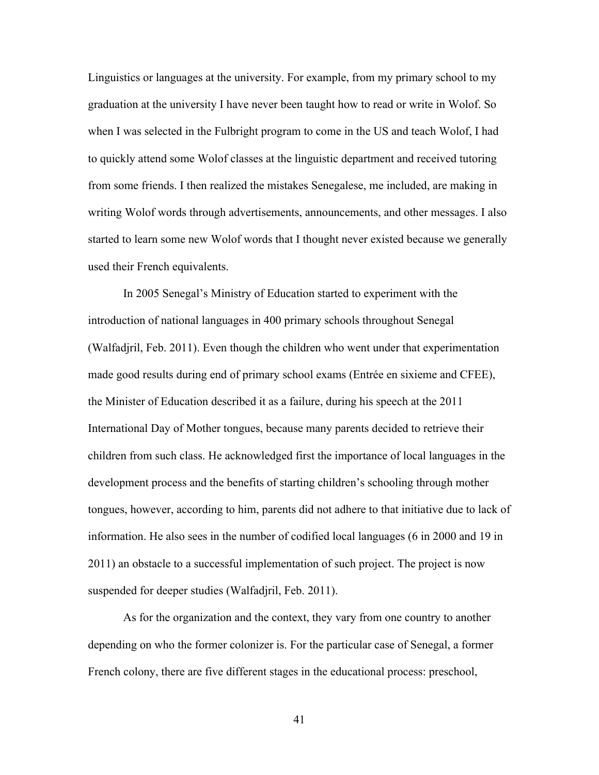Linguistics or languages at the university. For example, from my primary school to my graduation at the university I have never been taught how to read or write in Wolof. So when I was selected in the Fulbright program to come in the US and teach Wolof, I had to quickly attend some Wolof classes at the linguistic department and received tutoring from some friends. I then realized the mistakes Senegalese, me included, are making in writing Wolof words through advertisements, announcements, and other messages. I also started to learn some new Wolof words that I thought never existed because we generally used their French equivalents.

In 2005 Senegal's Ministry of Education started to experiment with the introduction of national languages in 400 primary schools throughout Senegal (Walfadjril, Feb. 2011). Even though the children who went under that experimentation made good results during end of primary school exams (Entrée en sixieme and CFEE), the Minister of Education described it as a failure, during his speech at the 2011 International Day of Mother tongues, because many parents decided to retrieve their children from such class. He acknowledged first the importance of local languages in the development process and the benefits of starting children's schooling through mother tongues, however, according to him, parents did not adhere to that initiative due to lack of information. He also sees in the number of codified local languages (6 in 2000 and 19 in 2011) an obstacle to a successful implementation of such project. The project is now suspended for deeper studies (Walfadjril, Feb. 2011).

As for the organization and the context, they vary from one country to another depending on who the former colonizer is. For the particular case of Senegal, a former French colony, there are five different stages in the educational process: preschool,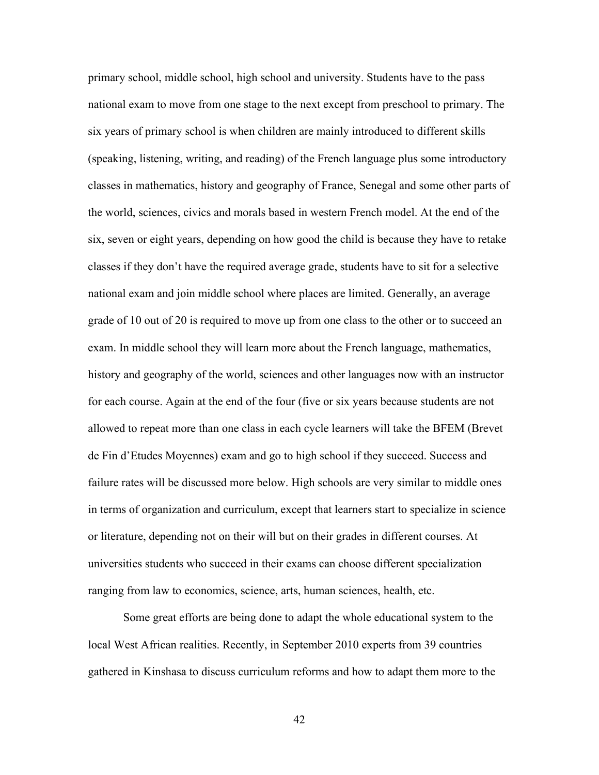primary school, middle school, high school and university. Students have to the pass national exam to move from one stage to the next except from preschool to primary. The six years of primary school is when children are mainly introduced to different skills (speaking, listening, writing, and reading) of the French language plus some introductory classes in mathematics, history and geography of France, Senegal and some other parts of the world, sciences, civics and morals based in western French model. At the end of the six, seven or eight years, depending on how good the child is because they have to retake classes if they don't have the required average grade, students have to sit for a selective national exam and join middle school where places are limited. Generally, an average grade of 10 out of 20 is required to move up from one class to the other or to succeed an exam. In middle school they will learn more about the French language, mathematics, history and geography of the world, sciences and other languages now with an instructor for each course. Again at the end of the four (five or six years because students are not allowed to repeat more than one class in each cycle learners will take the BFEM (Brevet de Fin d'Etudes Moyennes) exam and go to high school if they succeed. Success and failure rates will be discussed more below. High schools are very similar to middle ones in terms of organization and curriculum, except that learners start to specialize in science or literature, depending not on their will but on their grades in different courses. At universities students who succeed in their exams can choose different specialization ranging from law to economics, science, arts, human sciences, health, etc.

Some great efforts are being done to adapt the whole educational system to the local West African realities. Recently, in September 2010 experts from 39 countries gathered in Kinshasa to discuss curriculum reforms and how to adapt them more to the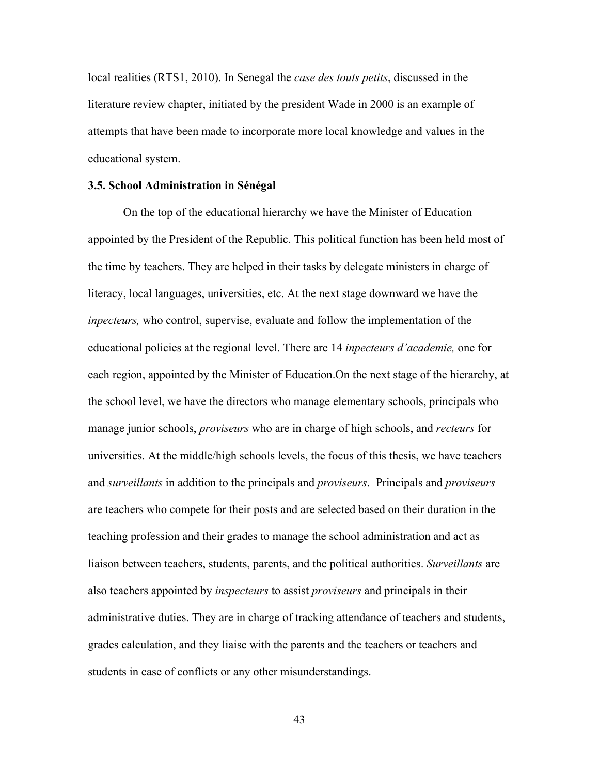local realities (RTS1, 2010). In Senegal the *case des touts petits*, discussed in the literature review chapter, initiated by the president Wade in 2000 is an example of attempts that have been made to incorporate more local knowledge and values in the educational system.

#### **3.5. School Administration in Sénégal**

On the top of the educational hierarchy we have the Minister of Education appointed by the President of the Republic. This political function has been held most of the time by teachers. They are helped in their tasks by delegate ministers in charge of literacy, local languages, universities, etc. At the next stage downward we have the *inpecteurs,* who control, supervise, evaluate and follow the implementation of the educational policies at the regional level. There are 14 *inpecteurs d'academie,* one for each region, appointed by the Minister of Education.On the next stage of the hierarchy, at the school level, we have the directors who manage elementary schools, principals who manage junior schools, *proviseurs* who are in charge of high schools, and *recteurs* for universities. At the middle/high schools levels, the focus of this thesis, we have teachers and *surveillants* in addition to the principals and *proviseurs*. Principals and *proviseurs* are teachers who compete for their posts and are selected based on their duration in the teaching profession and their grades to manage the school administration and act as liaison between teachers, students, parents, and the political authorities. *Surveillants* are also teachers appointed by *inspecteurs* to assist *proviseurs* and principals in their administrative duties. They are in charge of tracking attendance of teachers and students, grades calculation, and they liaise with the parents and the teachers or teachers and students in case of conflicts or any other misunderstandings.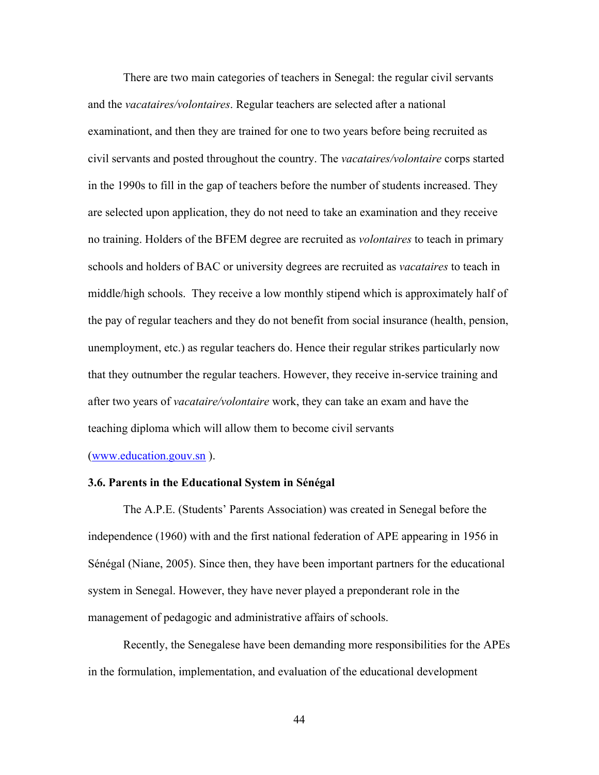There are two main categories of teachers in Senegal: the regular civil servants and the *vacataires/volontaires*. Regular teachers are selected after a national examinationt, and then they are trained for one to two years before being recruited as civil servants and posted throughout the country. The *vacataires/volontaire* corps started in the 1990s to fill in the gap of teachers before the number of students increased. They are selected upon application, they do not need to take an examination and they receive no training. Holders of the BFEM degree are recruited as *volontaires* to teach in primary schools and holders of BAC or university degrees are recruited as *vacataires* to teach in middle/high schools. They receive a low monthly stipend which is approximately half of the pay of regular teachers and they do not benefit from social insurance (health, pension, unemployment, etc.) as regular teachers do. Hence their regular strikes particularly now that they outnumber the regular teachers. However, they receive in-service training and after two years of *vacataire/volontaire* work, they can take an exam and have the teaching diploma which will allow them to become civil servants

(www.education.gouv.sn ).

#### **3.6. Parents in the Educational System in Sénégal**

The A.P.E. (Students' Parents Association) was created in Senegal before the independence (1960) with and the first national federation of APE appearing in 1956 in Sénégal (Niane, 2005). Since then, they have been important partners for the educational system in Senegal. However, they have never played a preponderant role in the management of pedagogic and administrative affairs of schools.

Recently, the Senegalese have been demanding more responsibilities for the APEs in the formulation, implementation, and evaluation of the educational development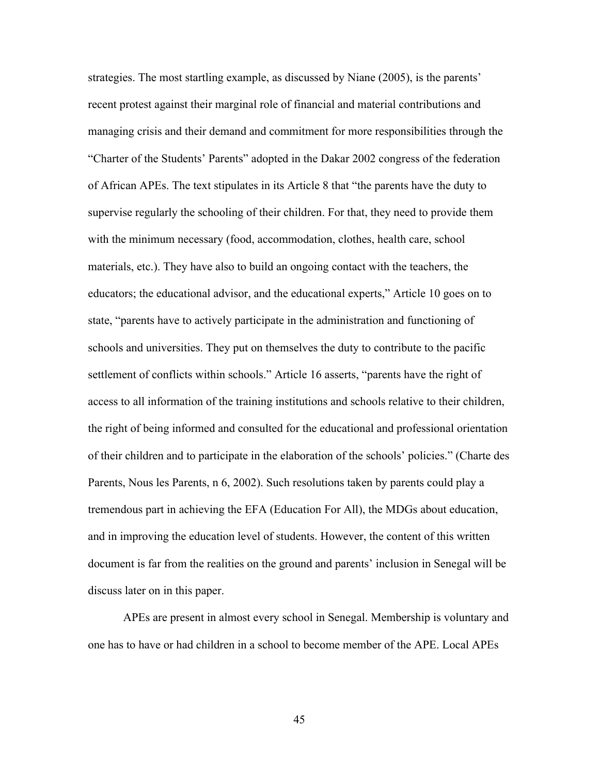strategies. The most startling example, as discussed by Niane (2005), is the parents' recent protest against their marginal role of financial and material contributions and managing crisis and their demand and commitment for more responsibilities through the "Charter of the Students' Parents" adopted in the Dakar 2002 congress of the federation of African APEs. The text stipulates in its Article 8 that "the parents have the duty to supervise regularly the schooling of their children. For that, they need to provide them with the minimum necessary (food, accommodation, clothes, health care, school materials, etc.). They have also to build an ongoing contact with the teachers, the educators; the educational advisor, and the educational experts," Article 10 goes on to state, "parents have to actively participate in the administration and functioning of schools and universities. They put on themselves the duty to contribute to the pacific settlement of conflicts within schools." Article 16 asserts, "parents have the right of access to all information of the training institutions and schools relative to their children, the right of being informed and consulted for the educational and professional orientation of their children and to participate in the elaboration of the schools' policies." (Charte des Parents, Nous les Parents, n 6, 2002). Such resolutions taken by parents could play a tremendous part in achieving the EFA (Education For All), the MDGs about education, and in improving the education level of students. However, the content of this written document is far from the realities on the ground and parents' inclusion in Senegal will be discuss later on in this paper.

APEs are present in almost every school in Senegal. Membership is voluntary and one has to have or had children in a school to become member of the APE. Local APEs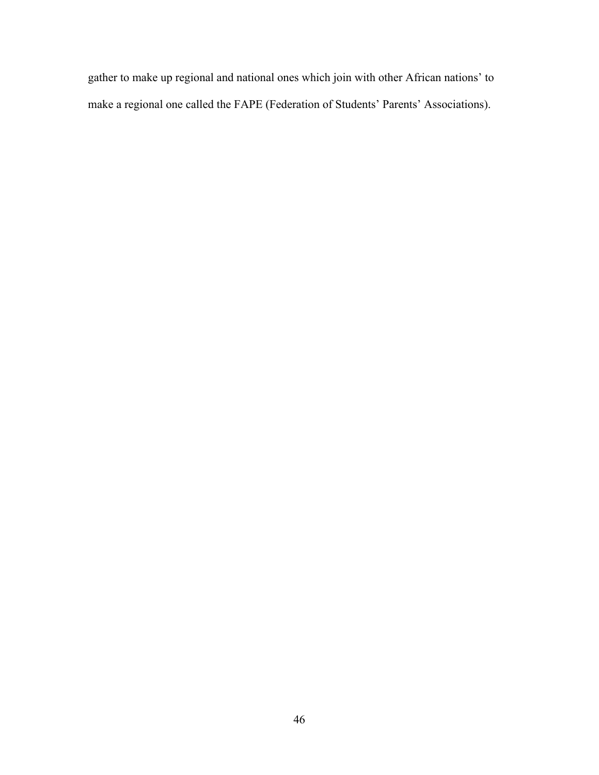gather to make up regional and national ones which join with other African nations' to make a regional one called the FAPE (Federation of Students' Parents' Associations).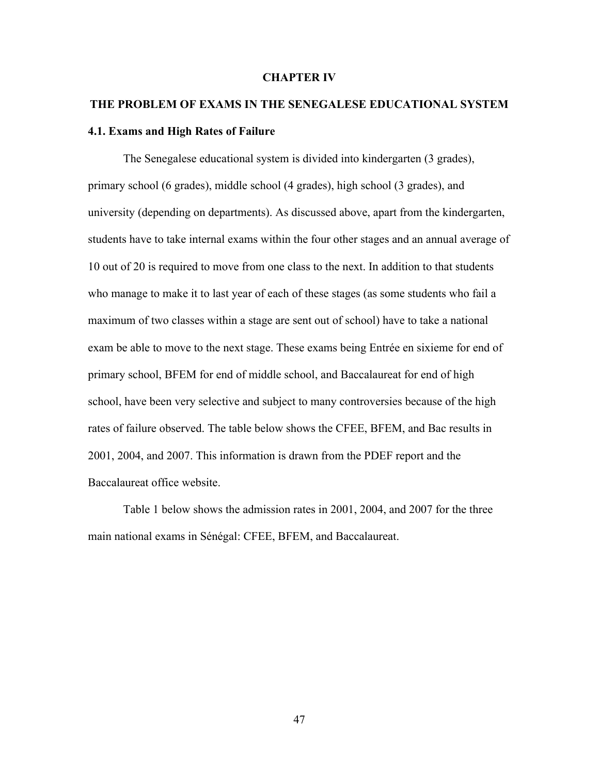#### **CHAPTER IV**

## **THE PROBLEM OF EXAMS IN THE SENEGALESE EDUCATIONAL SYSTEM 4.1. Exams and High Rates of Failure**

The Senegalese educational system is divided into kindergarten (3 grades), primary school (6 grades), middle school (4 grades), high school (3 grades), and university (depending on departments). As discussed above, apart from the kindergarten, students have to take internal exams within the four other stages and an annual average of 10 out of 20 is required to move from one class to the next. In addition to that students who manage to make it to last year of each of these stages (as some students who fail a maximum of two classes within a stage are sent out of school) have to take a national exam be able to move to the next stage. These exams being Entrée en sixieme for end of primary school, BFEM for end of middle school, and Baccalaureat for end of high school, have been very selective and subject to many controversies because of the high rates of failure observed. The table below shows the CFEE, BFEM, and Bac results in 2001, 2004, and 2007. This information is drawn from the PDEF report and the Baccalaureat office website.

Table 1 below shows the admission rates in 2001, 2004, and 2007 for the three main national exams in Sénégal: CFEE, BFEM, and Baccalaureat.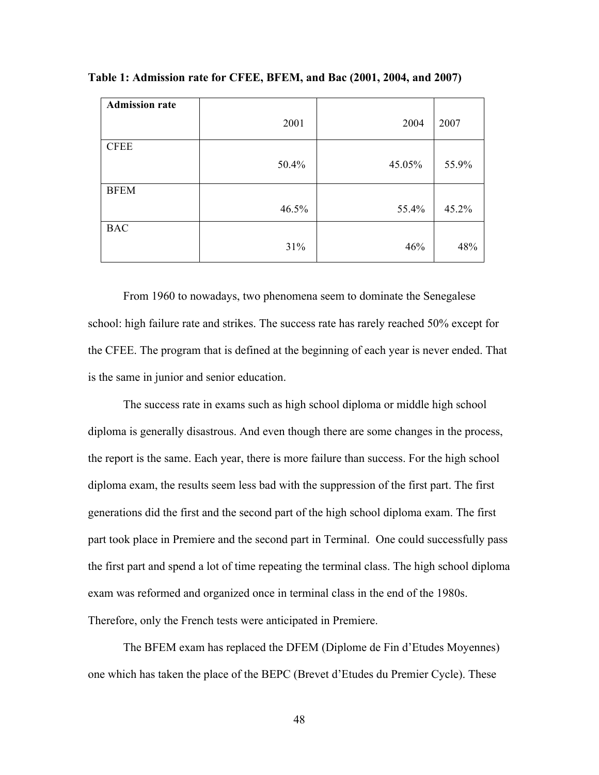| <b>Admission rate</b> |       |        |       |
|-----------------------|-------|--------|-------|
|                       | 2001  | 2004   | 2007  |
| <b>CFEE</b>           |       |        |       |
|                       | 50.4% | 45.05% | 55.9% |
| <b>BFEM</b>           |       |        |       |
|                       | 46.5% | 55.4%  | 45.2% |
| <b>BAC</b>            |       |        |       |
|                       | 31%   | 46%    | 48%   |

**Table 1: Admission rate for CFEE, BFEM, and Bac (2001, 2004, and 2007)**

From 1960 to nowadays, two phenomena seem to dominate the Senegalese school: high failure rate and strikes. The success rate has rarely reached 50% except for the CFEE. The program that is defined at the beginning of each year is never ended. That is the same in junior and senior education.

The success rate in exams such as high school diploma or middle high school diploma is generally disastrous. And even though there are some changes in the process, the report is the same. Each year, there is more failure than success. For the high school diploma exam, the results seem less bad with the suppression of the first part. The first generations did the first and the second part of the high school diploma exam. The first part took place in Premiere and the second part in Terminal. One could successfully pass the first part and spend a lot of time repeating the terminal class. The high school diploma exam was reformed and organized once in terminal class in the end of the 1980s. Therefore, only the French tests were anticipated in Premiere.

The BFEM exam has replaced the DFEM (Diplome de Fin d'Etudes Moyennes) one which has taken the place of the BEPC (Brevet d'Etudes du Premier Cycle). These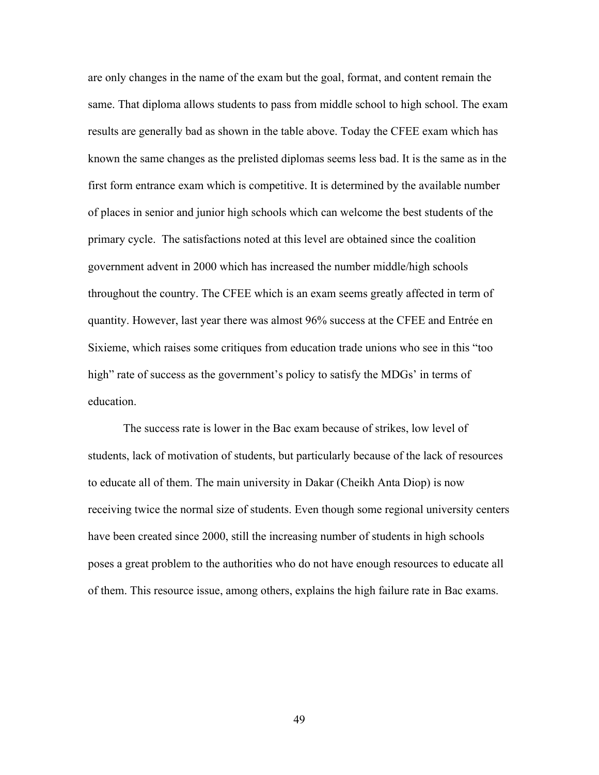are only changes in the name of the exam but the goal, format, and content remain the same. That diploma allows students to pass from middle school to high school. The exam results are generally bad as shown in the table above. Today the CFEE exam which has known the same changes as the prelisted diplomas seems less bad. It is the same as in the first form entrance exam which is competitive. It is determined by the available number of places in senior and junior high schools which can welcome the best students of the primary cycle. The satisfactions noted at this level are obtained since the coalition government advent in 2000 which has increased the number middle/high schools throughout the country. The CFEE which is an exam seems greatly affected in term of quantity. However, last year there was almost 96% success at the CFEE and Entrée en Sixieme, which raises some critiques from education trade unions who see in this "too high" rate of success as the government's policy to satisfy the MDGs' in terms of education.

The success rate is lower in the Bac exam because of strikes, low level of students, lack of motivation of students, but particularly because of the lack of resources to educate all of them. The main university in Dakar (Cheikh Anta Diop) is now receiving twice the normal size of students. Even though some regional university centers have been created since 2000, still the increasing number of students in high schools poses a great problem to the authorities who do not have enough resources to educate all of them. This resource issue, among others, explains the high failure rate in Bac exams.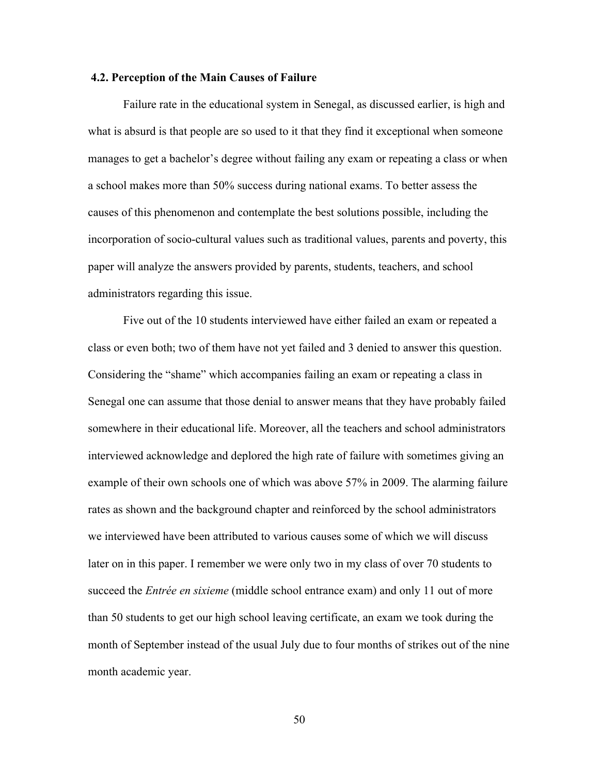#### **4.2. Perception of the Main Causes of Failure**

Failure rate in the educational system in Senegal, as discussed earlier, is high and what is absurd is that people are so used to it that they find it exceptional when someone manages to get a bachelor's degree without failing any exam or repeating a class or when a school makes more than 50% success during national exams. To better assess the causes of this phenomenon and contemplate the best solutions possible, including the incorporation of socio-cultural values such as traditional values, parents and poverty, this paper will analyze the answers provided by parents, students, teachers, and school administrators regarding this issue.

Five out of the 10 students interviewed have either failed an exam or repeated a class or even both; two of them have not yet failed and 3 denied to answer this question. Considering the "shame" which accompanies failing an exam or repeating a class in Senegal one can assume that those denial to answer means that they have probably failed somewhere in their educational life. Moreover, all the teachers and school administrators interviewed acknowledge and deplored the high rate of failure with sometimes giving an example of their own schools one of which was above 57% in 2009. The alarming failure rates as shown and the background chapter and reinforced by the school administrators we interviewed have been attributed to various causes some of which we will discuss later on in this paper. I remember we were only two in my class of over 70 students to succeed the *Entrée en sixieme* (middle school entrance exam) and only 11 out of more than 50 students to get our high school leaving certificate, an exam we took during the month of September instead of the usual July due to four months of strikes out of the nine month academic year.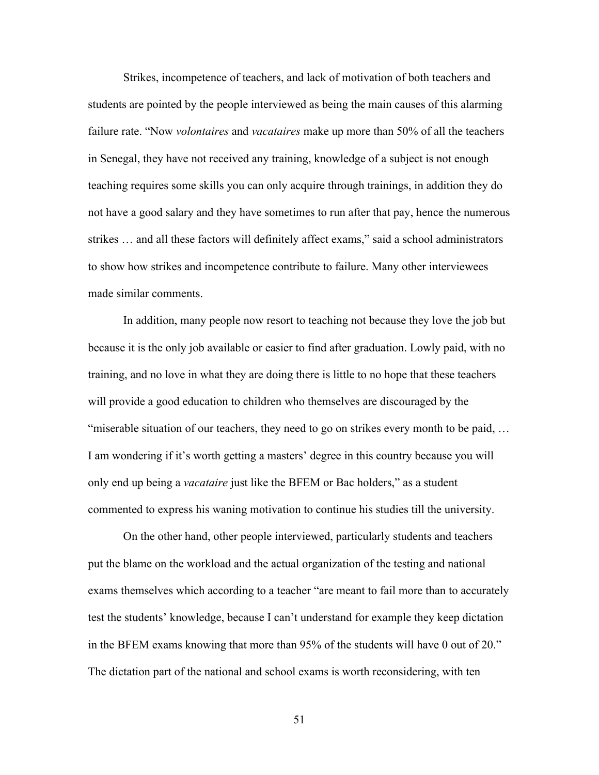Strikes, incompetence of teachers, and lack of motivation of both teachers and students are pointed by the people interviewed as being the main causes of this alarming failure rate. "Now *volontaires* and *vacataires* make up more than 50% of all the teachers in Senegal, they have not received any training, knowledge of a subject is not enough teaching requires some skills you can only acquire through trainings, in addition they do not have a good salary and they have sometimes to run after that pay, hence the numerous strikes … and all these factors will definitely affect exams," said a school administrators to show how strikes and incompetence contribute to failure. Many other interviewees made similar comments.

In addition, many people now resort to teaching not because they love the job but because it is the only job available or easier to find after graduation. Lowly paid, with no training, and no love in what they are doing there is little to no hope that these teachers will provide a good education to children who themselves are discouraged by the "miserable situation of our teachers, they need to go on strikes every month to be paid, … I am wondering if it's worth getting a masters' degree in this country because you will only end up being a *vacataire* just like the BFEM or Bac holders," as a student commented to express his waning motivation to continue his studies till the university.

On the other hand, other people interviewed, particularly students and teachers put the blame on the workload and the actual organization of the testing and national exams themselves which according to a teacher "are meant to fail more than to accurately test the students' knowledge, because I can't understand for example they keep dictation in the BFEM exams knowing that more than 95% of the students will have 0 out of 20." The dictation part of the national and school exams is worth reconsidering, with ten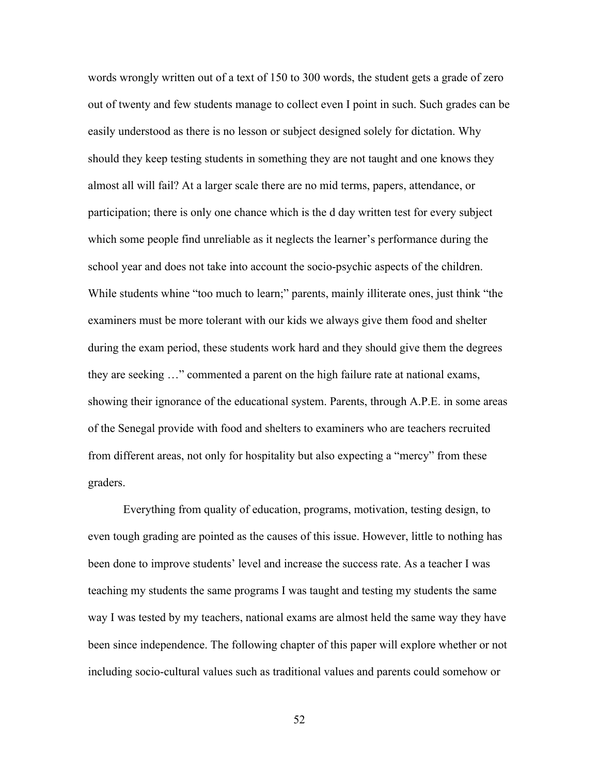words wrongly written out of a text of 150 to 300 words, the student gets a grade of zero out of twenty and few students manage to collect even I point in such. Such grades can be easily understood as there is no lesson or subject designed solely for dictation. Why should they keep testing students in something they are not taught and one knows they almost all will fail? At a larger scale there are no mid terms, papers, attendance, or participation; there is only one chance which is the d day written test for every subject which some people find unreliable as it neglects the learner's performance during the school year and does not take into account the socio-psychic aspects of the children. While students whine "too much to learn;" parents, mainly illiterate ones, just think "the examiners must be more tolerant with our kids we always give them food and shelter during the exam period, these students work hard and they should give them the degrees they are seeking …" commented a parent on the high failure rate at national exams, showing their ignorance of the educational system. Parents, through A.P.E. in some areas of the Senegal provide with food and shelters to examiners who are teachers recruited from different areas, not only for hospitality but also expecting a "mercy" from these graders.

Everything from quality of education, programs, motivation, testing design, to even tough grading are pointed as the causes of this issue. However, little to nothing has been done to improve students' level and increase the success rate. As a teacher I was teaching my students the same programs I was taught and testing my students the same way I was tested by my teachers, national exams are almost held the same way they have been since independence. The following chapter of this paper will explore whether or not including socio-cultural values such as traditional values and parents could somehow or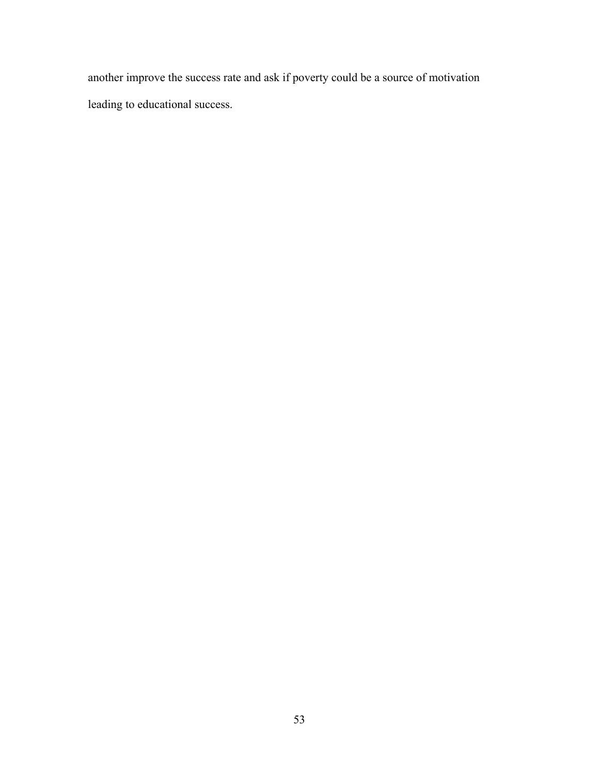another improve the success rate and ask if poverty could be a source of motivation leading to educational success.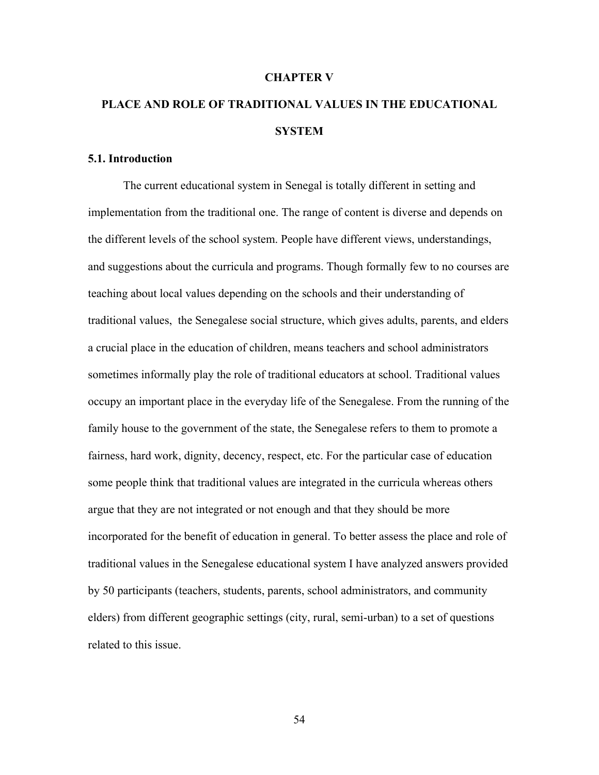#### **CHAPTER V**

# **PLACE AND ROLE OF TRADITIONAL VALUES IN THE EDUCATIONAL SYSTEM**

#### **5.1. Introduction**

The current educational system in Senegal is totally different in setting and implementation from the traditional one. The range of content is diverse and depends on the different levels of the school system. People have different views, understandings, and suggestions about the curricula and programs. Though formally few to no courses are teaching about local values depending on the schools and their understanding of traditional values, the Senegalese social structure, which gives adults, parents, and elders a crucial place in the education of children, means teachers and school administrators sometimes informally play the role of traditional educators at school. Traditional values occupy an important place in the everyday life of the Senegalese. From the running of the family house to the government of the state, the Senegalese refers to them to promote a fairness, hard work, dignity, decency, respect, etc. For the particular case of education some people think that traditional values are integrated in the curricula whereas others argue that they are not integrated or not enough and that they should be more incorporated for the benefit of education in general. To better assess the place and role of traditional values in the Senegalese educational system I have analyzed answers provided by 50 participants (teachers, students, parents, school administrators, and community elders) from different geographic settings (city, rural, semi-urban) to a set of questions related to this issue.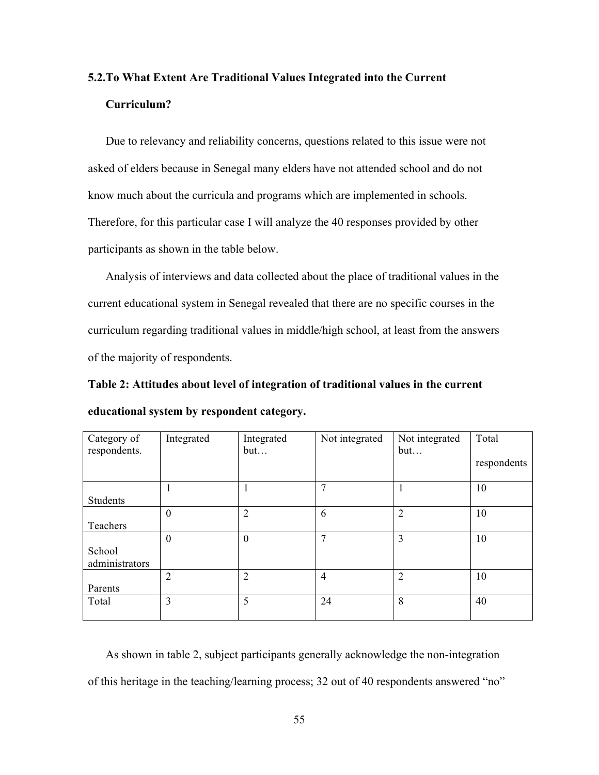## **5.2.To What Extent Are Traditional Values Integrated into the Current Curriculum?**

Due to relevancy and reliability concerns, questions related to this issue were not asked of elders because in Senegal many elders have not attended school and do not know much about the curricula and programs which are implemented in schools. Therefore, for this particular case I will analyze the 40 responses provided by other participants as shown in the table below.

Analysis of interviews and data collected about the place of traditional values in the current educational system in Senegal revealed that there are no specific courses in the curriculum regarding traditional values in middle/high school, at least from the answers of the majority of respondents.

**Table 2: Attitudes about level of integration of traditional values in the current educational system by respondent category.**

| Category of<br>respondents. | Integrated       | Integrated<br>but | Not integrated | Not integrated<br>but | Total<br>respondents |
|-----------------------------|------------------|-------------------|----------------|-----------------------|----------------------|
| <b>Students</b>             |                  |                   | 7              |                       | 10                   |
| Teachers                    | $\boldsymbol{0}$ | $\overline{2}$    | 6              | $\overline{2}$        | 10                   |
| School<br>administrators    | $\boldsymbol{0}$ | $\theta$          | $\mathbf{r}$   | 3                     | 10                   |
| Parents                     | $\overline{2}$   | 2                 | $\overline{4}$ | $\overline{2}$        | 10                   |
| Total                       | 3                | 5                 | 24             | 8                     | 40                   |

As shown in table 2, subject participants generally acknowledge the non-integration of this heritage in the teaching/learning process; 32 out of 40 respondents answered "no"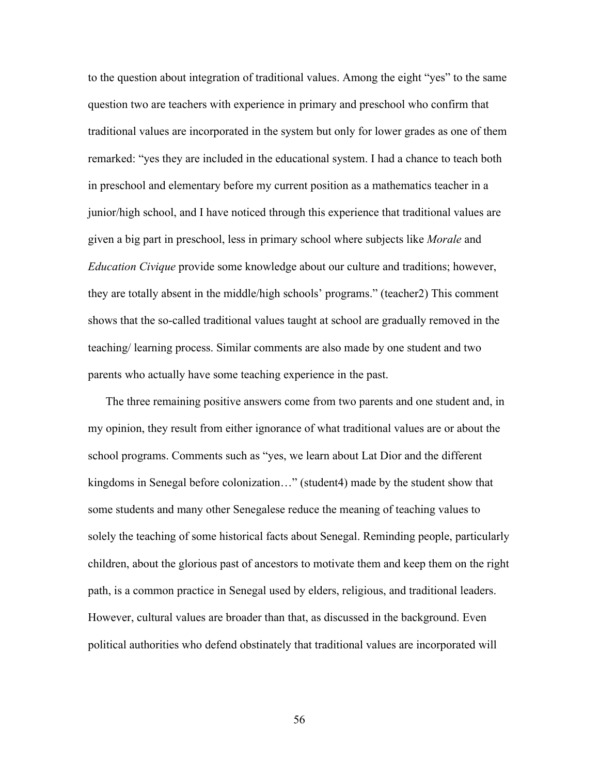to the question about integration of traditional values. Among the eight "yes" to the same question two are teachers with experience in primary and preschool who confirm that traditional values are incorporated in the system but only for lower grades as one of them remarked: "yes they are included in the educational system. I had a chance to teach both in preschool and elementary before my current position as a mathematics teacher in a junior/high school, and I have noticed through this experience that traditional values are given a big part in preschool, less in primary school where subjects like *Morale* and *Education Civique* provide some knowledge about our culture and traditions; however, they are totally absent in the middle/high schools' programs." (teacher2) This comment shows that the so-called traditional values taught at school are gradually removed in the teaching/ learning process. Similar comments are also made by one student and two parents who actually have some teaching experience in the past.

The three remaining positive answers come from two parents and one student and, in my opinion, they result from either ignorance of what traditional values are or about the school programs. Comments such as "yes, we learn about Lat Dior and the different kingdoms in Senegal before colonization…" (student4) made by the student show that some students and many other Senegalese reduce the meaning of teaching values to solely the teaching of some historical facts about Senegal. Reminding people, particularly children, about the glorious past of ancestors to motivate them and keep them on the right path, is a common practice in Senegal used by elders, religious, and traditional leaders. However, cultural values are broader than that, as discussed in the background. Even political authorities who defend obstinately that traditional values are incorporated will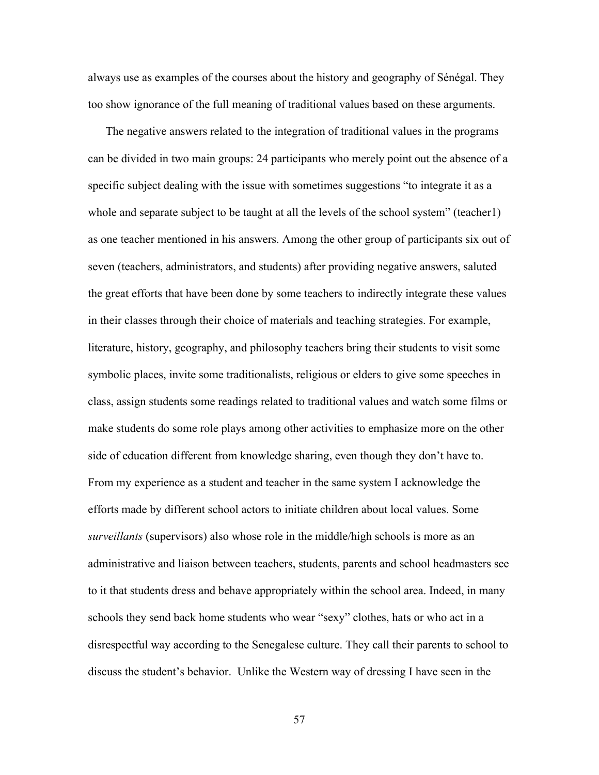always use as examples of the courses about the history and geography of Sénégal. They too show ignorance of the full meaning of traditional values based on these arguments.

The negative answers related to the integration of traditional values in the programs can be divided in two main groups: 24 participants who merely point out the absence of a specific subject dealing with the issue with sometimes suggestions "to integrate it as a whole and separate subject to be taught at all the levels of the school system" (teacher1) as one teacher mentioned in his answers. Among the other group of participants six out of seven (teachers, administrators, and students) after providing negative answers, saluted the great efforts that have been done by some teachers to indirectly integrate these values in their classes through their choice of materials and teaching strategies. For example, literature, history, geography, and philosophy teachers bring their students to visit some symbolic places, invite some traditionalists, religious or elders to give some speeches in class, assign students some readings related to traditional values and watch some films or make students do some role plays among other activities to emphasize more on the other side of education different from knowledge sharing, even though they don't have to. From my experience as a student and teacher in the same system I acknowledge the efforts made by different school actors to initiate children about local values. Some *surveillants* (supervisors) also whose role in the middle/high schools is more as an administrative and liaison between teachers, students, parents and school headmasters see to it that students dress and behave appropriately within the school area. Indeed, in many schools they send back home students who wear "sexy" clothes, hats or who act in a disrespectful way according to the Senegalese culture. They call their parents to school to discuss the student's behavior. Unlike the Western way of dressing I have seen in the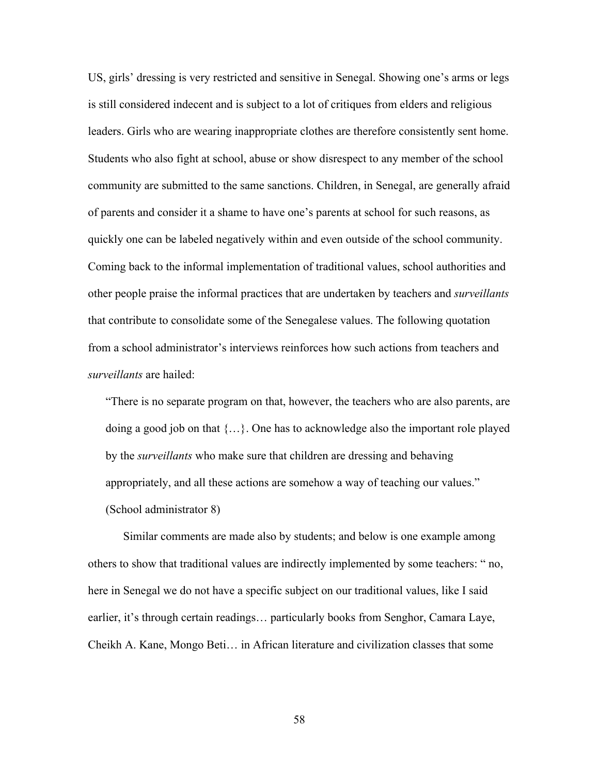US, girls' dressing is very restricted and sensitive in Senegal. Showing one's arms or legs is still considered indecent and is subject to a lot of critiques from elders and religious leaders. Girls who are wearing inappropriate clothes are therefore consistently sent home. Students who also fight at school, abuse or show disrespect to any member of the school community are submitted to the same sanctions. Children, in Senegal, are generally afraid of parents and consider it a shame to have one's parents at school for such reasons, as quickly one can be labeled negatively within and even outside of the school community. Coming back to the informal implementation of traditional values, school authorities and other people praise the informal practices that are undertaken by teachers and *surveillants* that contribute to consolidate some of the Senegalese values. The following quotation from a school administrator's interviews reinforces how such actions from teachers and *surveillants* are hailed:

"There is no separate program on that, however, the teachers who are also parents, are doing a good job on that {…}. One has to acknowledge also the important role played by the *surveillants* who make sure that children are dressing and behaving appropriately, and all these actions are somehow a way of teaching our values." (School administrator 8)

Similar comments are made also by students; and below is one example among others to show that traditional values are indirectly implemented by some teachers: " no, here in Senegal we do not have a specific subject on our traditional values, like I said earlier, it's through certain readings… particularly books from Senghor, Camara Laye, Cheikh A. Kane, Mongo Beti… in African literature and civilization classes that some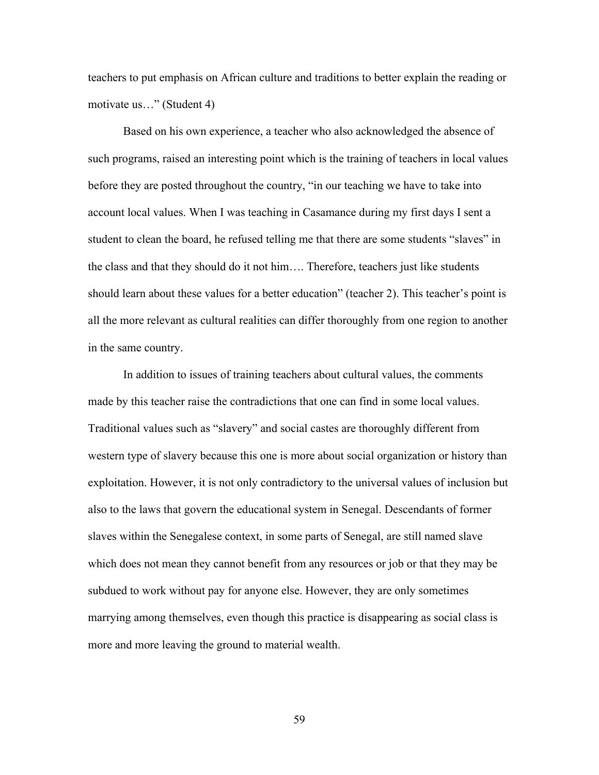teachers to put emphasis on African culture and traditions to better explain the reading or motivate us…" (Student 4)

Based on his own experience, a teacher who also acknowledged the absence of such programs, raised an interesting point which is the training of teachers in local values before they are posted throughout the country, "in our teaching we have to take into account local values. When I was teaching in Casamance during my first days I sent a student to clean the board, he refused telling me that there are some students "slaves" in the class and that they should do it not him…. Therefore, teachers just like students should learn about these values for a better education" (teacher 2). This teacher's point is all the more relevant as cultural realities can differ thoroughly from one region to another in the same country.

In addition to issues of training teachers about cultural values, the comments made by this teacher raise the contradictions that one can find in some local values. Traditional values such as "slavery" and social castes are thoroughly different from western type of slavery because this one is more about social organization or history than exploitation. However, it is not only contradictory to the universal values of inclusion but also to the laws that govern the educational system in Senegal. Descendants of former slaves within the Senegalese context, in some parts of Senegal, are still named slave which does not mean they cannot benefit from any resources or job or that they may be subdued to work without pay for anyone else. However, they are only sometimes marrying among themselves, even though this practice is disappearing as social class is more and more leaving the ground to material wealth.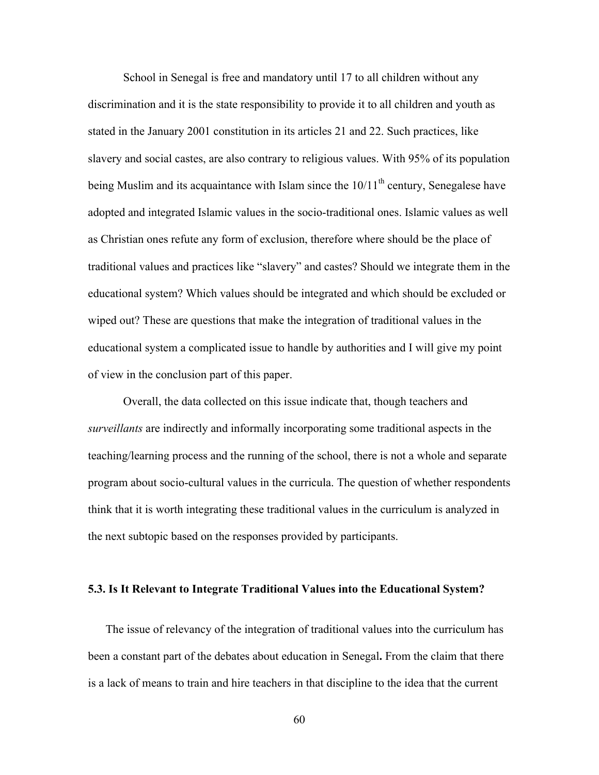School in Senegal is free and mandatory until 17 to all children without any discrimination and it is the state responsibility to provide it to all children and youth as stated in the January 2001 constitution in its articles 21 and 22. Such practices, like slavery and social castes, are also contrary to religious values. With 95% of its population being Muslim and its acquaintance with Islam since the  $10/11<sup>th</sup>$  century, Senegalese have adopted and integrated Islamic values in the socio-traditional ones. Islamic values as well as Christian ones refute any form of exclusion, therefore where should be the place of traditional values and practices like "slavery" and castes? Should we integrate them in the educational system? Which values should be integrated and which should be excluded or wiped out? These are questions that make the integration of traditional values in the educational system a complicated issue to handle by authorities and I will give my point of view in the conclusion part of this paper.

Overall, the data collected on this issue indicate that, though teachers and *surveillants* are indirectly and informally incorporating some traditional aspects in the teaching/learning process and the running of the school, there is not a whole and separate program about socio-cultural values in the curricula. The question of whether respondents think that it is worth integrating these traditional values in the curriculum is analyzed in the next subtopic based on the responses provided by participants.

### **5.3. Is It Relevant to Integrate Traditional Values into the Educational System?**

The issue of relevancy of the integration of traditional values into the curriculum has been a constant part of the debates about education in Senegal**.** From the claim that there is a lack of means to train and hire teachers in that discipline to the idea that the current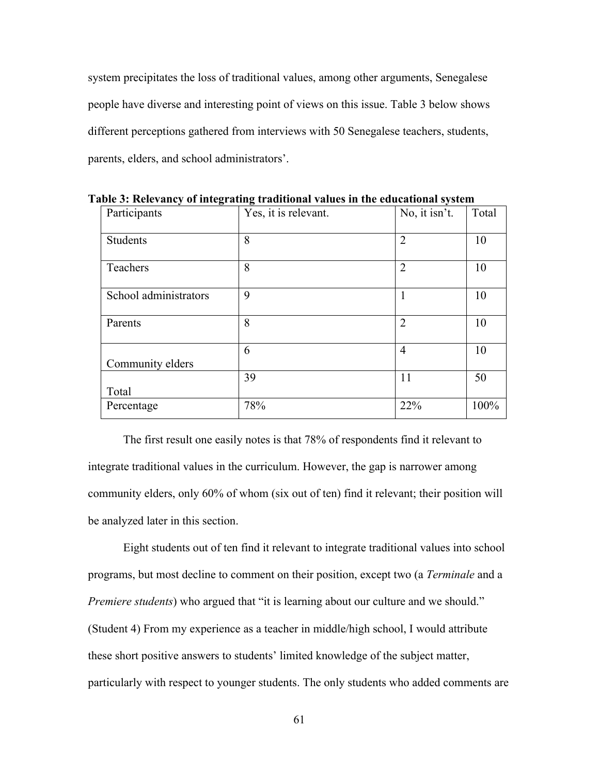system precipitates the loss of traditional values, among other arguments, Senegalese people have diverse and interesting point of views on this issue. Table 3 below shows different perceptions gathered from interviews with 50 Senegalese teachers, students, parents, elders, and school administrators'.

| Participants          | Yes, it is relevant. | No, it isn't.  | Total |
|-----------------------|----------------------|----------------|-------|
| Students              | 8                    | $\overline{2}$ | 10    |
| Teachers              | 8                    | $\overline{2}$ | 10    |
| School administrators | 9                    | $\mathbf{1}$   | 10    |
| Parents               | 8                    | $\overline{2}$ | 10    |
| Community elders      | 6                    | $\overline{4}$ | 10    |
| Total                 | 39                   | 11             | 50    |
| Percentage            | 78%                  | 22%            | 100%  |

**Table 3: Relevancy of integrating traditional values in the educational system**

The first result one easily notes is that 78% of respondents find it relevant to integrate traditional values in the curriculum. However, the gap is narrower among community elders, only 60% of whom (six out of ten) find it relevant; their position will be analyzed later in this section.

Eight students out of ten find it relevant to integrate traditional values into school programs, but most decline to comment on their position, except two (a *Terminale* and a *Premiere students*) who argued that "it is learning about our culture and we should." (Student 4) From my experience as a teacher in middle/high school, I would attribute these short positive answers to students' limited knowledge of the subject matter, particularly with respect to younger students. The only students who added comments are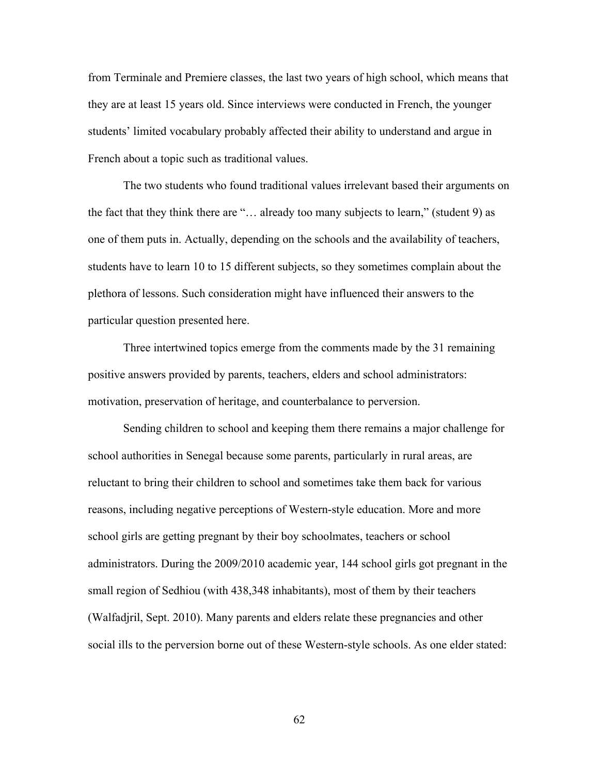from Terminale and Premiere classes, the last two years of high school, which means that they are at least 15 years old. Since interviews were conducted in French, the younger students' limited vocabulary probably affected their ability to understand and argue in French about a topic such as traditional values.

The two students who found traditional values irrelevant based their arguments on the fact that they think there are "… already too many subjects to learn," (student 9) as one of them puts in. Actually, depending on the schools and the availability of teachers, students have to learn 10 to 15 different subjects, so they sometimes complain about the plethora of lessons. Such consideration might have influenced their answers to the particular question presented here.

Three intertwined topics emerge from the comments made by the 31 remaining positive answers provided by parents, teachers, elders and school administrators: motivation, preservation of heritage, and counterbalance to perversion.

Sending children to school and keeping them there remains a major challenge for school authorities in Senegal because some parents, particularly in rural areas, are reluctant to bring their children to school and sometimes take them back for various reasons, including negative perceptions of Western-style education. More and more school girls are getting pregnant by their boy schoolmates, teachers or school administrators. During the 2009/2010 academic year, 144 school girls got pregnant in the small region of Sedhiou (with 438,348 inhabitants), most of them by their teachers (Walfadjril, Sept. 2010). Many parents and elders relate these pregnancies and other social ills to the perversion borne out of these Western-style schools. As one elder stated: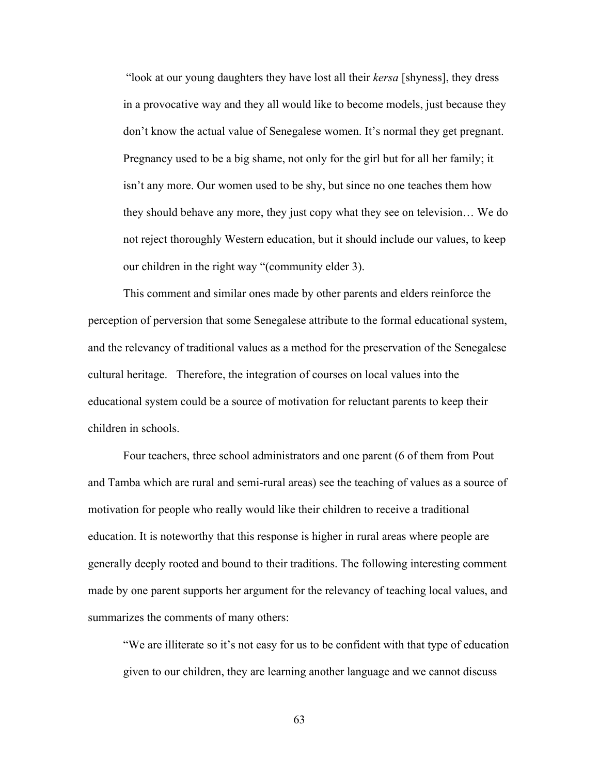"look at our young daughters they have lost all their *kersa* [shyness], they dress in a provocative way and they all would like to become models, just because they don't know the actual value of Senegalese women. It's normal they get pregnant. Pregnancy used to be a big shame, not only for the girl but for all her family; it isn't any more. Our women used to be shy, but since no one teaches them how they should behave any more, they just copy what they see on television… We do not reject thoroughly Western education, but it should include our values, to keep our children in the right way "(community elder 3).

This comment and similar ones made by other parents and elders reinforce the perception of perversion that some Senegalese attribute to the formal educational system, and the relevancy of traditional values as a method for the preservation of the Senegalese cultural heritage. Therefore, the integration of courses on local values into the educational system could be a source of motivation for reluctant parents to keep their children in schools.

Four teachers, three school administrators and one parent (6 of them from Pout and Tamba which are rural and semi-rural areas) see the teaching of values as a source of motivation for people who really would like their children to receive a traditional education. It is noteworthy that this response is higher in rural areas where people are generally deeply rooted and bound to their traditions. The following interesting comment made by one parent supports her argument for the relevancy of teaching local values, and summarizes the comments of many others:

"We are illiterate so it's not easy for us to be confident with that type of education given to our children, they are learning another language and we cannot discuss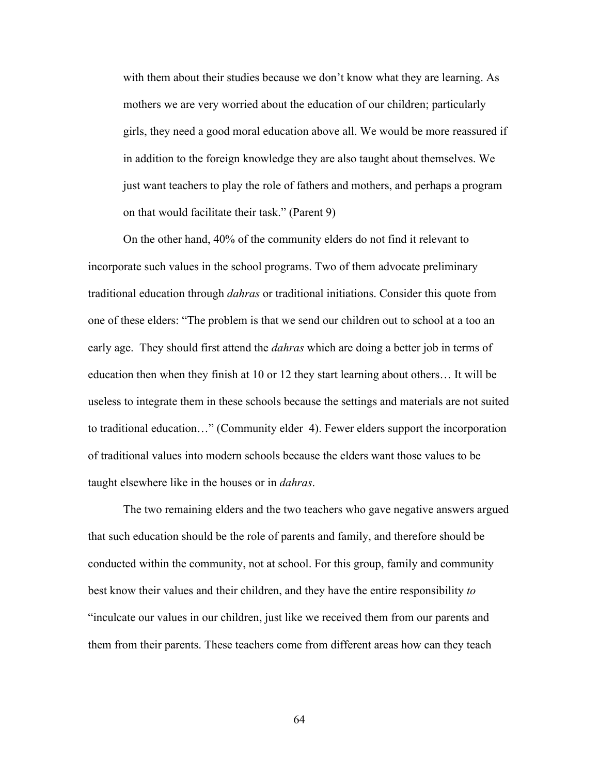with them about their studies because we don't know what they are learning. As mothers we are very worried about the education of our children; particularly girls, they need a good moral education above all. We would be more reassured if in addition to the foreign knowledge they are also taught about themselves. We just want teachers to play the role of fathers and mothers, and perhaps a program on that would facilitate their task." (Parent 9)

On the other hand, 40% of the community elders do not find it relevant to incorporate such values in the school programs. Two of them advocate preliminary traditional education through *dahras* or traditional initiations. Consider this quote from one of these elders: "The problem is that we send our children out to school at a too an early age. They should first attend the *dahras* which are doing a better job in terms of education then when they finish at 10 or 12 they start learning about others… It will be useless to integrate them in these schools because the settings and materials are not suited to traditional education…" (Community elder 4). Fewer elders support the incorporation of traditional values into modern schools because the elders want those values to be taught elsewhere like in the houses or in *dahras*.

The two remaining elders and the two teachers who gave negative answers argued that such education should be the role of parents and family, and therefore should be conducted within the community, not at school. For this group, family and community best know their values and their children, and they have the entire responsibility *to*  "inculcate our values in our children, just like we received them from our parents and them from their parents. These teachers come from different areas how can they teach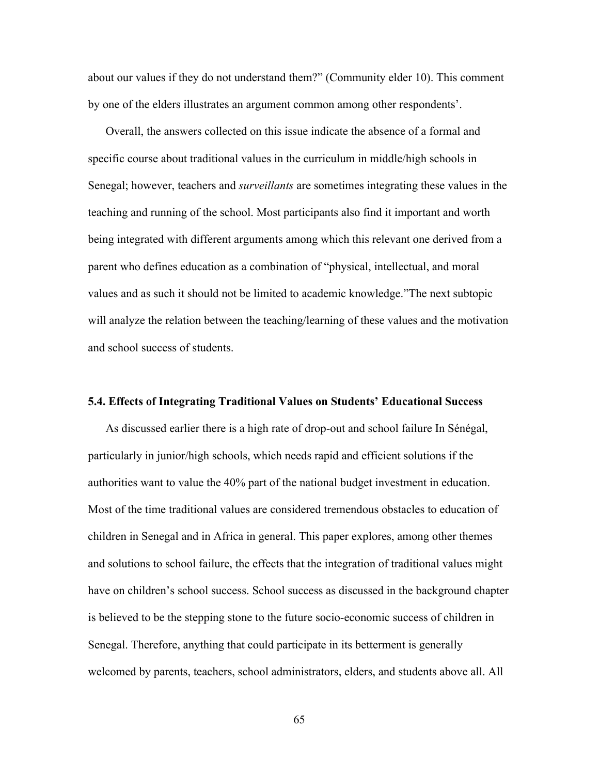about our values if they do not understand them?" (Community elder 10). This comment by one of the elders illustrates an argument common among other respondents'.

Overall, the answers collected on this issue indicate the absence of a formal and specific course about traditional values in the curriculum in middle/high schools in Senegal; however, teachers and *surveillants* are sometimes integrating these values in the teaching and running of the school. Most participants also find it important and worth being integrated with different arguments among which this relevant one derived from a parent who defines education as a combination of "physical, intellectual, and moral values and as such it should not be limited to academic knowledge."The next subtopic will analyze the relation between the teaching/learning of these values and the motivation and school success of students.

#### **5.4. Effects of Integrating Traditional Values on Students' Educational Success**

As discussed earlier there is a high rate of drop-out and school failure In Sénégal, particularly in junior/high schools, which needs rapid and efficient solutions if the authorities want to value the 40% part of the national budget investment in education. Most of the time traditional values are considered tremendous obstacles to education of children in Senegal and in Africa in general. This paper explores, among other themes and solutions to school failure, the effects that the integration of traditional values might have on children's school success. School success as discussed in the background chapter is believed to be the stepping stone to the future socio-economic success of children in Senegal. Therefore, anything that could participate in its betterment is generally welcomed by parents, teachers, school administrators, elders, and students above all. All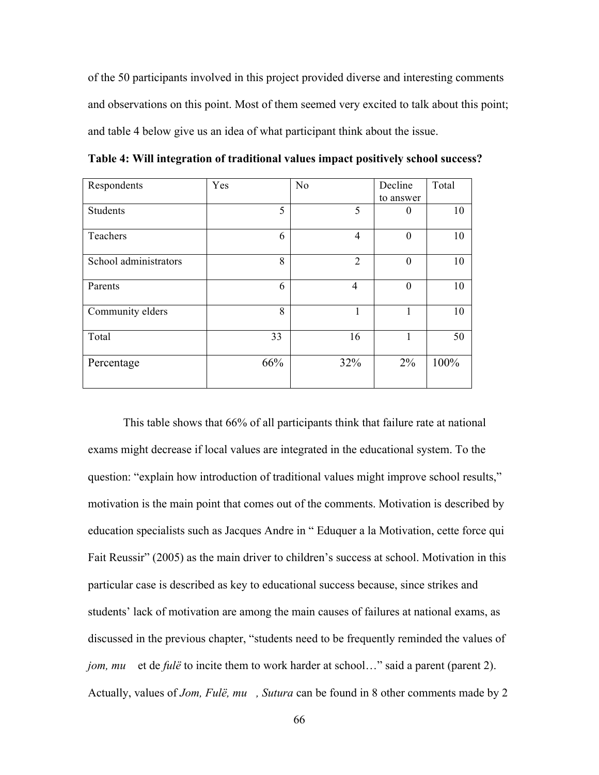of the 50 participants involved in this project provided diverse and interesting comments and observations on this point. Most of them seemed very excited to talk about this point; and table 4 below give us an idea of what participant think about the issue.

| Respondents           | Yes | N <sub>o</sub> | Decline   | Total |
|-----------------------|-----|----------------|-----------|-------|
|                       |     |                | to answer |       |
| <b>Students</b>       | 5   | 5              | $\theta$  | 10    |
| Teachers              | 6   | $\overline{4}$ | $\theta$  | 10    |
| School administrators | 8   | $\overline{2}$ | $\theta$  | 10    |
| Parents               | 6   | $\overline{4}$ | $\theta$  | 10    |
| Community elders      | 8   | 1              |           | 10    |
| Total                 | 33  | 16             |           | 50    |
| Percentage            | 66% | 32%            | $2\%$     | 100%  |

**Table 4: Will integration of traditional values impact positively school success?**

This table shows that 66% of all participants think that failure rate at national exams might decrease if local values are integrated in the educational system. To the question: "explain how introduction of traditional values might improve school results," motivation is the main point that comes out of the comments. Motivation is described by education specialists such as Jacques Andre in " Eduquer a la Motivation, cette force qui Fait Reussir" (2005) as the main driver to children's success at school. Motivation in this particular case is described as key to educational success because, since strikes and students' lack of motivation are among the main causes of failures at national exams, as discussed in the previous chapter, "students need to be frequently reminded the values of *jom, mu* et de *fulë* to incite them to work harder at school..." said a parent (parent 2). Actually, values of *Jom, Fulë, mu, Sutura* can be found in 8 other comments made by 2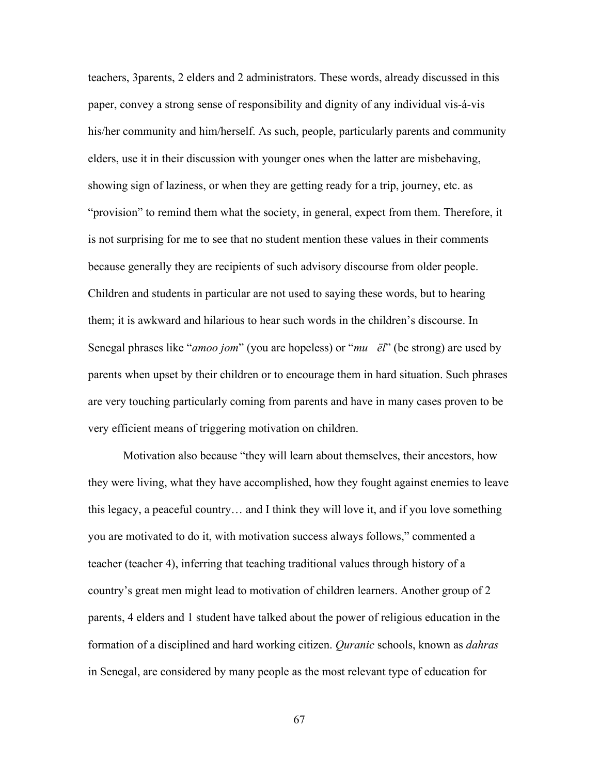teachers, 3parents, 2 elders and 2 administrators. These words, already discussed in this paper, convey a strong sense of responsibility and dignity of any individual vis-á-vis his/her community and him/herself. As such, people, particularly parents and community elders, use it in their discussion with younger ones when the latter are misbehaving, showing sign of laziness, or when they are getting ready for a trip, journey, etc. as "provision" to remind them what the society, in general, expect from them. Therefore, it is not surprising for me to see that no student mention these values in their comments because generally they are recipients of such advisory discourse from older people. Children and students in particular are not used to saying these words, but to hearing them; it is awkward and hilarious to hear such words in the children's discourse. In Senegal phrases like "*amoo jom*" (you are hopeless) or "*muёl*" (be strong) are used by parents when upset by their children or to encourage them in hard situation. Such phrases are very touching particularly coming from parents and have in many cases proven to be very efficient means of triggering motivation on children.

Motivation also because "they will learn about themselves, their ancestors, how they were living, what they have accomplished, how they fought against enemies to leave this legacy, a peaceful country… and I think they will love it, and if you love something you are motivated to do it, with motivation success always follows," commented a teacher (teacher 4), inferring that teaching traditional values through history of a country's great men might lead to motivation of children learners. Another group of 2 parents, 4 elders and 1 student have talked about the power of religious education in the formation of a disciplined and hard working citizen. *Quranic* schools, known as *dahras* in Senegal, are considered by many people as the most relevant type of education for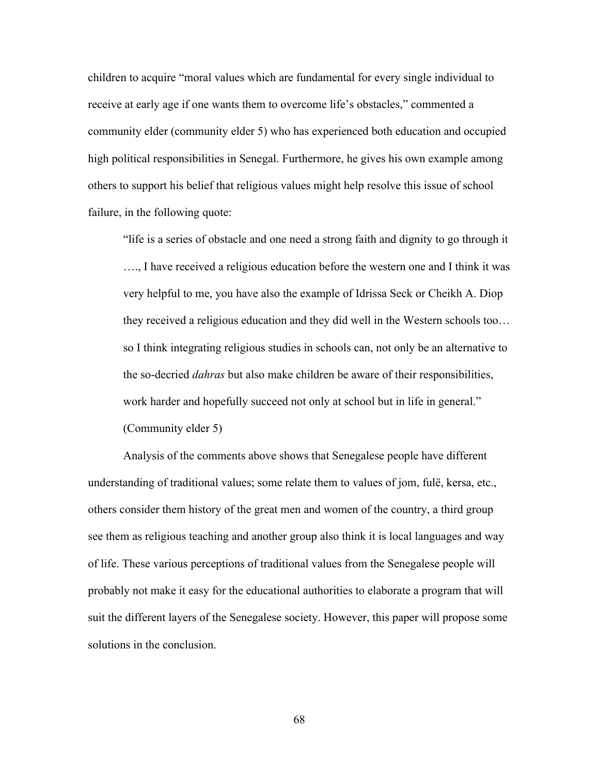children to acquire "moral values which are fundamental for every single individual to receive at early age if one wants them to overcome life's obstacles," commented a community elder (community elder 5) who has experienced both education and occupied high political responsibilities in Senegal. Furthermore, he gives his own example among others to support his belief that religious values might help resolve this issue of school failure, in the following quote:

"life is a series of obstacle and one need a strong faith and dignity to go through it …., I have received a religious education before the western one and I think it was very helpful to me, you have also the example of Idrissa Seck or Cheikh A. Diop they received a religious education and they did well in the Western schools too… so I think integrating religious studies in schools can, not only be an alternative to the so-decried *dahras* but also make children be aware of their responsibilities, work harder and hopefully succeed not only at school but in life in general." (Community elder 5)

Analysis of the comments above shows that Senegalese people have different understanding of traditional values; some relate them to values of jom, fulë, kersa, etc., others consider them history of the great men and women of the country, a third group see them as religious teaching and another group also think it is local languages and way of life. These various perceptions of traditional values from the Senegalese people will probably not make it easy for the educational authorities to elaborate a program that will suit the different layers of the Senegalese society. However, this paper will propose some solutions in the conclusion.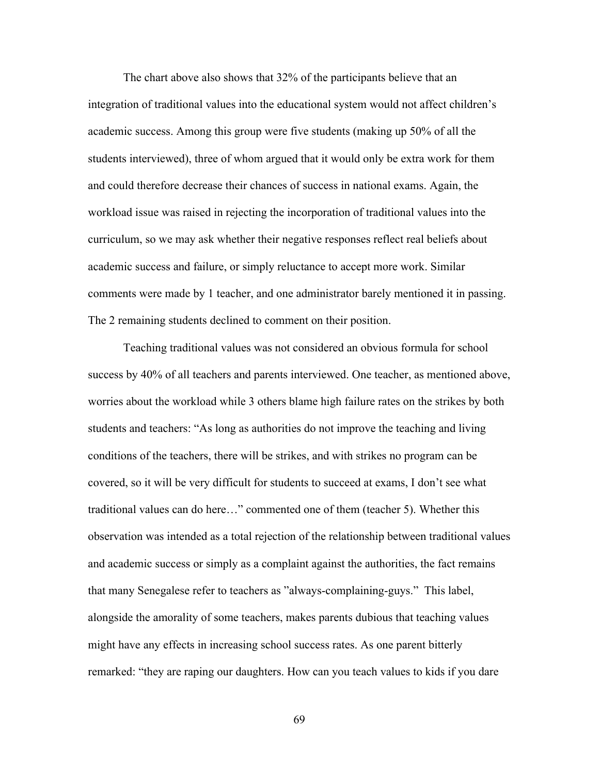The chart above also shows that 32% of the participants believe that an integration of traditional values into the educational system would not affect children's academic success. Among this group were five students (making up 50% of all the students interviewed), three of whom argued that it would only be extra work for them and could therefore decrease their chances of success in national exams. Again, the workload issue was raised in rejecting the incorporation of traditional values into the curriculum, so we may ask whether their negative responses reflect real beliefs about academic success and failure, or simply reluctance to accept more work. Similar comments were made by 1 teacher, and one administrator barely mentioned it in passing. The 2 remaining students declined to comment on their position.

Teaching traditional values was not considered an obvious formula for school success by 40% of all teachers and parents interviewed. One teacher, as mentioned above, worries about the workload while 3 others blame high failure rates on the strikes by both students and teachers: "As long as authorities do not improve the teaching and living conditions of the teachers, there will be strikes, and with strikes no program can be covered, so it will be very difficult for students to succeed at exams, I don't see what traditional values can do here…" commented one of them (teacher 5). Whether this observation was intended as a total rejection of the relationship between traditional values and academic success or simply as a complaint against the authorities, the fact remains that many Senegalese refer to teachers as "always-complaining-guys." This label, alongside the amorality of some teachers, makes parents dubious that teaching values might have any effects in increasing school success rates. As one parent bitterly remarked: "they are raping our daughters. How can you teach values to kids if you dare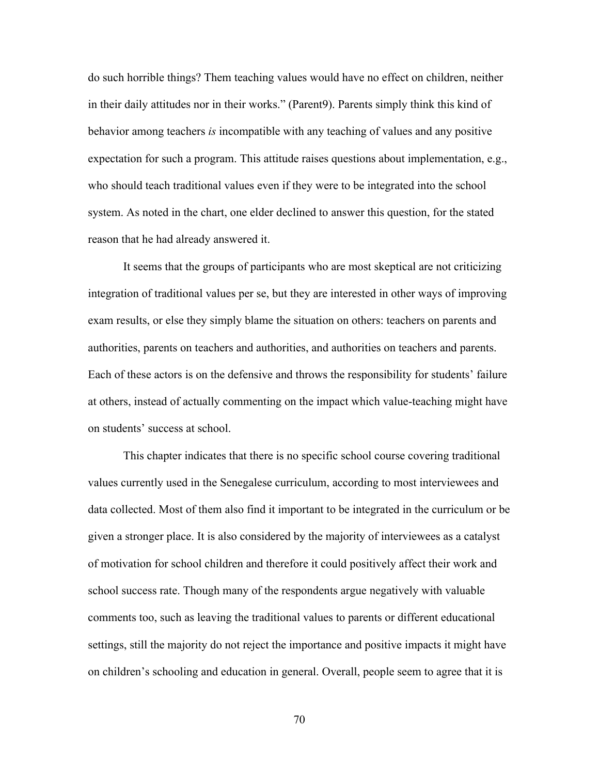do such horrible things? Them teaching values would have no effect on children, neither in their daily attitudes nor in their works." (Parent9). Parents simply think this kind of behavior among teachers *is* incompatible with any teaching of values and any positive expectation for such a program. This attitude raises questions about implementation, e.g., who should teach traditional values even if they were to be integrated into the school system. As noted in the chart, one elder declined to answer this question, for the stated reason that he had already answered it.

It seems that the groups of participants who are most skeptical are not criticizing integration of traditional values per se, but they are interested in other ways of improving exam results, or else they simply blame the situation on others: teachers on parents and authorities, parents on teachers and authorities, and authorities on teachers and parents. Each of these actors is on the defensive and throws the responsibility for students' failure at others, instead of actually commenting on the impact which value-teaching might have on students' success at school.

This chapter indicates that there is no specific school course covering traditional values currently used in the Senegalese curriculum, according to most interviewees and data collected. Most of them also find it important to be integrated in the curriculum or be given a stronger place. It is also considered by the majority of interviewees as a catalyst of motivation for school children and therefore it could positively affect their work and school success rate. Though many of the respondents argue negatively with valuable comments too, such as leaving the traditional values to parents or different educational settings, still the majority do not reject the importance and positive impacts it might have on children's schooling and education in general. Overall, people seem to agree that it is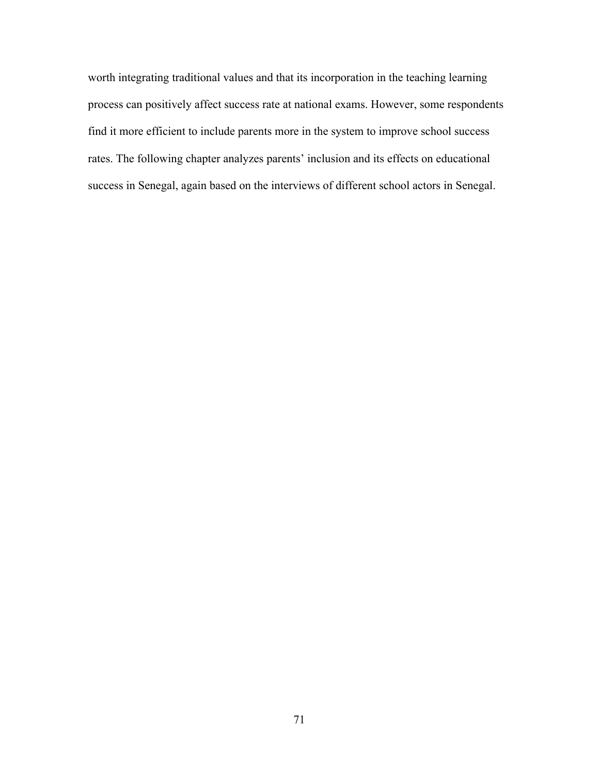worth integrating traditional values and that its incorporation in the teaching learning process can positively affect success rate at national exams. However, some respondents find it more efficient to include parents more in the system to improve school success rates. The following chapter analyzes parents' inclusion and its effects on educational success in Senegal, again based on the interviews of different school actors in Senegal.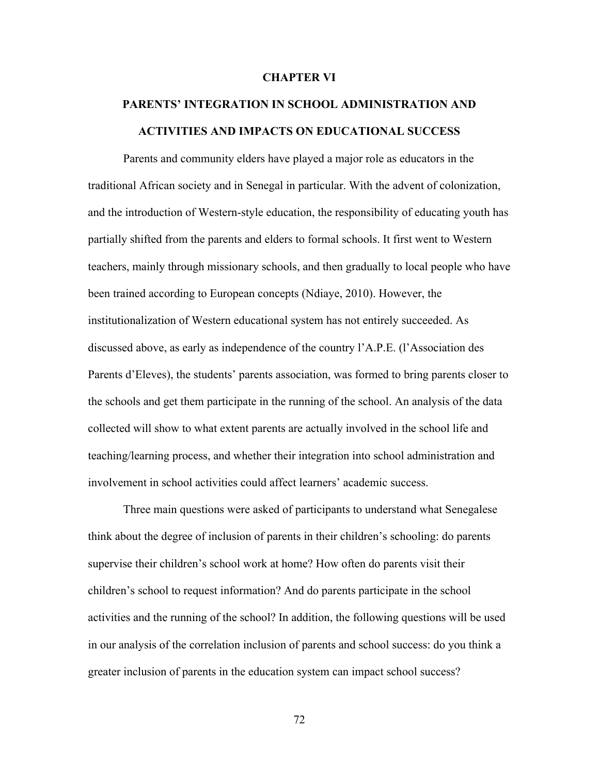#### **CHAPTER VI**

# **PARENTS' INTEGRATION IN SCHOOL ADMINISTRATION AND ACTIVITIES AND IMPACTS ON EDUCATIONAL SUCCESS**

Parents and community elders have played a major role as educators in the traditional African society and in Senegal in particular. With the advent of colonization, and the introduction of Western-style education, the responsibility of educating youth has partially shifted from the parents and elders to formal schools. It first went to Western teachers, mainly through missionary schools, and then gradually to local people who have been trained according to European concepts (Ndiaye, 2010). However, the institutionalization of Western educational system has not entirely succeeded. As discussed above, as early as independence of the country l'A.P.E. (l'Association des Parents d'Eleves), the students' parents association, was formed to bring parents closer to the schools and get them participate in the running of the school. An analysis of the data collected will show to what extent parents are actually involved in the school life and teaching/learning process, and whether their integration into school administration and involvement in school activities could affect learners' academic success.

Three main questions were asked of participants to understand what Senegalese think about the degree of inclusion of parents in their children's schooling: do parents supervise their children's school work at home? How often do parents visit their children's school to request information? And do parents participate in the school activities and the running of the school? In addition, the following questions will be used in our analysis of the correlation inclusion of parents and school success: do you think a greater inclusion of parents in the education system can impact school success?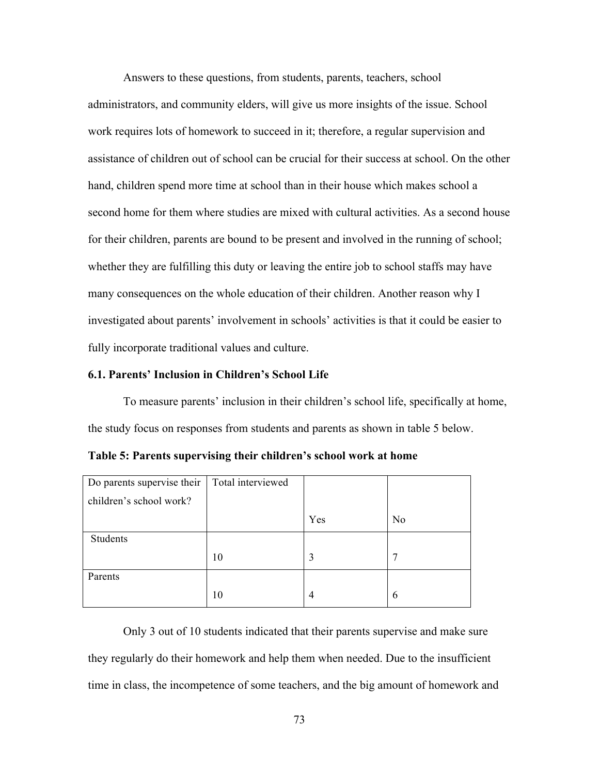Answers to these questions, from students, parents, teachers, school administrators, and community elders, will give us more insights of the issue. School work requires lots of homework to succeed in it; therefore, a regular supervision and assistance of children out of school can be crucial for their success at school. On the other hand, children spend more time at school than in their house which makes school a second home for them where studies are mixed with cultural activities. As a second house for their children, parents are bound to be present and involved in the running of school; whether they are fulfilling this duty or leaving the entire job to school staffs may have many consequences on the whole education of their children. Another reason why I investigated about parents' involvement in schools' activities is that it could be easier to fully incorporate traditional values and culture.

## **6.1. Parents' Inclusion in Children's School Life**

To measure parents' inclusion in their children's school life, specifically at home, the study focus on responses from students and parents as shown in table 5 below.

| Do parents supervise their | Total interviewed |     |                |
|----------------------------|-------------------|-----|----------------|
| children's school work?    |                   |     |                |
|                            |                   | Yes | N <sub>0</sub> |
| Students                   |                   |     |                |
|                            | 10                | 3   | 7              |
| Parents                    |                   |     |                |
|                            | 10                | 4   | 6              |

**Table 5: Parents supervising their children's school work at home**

Only 3 out of 10 students indicated that their parents supervise and make sure they regularly do their homework and help them when needed. Due to the insufficient time in class, the incompetence of some teachers, and the big amount of homework and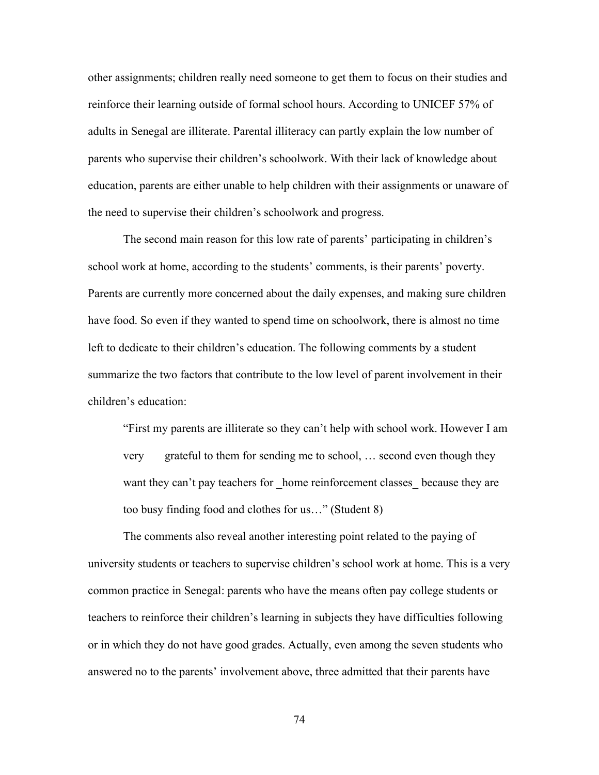other assignments; children really need someone to get them to focus on their studies and reinforce their learning outside of formal school hours. According to UNICEF 57% of adults in Senegal are illiterate. Parental illiteracy can partly explain the low number of parents who supervise their children's schoolwork. With their lack of knowledge about education, parents are either unable to help children with their assignments or unaware of the need to supervise their children's schoolwork and progress.

The second main reason for this low rate of parents' participating in children's school work at home, according to the students' comments, is their parents' poverty. Parents are currently more concerned about the daily expenses, and making sure children have food. So even if they wanted to spend time on schoolwork, there is almost no time left to dedicate to their children's education. The following comments by a student summarize the two factors that contribute to the low level of parent involvement in their children's education:

"First my parents are illiterate so they can't help with school work. However I am very grateful to them for sending me to school, … second even though they want they can't pay teachers for home reinforcement classes because they are too busy finding food and clothes for us…" (Student 8)

The comments also reveal another interesting point related to the paying of university students or teachers to supervise children's school work at home. This is a very common practice in Senegal: parents who have the means often pay college students or teachers to reinforce their children's learning in subjects they have difficulties following or in which they do not have good grades. Actually, even among the seven students who answered no to the parents' involvement above, three admitted that their parents have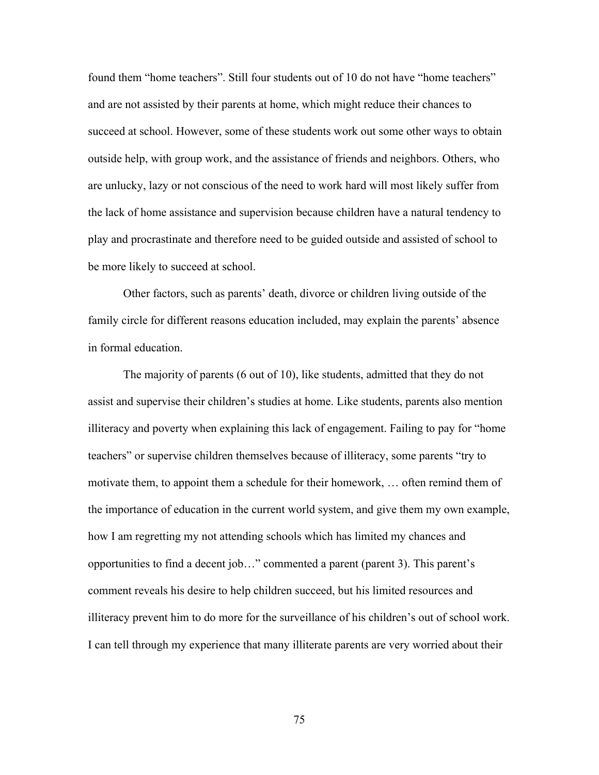found them "home teachers". Still four students out of 10 do not have "home teachers" and are not assisted by their parents at home, which might reduce their chances to succeed at school. However, some of these students work out some other ways to obtain outside help, with group work, and the assistance of friends and neighbors. Others, who are unlucky, lazy or not conscious of the need to work hard will most likely suffer from the lack of home assistance and supervision because children have a natural tendency to play and procrastinate and therefore need to be guided outside and assisted of school to be more likely to succeed at school.

Other factors, such as parents' death, divorce or children living outside of the family circle for different reasons education included, may explain the parents' absence in formal education.

The majority of parents (6 out of 10), like students, admitted that they do not assist and supervise their children's studies at home. Like students, parents also mention illiteracy and poverty when explaining this lack of engagement. Failing to pay for "home teachers" or supervise children themselves because of illiteracy, some parents "try to motivate them, to appoint them a schedule for their homework, … often remind them of the importance of education in the current world system, and give them my own example, how I am regretting my not attending schools which has limited my chances and opportunities to find a decent job…" commented a parent (parent 3). This parent's comment reveals his desire to help children succeed, but his limited resources and illiteracy prevent him to do more for the surveillance of his children's out of school work. I can tell through my experience that many illiterate parents are very worried about their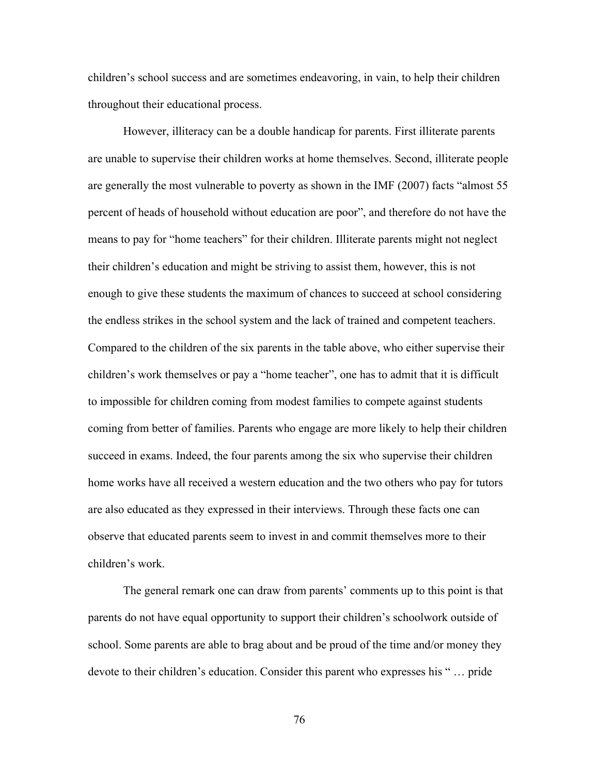children's school success and are sometimes endeavoring, in vain, to help their children throughout their educational process.

However, illiteracy can be a double handicap for parents. First illiterate parents are unable to supervise their children works at home themselves. Second, illiterate people are generally the most vulnerable to poverty as shown in the IMF (2007) facts "almost 55 percent of heads of household without education are poor", and therefore do not have the means to pay for "home teachers" for their children. Illiterate parents might not neglect their children's education and might be striving to assist them, however, this is not enough to give these students the maximum of chances to succeed at school considering the endless strikes in the school system and the lack of trained and competent teachers. Compared to the children of the six parents in the table above, who either supervise their children's work themselves or pay a "home teacher", one has to admit that it is difficult to impossible for children coming from modest families to compete against students coming from better of families. Parents who engage are more likely to help their children succeed in exams. Indeed, the four parents among the six who supervise their children home works have all received a western education and the two others who pay for tutors are also educated as they expressed in their interviews. Through these facts one can observe that educated parents seem to invest in and commit themselves more to their children's work.

The general remark one can draw from parents' comments up to this point is that parents do not have equal opportunity to support their children's schoolwork outside of school. Some parents are able to brag about and be proud of the time and/or money they devote to their children's education. Consider this parent who expresses his " … pride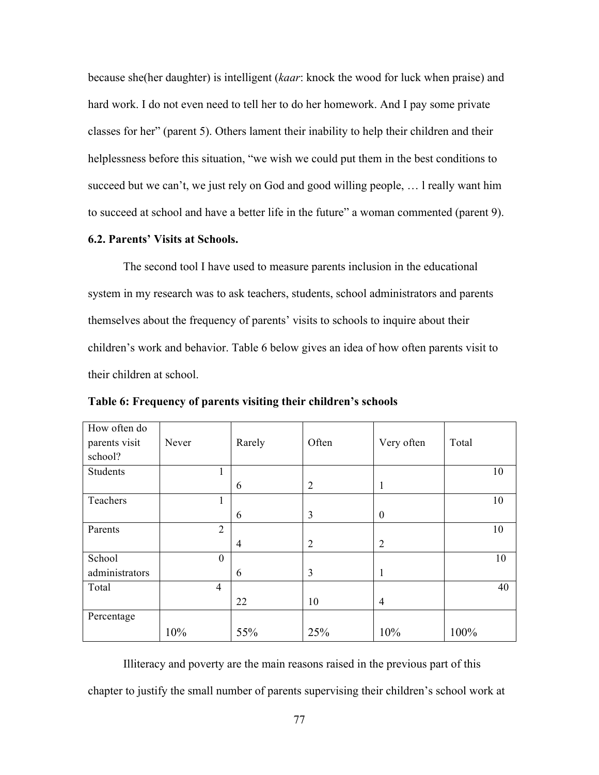because she(her daughter) is intelligent (*kaar*: knock the wood for luck when praise) and hard work. I do not even need to tell her to do her homework. And I pay some private classes for her" (parent 5). Others lament their inability to help their children and their helplessness before this situation, "we wish we could put them in the best conditions to succeed but we can't, we just rely on God and good willing people, … l really want him to succeed at school and have a better life in the future" a woman commented (parent 9).

# **6.2. Parents' Visits at Schools.**

The second tool I have used to measure parents inclusion in the educational system in my research was to ask teachers, students, school administrators and parents themselves about the frequency of parents' visits to schools to inquire about their children's work and behavior. Table 6 below gives an idea of how often parents visit to their children at school.

| How often do   |                |                |                |                |       |
|----------------|----------------|----------------|----------------|----------------|-------|
| parents visit  | Never          | Rarely         | Often          | Very often     | Total |
| school?        |                |                |                |                |       |
| Students       | 1              |                |                |                | 10    |
|                |                | 6              | $\overline{2}$ | 1              |       |
| Teachers       | 1              |                |                |                | 10    |
|                |                | 6              | 3              | $\overline{0}$ |       |
| Parents        | 2              |                |                |                | 10    |
|                |                | $\overline{4}$ | $\overline{2}$ | $\overline{2}$ |       |
| School         | $\theta$       |                |                |                | 10    |
| administrators |                | 6              | $\overline{3}$ | 1              |       |
| Total          | $\overline{4}$ |                |                |                | 40    |
|                |                | 22             | 10             | 4              |       |
| Percentage     |                |                |                |                |       |
|                | 10%            | 55%            | 25%            | 10%            | 100%  |

**Table 6: Frequency of parents visiting their children's schools**

Illiteracy and poverty are the main reasons raised in the previous part of this chapter to justify the small number of parents supervising their children's school work at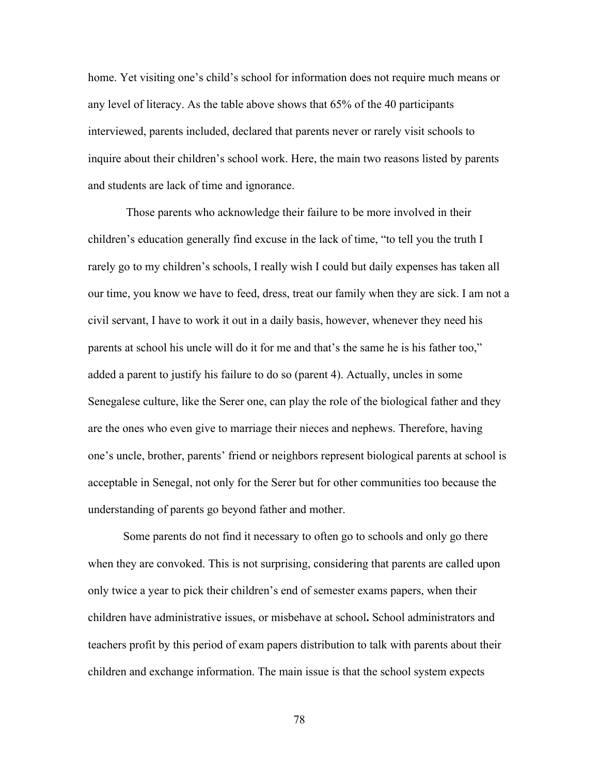home. Yet visiting one's child's school for information does not require much means or any level of literacy. As the table above shows that 65% of the 40 participants interviewed, parents included, declared that parents never or rarely visit schools to inquire about their children's school work. Here, the main two reasons listed by parents and students are lack of time and ignorance.

Those parents who acknowledge their failure to be more involved in their children's education generally find excuse in the lack of time, "to tell you the truth I rarely go to my children's schools, I really wish I could but daily expenses has taken all our time, you know we have to feed, dress, treat our family when they are sick. I am not a civil servant, I have to work it out in a daily basis, however, whenever they need his parents at school his uncle will do it for me and that's the same he is his father too," added a parent to justify his failure to do so (parent 4). Actually, uncles in some Senegalese culture, like the Serer one, can play the role of the biological father and they are the ones who even give to marriage their nieces and nephews. Therefore, having one's uncle, brother, parents' friend or neighbors represent biological parents at school is acceptable in Senegal, not only for the Serer but for other communities too because the understanding of parents go beyond father and mother.

Some parents do not find it necessary to often go to schools and only go there when they are convoked. This is not surprising, considering that parents are called upon only twice a year to pick their children's end of semester exams papers, when their children have administrative issues, or misbehave at school**.** School administrators and teachers profit by this period of exam papers distribution to talk with parents about their children and exchange information. The main issue is that the school system expects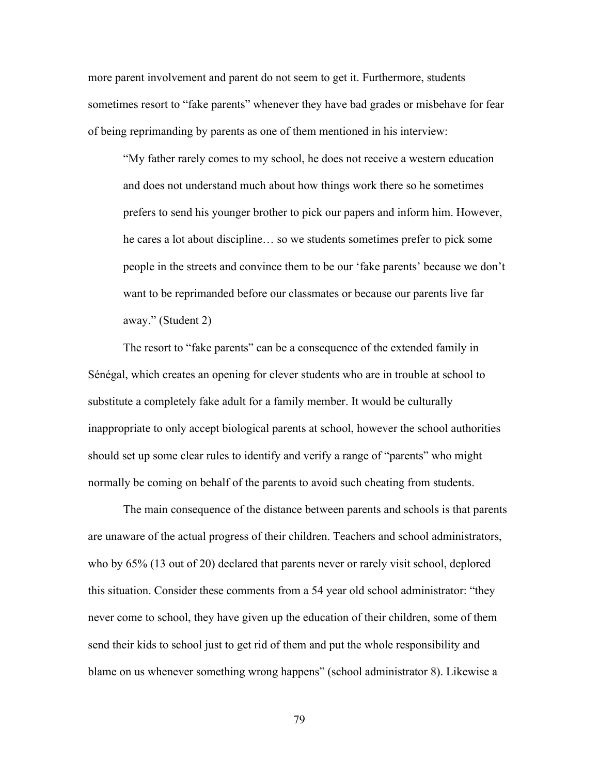more parent involvement and parent do not seem to get it. Furthermore, students sometimes resort to "fake parents" whenever they have bad grades or misbehave for fear of being reprimanding by parents as one of them mentioned in his interview:

"My father rarely comes to my school, he does not receive a western education and does not understand much about how things work there so he sometimes prefers to send his younger brother to pick our papers and inform him. However, he cares a lot about discipline… so we students sometimes prefer to pick some people in the streets and convince them to be our 'fake parents' because we don't want to be reprimanded before our classmates or because our parents live far away." (Student 2)

The resort to "fake parents" can be a consequence of the extended family in Sénégal, which creates an opening for clever students who are in trouble at school to substitute a completely fake adult for a family member. It would be culturally inappropriate to only accept biological parents at school, however the school authorities should set up some clear rules to identify and verify a range of "parents" who might normally be coming on behalf of the parents to avoid such cheating from students.

The main consequence of the distance between parents and schools is that parents are unaware of the actual progress of their children. Teachers and school administrators, who by 65% (13 out of 20) declared that parents never or rarely visit school, deplored this situation. Consider these comments from a 54 year old school administrator: "they never come to school, they have given up the education of their children, some of them send their kids to school just to get rid of them and put the whole responsibility and blame on us whenever something wrong happens" (school administrator 8). Likewise a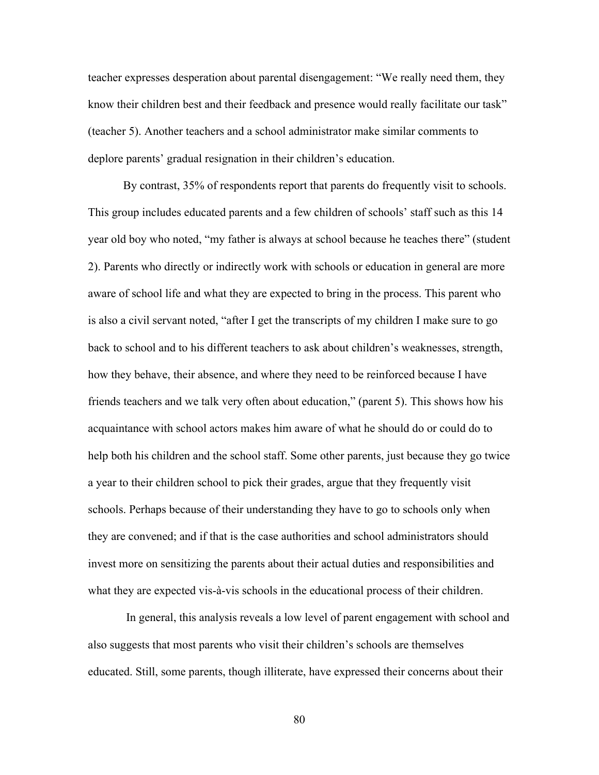teacher expresses desperation about parental disengagement: "We really need them, they know their children best and their feedback and presence would really facilitate our task" (teacher 5). Another teachers and a school administrator make similar comments to deplore parents' gradual resignation in their children's education.

By contrast, 35% of respondents report that parents do frequently visit to schools. This group includes educated parents and a few children of schools' staff such as this 14 year old boy who noted, "my father is always at school because he teaches there" (student 2). Parents who directly or indirectly work with schools or education in general are more aware of school life and what they are expected to bring in the process. This parent who is also a civil servant noted, "after I get the transcripts of my children I make sure to go back to school and to his different teachers to ask about children's weaknesses, strength, how they behave, their absence, and where they need to be reinforced because I have friends teachers and we talk very often about education," (parent 5). This shows how his acquaintance with school actors makes him aware of what he should do or could do to help both his children and the school staff. Some other parents, just because they go twice a year to their children school to pick their grades, argue that they frequently visit schools. Perhaps because of their understanding they have to go to schools only when they are convened; and if that is the case authorities and school administrators should invest more on sensitizing the parents about their actual duties and responsibilities and what they are expected vis-à-vis schools in the educational process of their children.

In general, this analysis reveals a low level of parent engagement with school and also suggests that most parents who visit their children's schools are themselves educated. Still, some parents, though illiterate, have expressed their concerns about their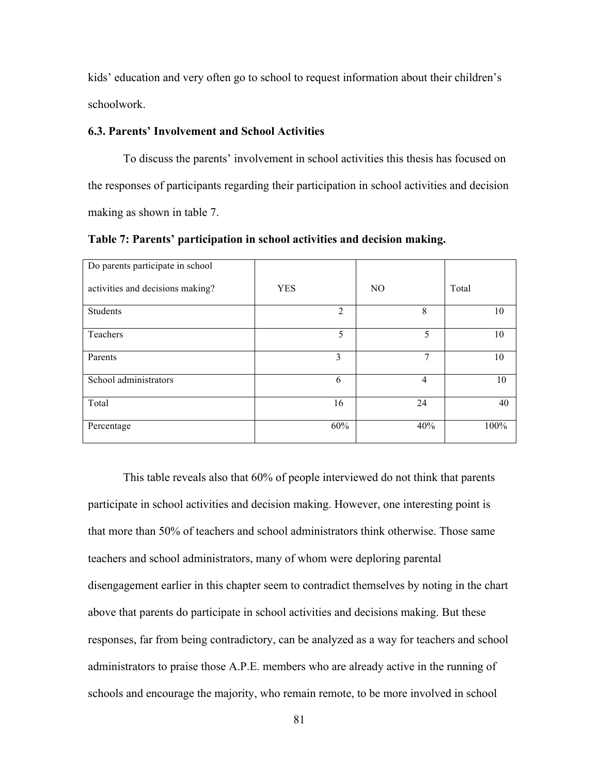kids' education and very often go to school to request information about their children's schoolwork.

# **6.3. Parents' Involvement and School Activities**

To discuss the parents' involvement in school activities this thesis has focused on the responses of participants regarding their participation in school activities and decision making as shown in table 7.

**Table 7: Parents' participation in school activities and decision making.**

| Do parents participate in school |            |                |                |       |
|----------------------------------|------------|----------------|----------------|-------|
| activities and decisions making? | <b>YES</b> |                | N <sub>O</sub> | Total |
| Students                         |            | $\overline{2}$ | 8              | 10    |
| Teachers                         |            | 5              | 5              | 10    |
| Parents                          |            | 3              | 7              | 10    |
| School administrators            |            | 6              | 4              | 10    |
| Total                            |            | 16             | 24             | 40    |
| Percentage                       |            | 60%            | 40%            | 100%  |

This table reveals also that 60% of people interviewed do not think that parents participate in school activities and decision making. However, one interesting point is that more than 50% of teachers and school administrators think otherwise. Those same teachers and school administrators, many of whom were deploring parental disengagement earlier in this chapter seem to contradict themselves by noting in the chart above that parents do participate in school activities and decisions making. But these responses, far from being contradictory, can be analyzed as a way for teachers and school administrators to praise those A.P.E. members who are already active in the running of schools and encourage the majority, who remain remote, to be more involved in school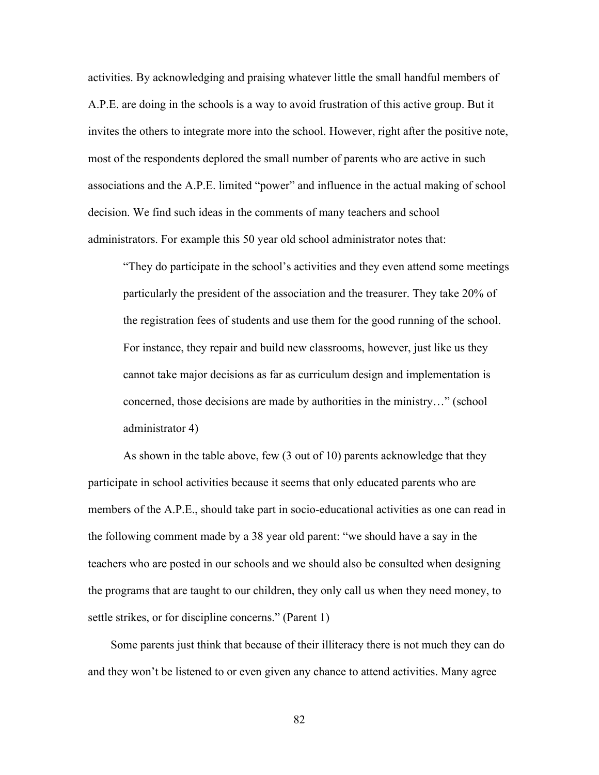activities. By acknowledging and praising whatever little the small handful members of A.P.E. are doing in the schools is a way to avoid frustration of this active group. But it invites the others to integrate more into the school. However, right after the positive note, most of the respondents deplored the small number of parents who are active in such associations and the A.P.E. limited "power" and influence in the actual making of school decision. We find such ideas in the comments of many teachers and school administrators. For example this 50 year old school administrator notes that:

"They do participate in the school's activities and they even attend some meetings particularly the president of the association and the treasurer. They take 20% of the registration fees of students and use them for the good running of the school. For instance, they repair and build new classrooms, however, just like us they cannot take major decisions as far as curriculum design and implementation is concerned, those decisions are made by authorities in the ministry…" (school administrator 4)

As shown in the table above, few (3 out of 10) parents acknowledge that they participate in school activities because it seems that only educated parents who are members of the A.P.E., should take part in socio-educational activities as one can read in the following comment made by a 38 year old parent: "we should have a say in the teachers who are posted in our schools and we should also be consulted when designing the programs that are taught to our children, they only call us when they need money, to settle strikes, or for discipline concerns." (Parent 1)

Some parents just think that because of their illiteracy there is not much they can do and they won't be listened to or even given any chance to attend activities. Many agree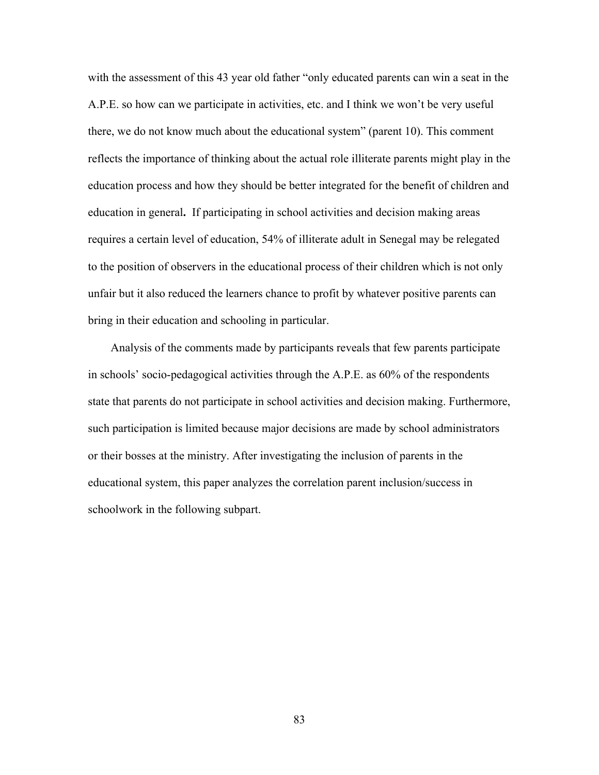with the assessment of this 43 year old father "only educated parents can win a seat in the A.P.E. so how can we participate in activities, etc. and I think we won't be very useful there, we do not know much about the educational system" (parent 10). This comment reflects the importance of thinking about the actual role illiterate parents might play in the education process and how they should be better integrated for the benefit of children and education in general**.** If participating in school activities and decision making areas requires a certain level of education, 54% of illiterate adult in Senegal may be relegated to the position of observers in the educational process of their children which is not only unfair but it also reduced the learners chance to profit by whatever positive parents can bring in their education and schooling in particular.

Analysis of the comments made by participants reveals that few parents participate in schools' socio-pedagogical activities through the A.P.E. as 60% of the respondents state that parents do not participate in school activities and decision making. Furthermore, such participation is limited because major decisions are made by school administrators or their bosses at the ministry. After investigating the inclusion of parents in the educational system, this paper analyzes the correlation parent inclusion/success in schoolwork in the following subpart.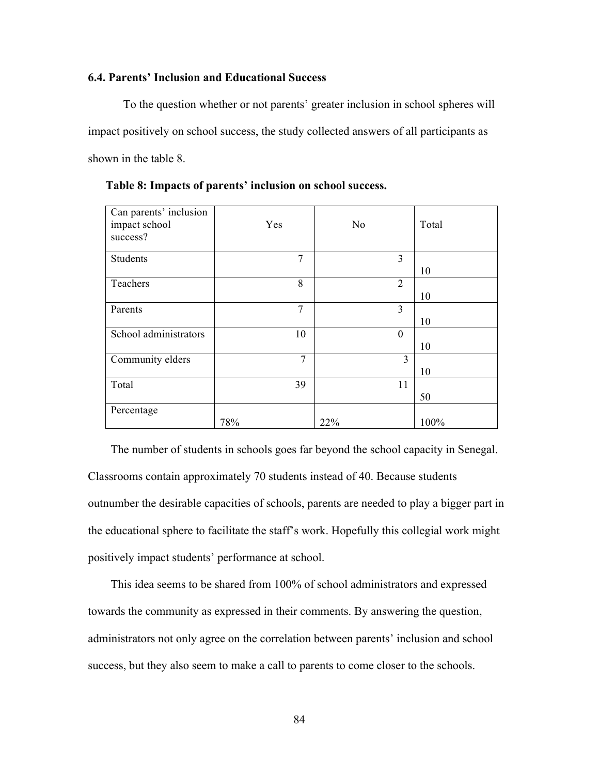## **6.4. Parents' Inclusion and Educational Success**

To the question whether or not parents' greater inclusion in school spheres will impact positively on school success, the study collected answers of all participants as shown in the table 8.

| Can parents' inclusion<br>impact school<br>success? | Yes | N <sub>0</sub> | Total |
|-----------------------------------------------------|-----|----------------|-------|
| <b>Students</b>                                     | 7   | 3              | 10    |
| Teachers                                            | 8   | 2              | 10    |
| Parents                                             | 7   | 3              | 10    |
| School administrators                               | 10  | $\overline{0}$ | 10    |
| Community elders                                    | 7   | 3              | 10    |
| Total                                               | 39  | 11             | 50    |
| Percentage                                          | 78% | 22%            | 100%  |

 **Table 8: Impacts of parents' inclusion on school success.**

The number of students in schools goes far beyond the school capacity in Senegal. Classrooms contain approximately 70 students instead of 40. Because students outnumber the desirable capacities of schools, parents are needed to play a bigger part in the educational sphere to facilitate the staff's work. Hopefully this collegial work might positively impact students' performance at school.

This idea seems to be shared from 100% of school administrators and expressed towards the community as expressed in their comments. By answering the question, administrators not only agree on the correlation between parents' inclusion and school success, but they also seem to make a call to parents to come closer to the schools.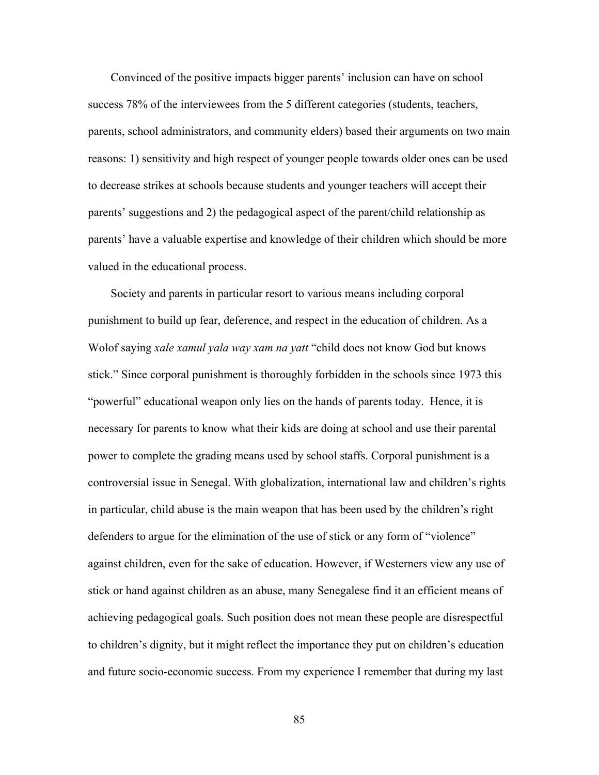Convinced of the positive impacts bigger parents' inclusion can have on school success 78% of the interviewees from the 5 different categories (students, teachers, parents, school administrators, and community elders) based their arguments on two main reasons: 1) sensitivity and high respect of younger people towards older ones can be used to decrease strikes at schools because students and younger teachers will accept their parents' suggestions and 2) the pedagogical aspect of the parent/child relationship as parents' have a valuable expertise and knowledge of their children which should be more valued in the educational process.

Society and parents in particular resort to various means including corporal punishment to build up fear, deference, and respect in the education of children. As a Wolof saying *xale xamul yala way xam na yatt* "child does not know God but knows stick." Since corporal punishment is thoroughly forbidden in the schools since 1973 this "powerful" educational weapon only lies on the hands of parents today. Hence, it is necessary for parents to know what their kids are doing at school and use their parental power to complete the grading means used by school staffs. Corporal punishment is a controversial issue in Senegal. With globalization, international law and children's rights in particular, child abuse is the main weapon that has been used by the children's right defenders to argue for the elimination of the use of stick or any form of "violence" against children, even for the sake of education. However, if Westerners view any use of stick or hand against children as an abuse, many Senegalese find it an efficient means of achieving pedagogical goals. Such position does not mean these people are disrespectful to children's dignity, but it might reflect the importance they put on children's education and future socio-economic success. From my experience I remember that during my last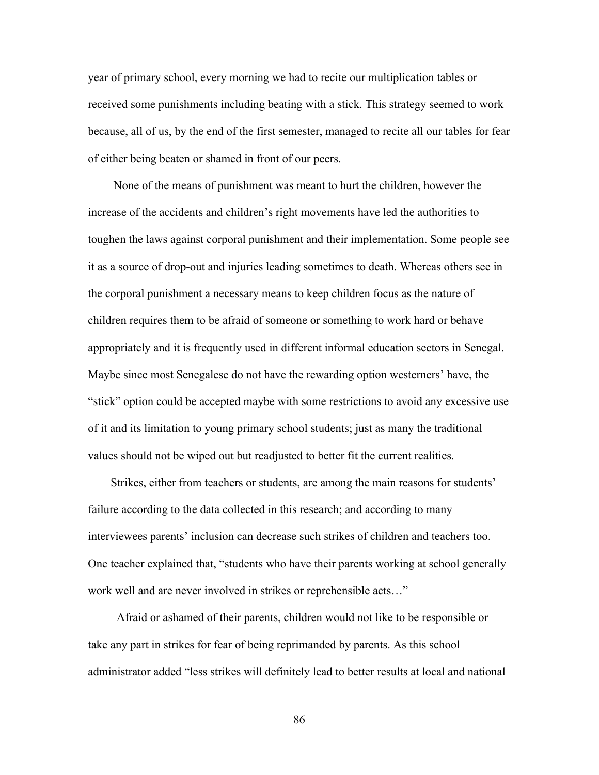year of primary school, every morning we had to recite our multiplication tables or received some punishments including beating with a stick. This strategy seemed to work because, all of us, by the end of the first semester, managed to recite all our tables for fear of either being beaten or shamed in front of our peers.

None of the means of punishment was meant to hurt the children, however the increase of the accidents and children's right movements have led the authorities to toughen the laws against corporal punishment and their implementation. Some people see it as a source of drop-out and injuries leading sometimes to death. Whereas others see in the corporal punishment a necessary means to keep children focus as the nature of children requires them to be afraid of someone or something to work hard or behave appropriately and it is frequently used in different informal education sectors in Senegal. Maybe since most Senegalese do not have the rewarding option westerners' have, the "stick" option could be accepted maybe with some restrictions to avoid any excessive use of it and its limitation to young primary school students; just as many the traditional values should not be wiped out but readjusted to better fit the current realities.

Strikes, either from teachers or students, are among the main reasons for students' failure according to the data collected in this research; and according to many interviewees parents' inclusion can decrease such strikes of children and teachers too. One teacher explained that, "students who have their parents working at school generally work well and are never involved in strikes or reprehensible acts…"

 Afraid or ashamed of their parents, children would not like to be responsible or take any part in strikes for fear of being reprimanded by parents. As this school administrator added "less strikes will definitely lead to better results at local and national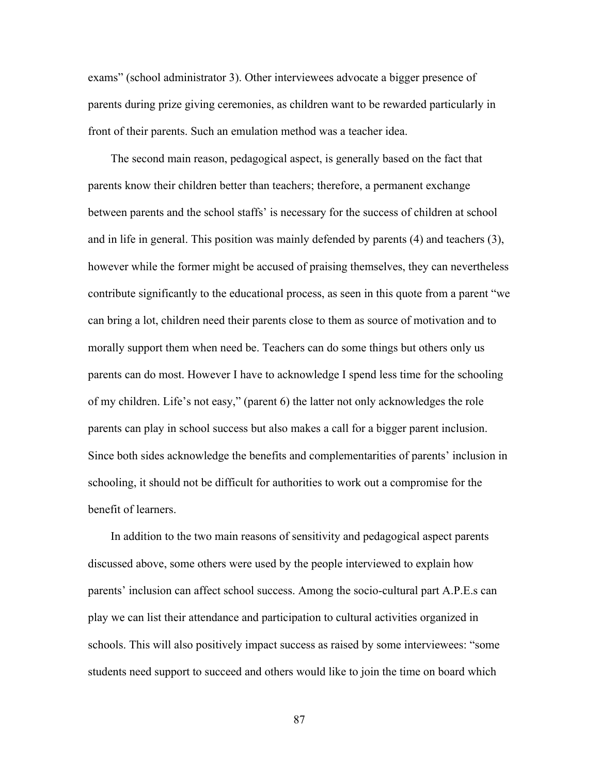exams" (school administrator 3). Other interviewees advocate a bigger presence of parents during prize giving ceremonies, as children want to be rewarded particularly in front of their parents. Such an emulation method was a teacher idea.

The second main reason, pedagogical aspect, is generally based on the fact that parents know their children better than teachers; therefore, a permanent exchange between parents and the school staffs' is necessary for the success of children at school and in life in general. This position was mainly defended by parents (4) and teachers (3), however while the former might be accused of praising themselves, they can nevertheless contribute significantly to the educational process, as seen in this quote from a parent "we can bring a lot, children need their parents close to them as source of motivation and to morally support them when need be. Teachers can do some things but others only us parents can do most. However I have to acknowledge I spend less time for the schooling of my children. Life's not easy," (parent 6) the latter not only acknowledges the role parents can play in school success but also makes a call for a bigger parent inclusion. Since both sides acknowledge the benefits and complementarities of parents' inclusion in schooling, it should not be difficult for authorities to work out a compromise for the benefit of learners.

In addition to the two main reasons of sensitivity and pedagogical aspect parents discussed above, some others were used by the people interviewed to explain how parents' inclusion can affect school success. Among the socio-cultural part A.P.E.s can play we can list their attendance and participation to cultural activities organized in schools. This will also positively impact success as raised by some interviewees: "some students need support to succeed and others would like to join the time on board which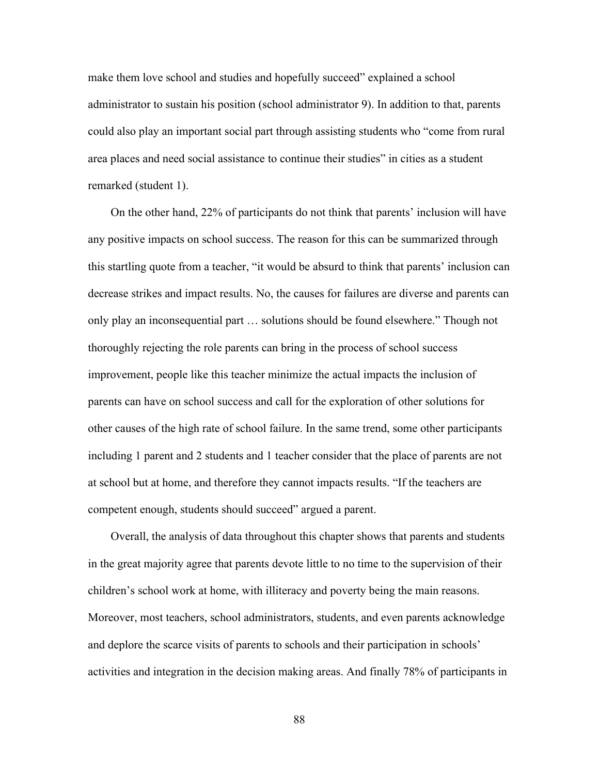make them love school and studies and hopefully succeed" explained a school administrator to sustain his position (school administrator 9). In addition to that, parents could also play an important social part through assisting students who "come from rural area places and need social assistance to continue their studies" in cities as a student remarked (student 1).

On the other hand, 22% of participants do not think that parents' inclusion will have any positive impacts on school success. The reason for this can be summarized through this startling quote from a teacher, "it would be absurd to think that parents' inclusion can decrease strikes and impact results. No, the causes for failures are diverse and parents can only play an inconsequential part … solutions should be found elsewhere." Though not thoroughly rejecting the role parents can bring in the process of school success improvement, people like this teacher minimize the actual impacts the inclusion of parents can have on school success and call for the exploration of other solutions for other causes of the high rate of school failure. In the same trend, some other participants including 1 parent and 2 students and 1 teacher consider that the place of parents are not at school but at home, and therefore they cannot impacts results. "If the teachers are competent enough, students should succeed" argued a parent.

Overall, the analysis of data throughout this chapter shows that parents and students in the great majority agree that parents devote little to no time to the supervision of their children's school work at home, with illiteracy and poverty being the main reasons. Moreover, most teachers, school administrators, students, and even parents acknowledge and deplore the scarce visits of parents to schools and their participation in schools' activities and integration in the decision making areas. And finally 78% of participants in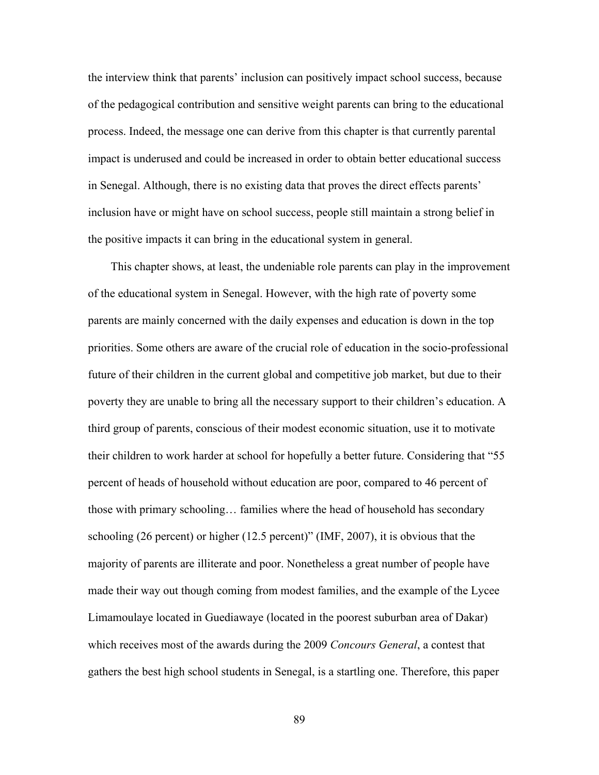the interview think that parents' inclusion can positively impact school success, because of the pedagogical contribution and sensitive weight parents can bring to the educational process. Indeed, the message one can derive from this chapter is that currently parental impact is underused and could be increased in order to obtain better educational success in Senegal. Although, there is no existing data that proves the direct effects parents' inclusion have or might have on school success, people still maintain a strong belief in the positive impacts it can bring in the educational system in general.

This chapter shows, at least, the undeniable role parents can play in the improvement of the educational system in Senegal. However, with the high rate of poverty some parents are mainly concerned with the daily expenses and education is down in the top priorities. Some others are aware of the crucial role of education in the socio-professional future of their children in the current global and competitive job market, but due to their poverty they are unable to bring all the necessary support to their children's education. A third group of parents, conscious of their modest economic situation, use it to motivate their children to work harder at school for hopefully a better future. Considering that "55 percent of heads of household without education are poor, compared to 46 percent of those with primary schooling… families where the head of household has secondary schooling (26 percent) or higher (12.5 percent)" (IMF, 2007), it is obvious that the majority of parents are illiterate and poor. Nonetheless a great number of people have made their way out though coming from modest families, and the example of the Lycee Limamoulaye located in Guediawaye (located in the poorest suburban area of Dakar) which receives most of the awards during the 2009 *Concours General*, a contest that gathers the best high school students in Senegal, is a startling one. Therefore, this paper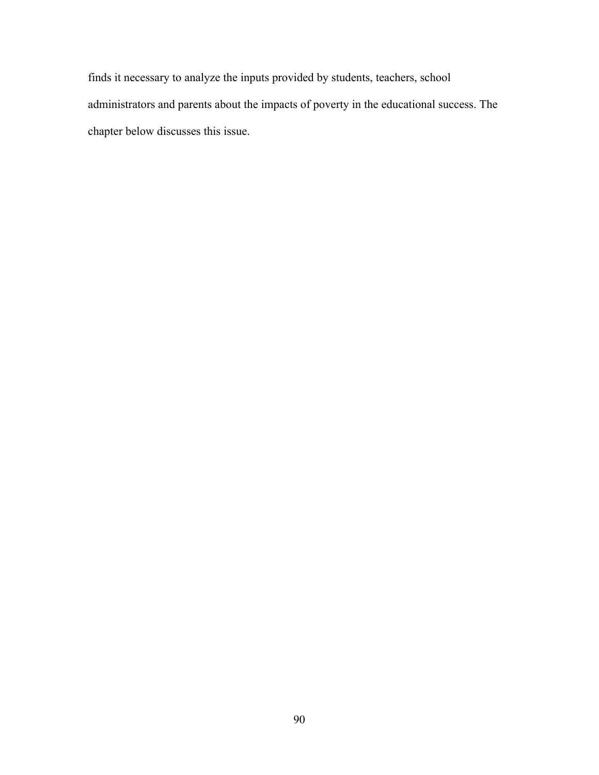finds it necessary to analyze the inputs provided by students, teachers, school administrators and parents about the impacts of poverty in the educational success. The chapter below discusses this issue.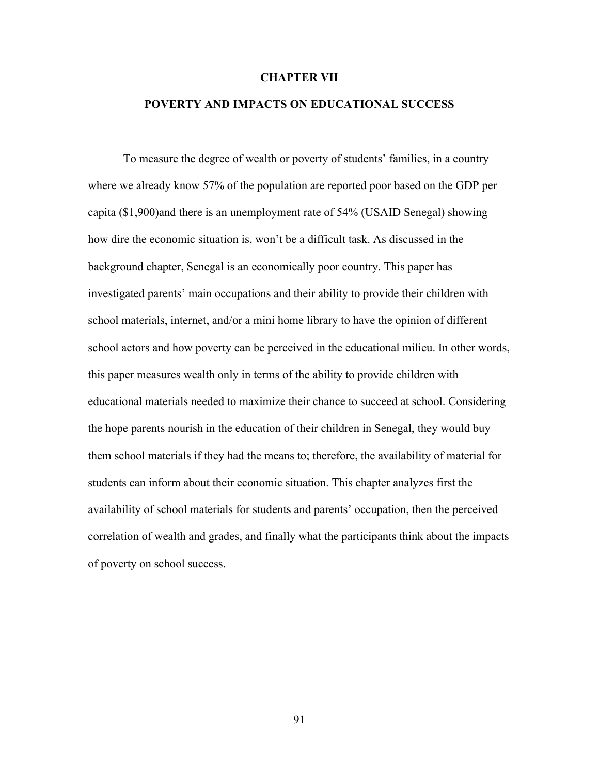#### **CHAPTER VII**

# **POVERTY AND IMPACTS ON EDUCATIONAL SUCCESS**

To measure the degree of wealth or poverty of students' families, in a country where we already know 57% of the population are reported poor based on the GDP per capita (\$1,900)and there is an unemployment rate of 54% (USAID Senegal) showing how dire the economic situation is, won't be a difficult task. As discussed in the background chapter, Senegal is an economically poor country. This paper has investigated parents' main occupations and their ability to provide their children with school materials, internet, and/or a mini home library to have the opinion of different school actors and how poverty can be perceived in the educational milieu. In other words, this paper measures wealth only in terms of the ability to provide children with educational materials needed to maximize their chance to succeed at school. Considering the hope parents nourish in the education of their children in Senegal, they would buy them school materials if they had the means to; therefore, the availability of material for students can inform about their economic situation. This chapter analyzes first the availability of school materials for students and parents' occupation, then the perceived correlation of wealth and grades, and finally what the participants think about the impacts of poverty on school success.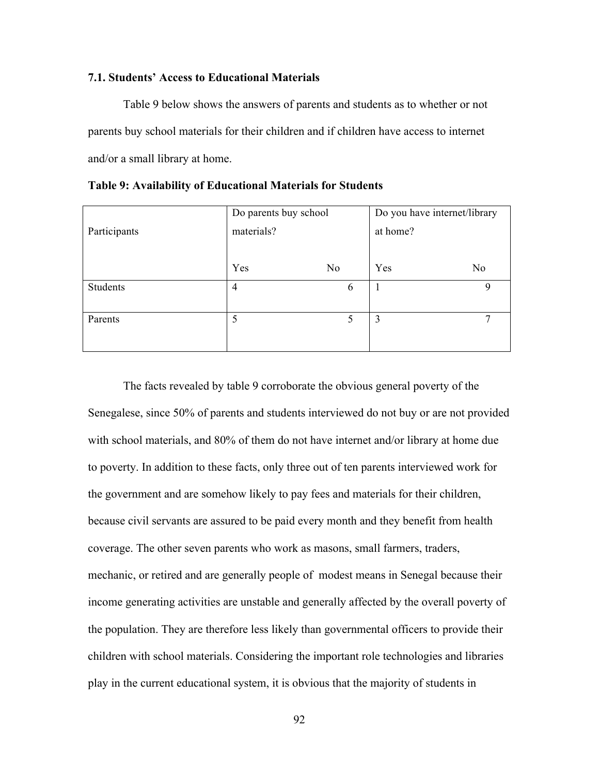### **7.1. Students' Access to Educational Materials**

Table 9 below shows the answers of parents and students as to whether or not parents buy school materials for their children and if children have access to internet and/or a small library at home.

|              | Do parents buy school |                | Do you have internet/library |    |
|--------------|-----------------------|----------------|------------------------------|----|
| Participants | materials?            |                | at home?                     |    |
|              |                       |                |                              |    |
|              | Yes                   | N <sub>0</sub> | Yes                          | No |
| Students     | $\overline{4}$        | 6              |                              | 9  |
|              |                       |                |                              |    |
| Parents      | 5                     | 5              | 3                            | 7  |
|              |                       |                |                              |    |
|              |                       |                |                              |    |

**Table 9: Availability of Educational Materials for Students**

The facts revealed by table 9 corroborate the obvious general poverty of the Senegalese, since 50% of parents and students interviewed do not buy or are not provided with school materials, and 80% of them do not have internet and/or library at home due to poverty. In addition to these facts, only three out of ten parents interviewed work for the government and are somehow likely to pay fees and materials for their children, because civil servants are assured to be paid every month and they benefit from health coverage. The other seven parents who work as masons, small farmers, traders, mechanic, or retired and are generally people of modest means in Senegal because their income generating activities are unstable and generally affected by the overall poverty of the population. They are therefore less likely than governmental officers to provide their children with school materials. Considering the important role technologies and libraries play in the current educational system, it is obvious that the majority of students in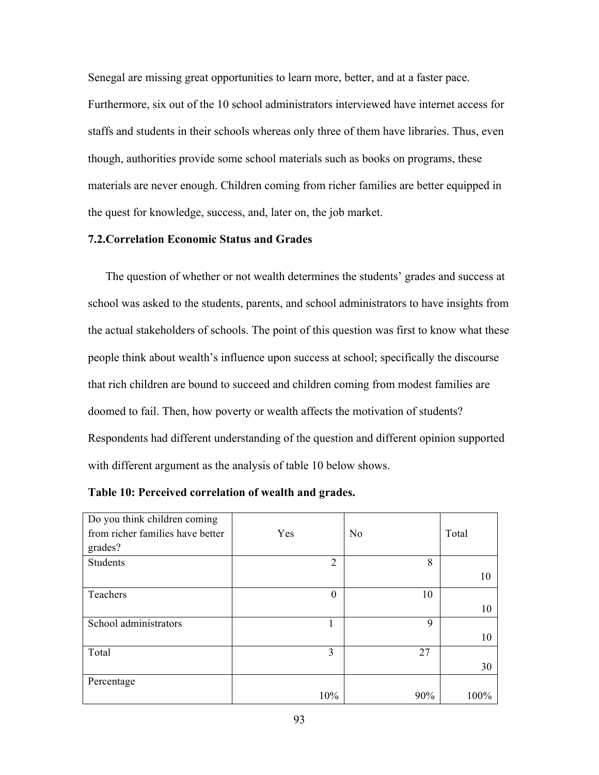Senegal are missing great opportunities to learn more, better, and at a faster pace. Furthermore, six out of the 10 school administrators interviewed have internet access for staffs and students in their schools whereas only three of them have libraries. Thus, even though, authorities provide some school materials such as books on programs, these materials are never enough. Children coming from richer families are better equipped in the quest for knowledge, success, and, later on, the job market.

# **7.2.Correlation Economic Status and Grades**

The question of whether or not wealth determines the students' grades and success at school was asked to the students, parents, and school administrators to have insights from the actual stakeholders of schools. The point of this question was first to know what these people think about wealth's influence upon success at school; specifically the discourse that rich children are bound to succeed and children coming from modest families are doomed to fail. Then, how poverty or wealth affects the motivation of students? Respondents had different understanding of the question and different opinion supported with different argument as the analysis of table 10 below shows.

| Do you think children coming<br>from richer families have better<br>grades? | Yes            | N <sub>o</sub> | Total |
|-----------------------------------------------------------------------------|----------------|----------------|-------|
| <b>Students</b>                                                             | $\overline{2}$ | 8              | 10    |
| Teachers                                                                    | $\theta$       | 10             | 10    |
| School administrators                                                       | 1              | 9              | 10    |
| Total                                                                       | 3              | 27             | 30    |
| Percentage                                                                  | 10%            | 90%            | 100%  |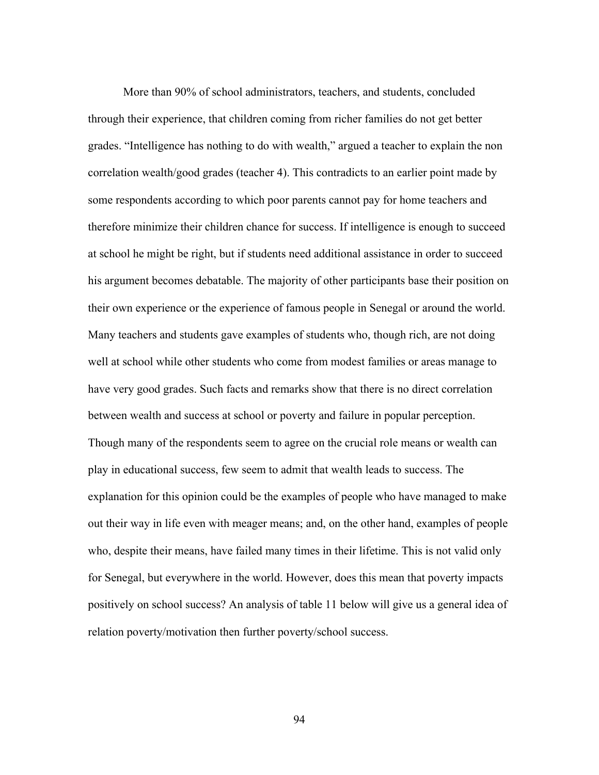More than 90% of school administrators, teachers, and students, concluded through their experience, that children coming from richer families do not get better grades. "Intelligence has nothing to do with wealth," argued a teacher to explain the non correlation wealth/good grades (teacher 4). This contradicts to an earlier point made by some respondents according to which poor parents cannot pay for home teachers and therefore minimize their children chance for success. If intelligence is enough to succeed at school he might be right, but if students need additional assistance in order to succeed his argument becomes debatable. The majority of other participants base their position on their own experience or the experience of famous people in Senegal or around the world. Many teachers and students gave examples of students who, though rich, are not doing well at school while other students who come from modest families or areas manage to have very good grades. Such facts and remarks show that there is no direct correlation between wealth and success at school or poverty and failure in popular perception. Though many of the respondents seem to agree on the crucial role means or wealth can play in educational success, few seem to admit that wealth leads to success. The explanation for this opinion could be the examples of people who have managed to make out their way in life even with meager means; and, on the other hand, examples of people who, despite their means, have failed many times in their lifetime. This is not valid only for Senegal, but everywhere in the world. However, does this mean that poverty impacts positively on school success? An analysis of table 11 below will give us a general idea of relation poverty/motivation then further poverty/school success.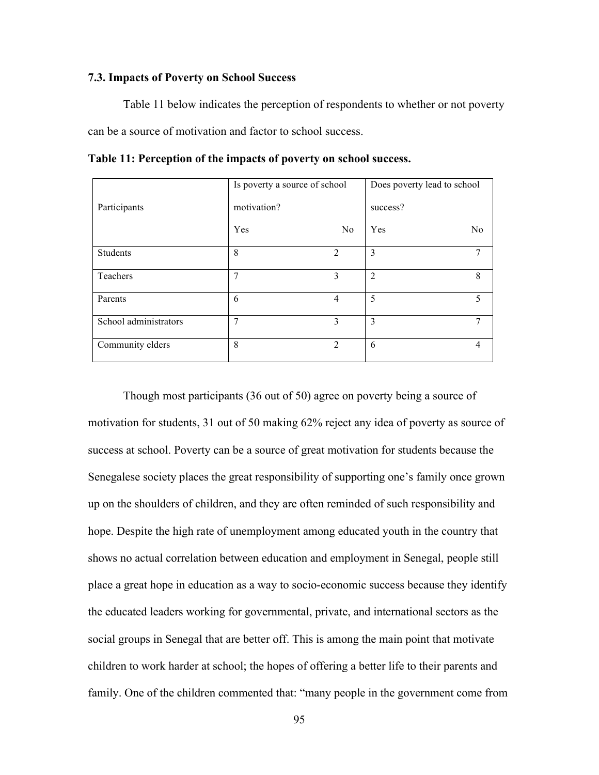## **7.3. Impacts of Poverty on School Success**

Table 11 below indicates the perception of respondents to whether or not poverty can be a source of motivation and factor to school success.

|                       | Is poverty a source of school |                | Does poverty lead to school |                |
|-----------------------|-------------------------------|----------------|-----------------------------|----------------|
| Participants          | motivation?                   |                | success?                    |                |
|                       | Yes                           | N <sub>0</sub> | Yes                         | N <sub>0</sub> |
| Students              | 8                             | $\overline{2}$ | 3                           | 7              |
| Teachers              | 7                             | 3              | $\overline{2}$              | 8              |
| Parents               | 6                             | 4              | 5                           | 5              |
| School administrators | $\overline{7}$                | 3              | 3                           | 7              |
| Community elders      | 8                             | $\overline{2}$ | 6                           | $\overline{4}$ |

**Table 11: Perception of the impacts of poverty on school success.**

Though most participants (36 out of 50) agree on poverty being a source of motivation for students, 31 out of 50 making 62% reject any idea of poverty as source of success at school. Poverty can be a source of great motivation for students because the Senegalese society places the great responsibility of supporting one's family once grown up on the shoulders of children, and they are often reminded of such responsibility and hope. Despite the high rate of unemployment among educated youth in the country that shows no actual correlation between education and employment in Senegal, people still place a great hope in education as a way to socio-economic success because they identify the educated leaders working for governmental, private, and international sectors as the social groups in Senegal that are better off. This is among the main point that motivate children to work harder at school; the hopes of offering a better life to their parents and family. One of the children commented that: "many people in the government come from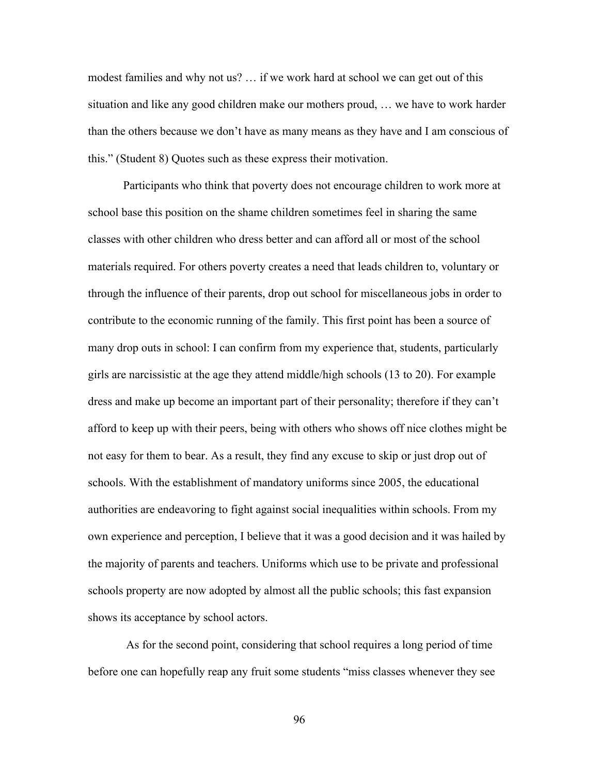modest families and why not us? … if we work hard at school we can get out of this situation and like any good children make our mothers proud, … we have to work harder than the others because we don't have as many means as they have and I am conscious of this." (Student 8) Quotes such as these express their motivation.

Participants who think that poverty does not encourage children to work more at school base this position on the shame children sometimes feel in sharing the same classes with other children who dress better and can afford all or most of the school materials required. For others poverty creates a need that leads children to, voluntary or through the influence of their parents, drop out school for miscellaneous jobs in order to contribute to the economic running of the family. This first point has been a source of many drop outs in school: I can confirm from my experience that, students, particularly girls are narcissistic at the age they attend middle/high schools (13 to 20). For example dress and make up become an important part of their personality; therefore if they can't afford to keep up with their peers, being with others who shows off nice clothes might be not easy for them to bear. As a result, they find any excuse to skip or just drop out of schools. With the establishment of mandatory uniforms since 2005, the educational authorities are endeavoring to fight against social inequalities within schools. From my own experience and perception, I believe that it was a good decision and it was hailed by the majority of parents and teachers. Uniforms which use to be private and professional schools property are now adopted by almost all the public schools; this fast expansion shows its acceptance by school actors.

As for the second point, considering that school requires a long period of time before one can hopefully reap any fruit some students "miss classes whenever they see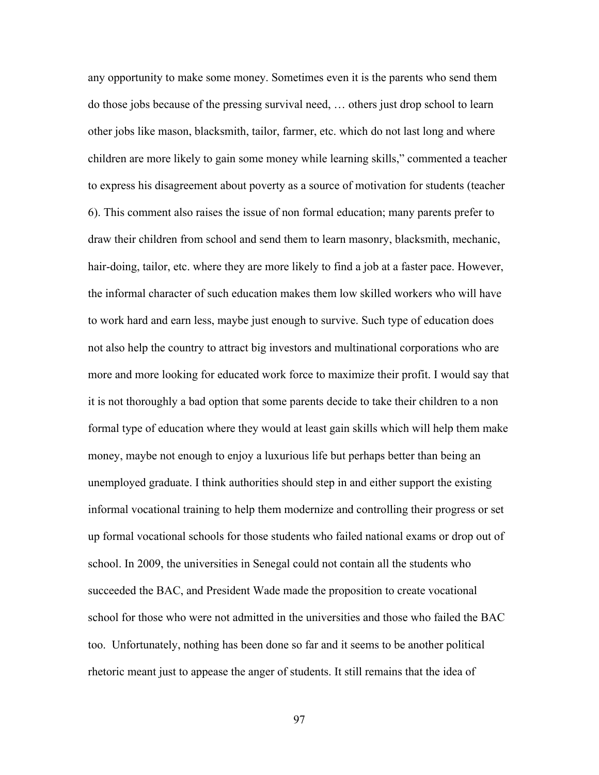any opportunity to make some money. Sometimes even it is the parents who send them do those jobs because of the pressing survival need, … others just drop school to learn other jobs like mason, blacksmith, tailor, farmer, etc. which do not last long and where children are more likely to gain some money while learning skills," commented a teacher to express his disagreement about poverty as a source of motivation for students (teacher 6). This comment also raises the issue of non formal education; many parents prefer to draw their children from school and send them to learn masonry, blacksmith, mechanic, hair-doing, tailor, etc. where they are more likely to find a job at a faster pace. However, the informal character of such education makes them low skilled workers who will have to work hard and earn less, maybe just enough to survive. Such type of education does not also help the country to attract big investors and multinational corporations who are more and more looking for educated work force to maximize their profit. I would say that it is not thoroughly a bad option that some parents decide to take their children to a non formal type of education where they would at least gain skills which will help them make money, maybe not enough to enjoy a luxurious life but perhaps better than being an unemployed graduate. I think authorities should step in and either support the existing informal vocational training to help them modernize and controlling their progress or set up formal vocational schools for those students who failed national exams or drop out of school. In 2009, the universities in Senegal could not contain all the students who succeeded the BAC, and President Wade made the proposition to create vocational school for those who were not admitted in the universities and those who failed the BAC too. Unfortunately, nothing has been done so far and it seems to be another political rhetoric meant just to appease the anger of students. It still remains that the idea of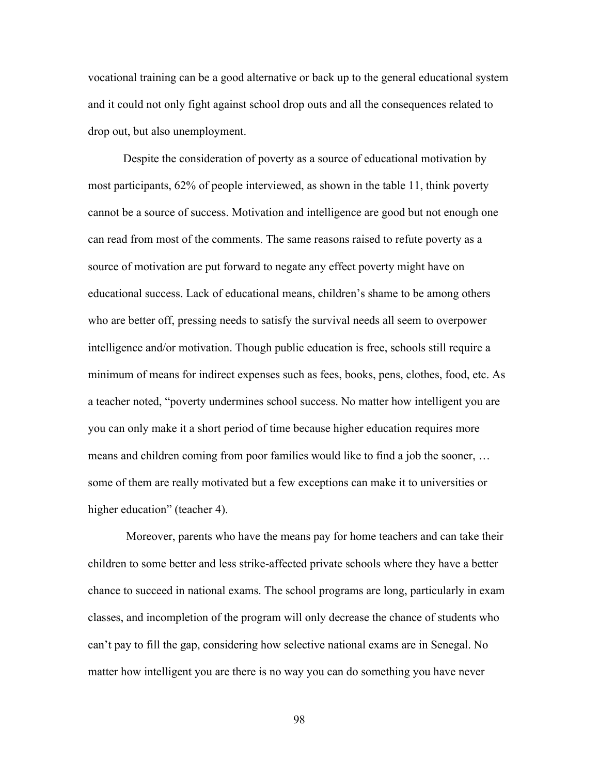vocational training can be a good alternative or back up to the general educational system and it could not only fight against school drop outs and all the consequences related to drop out, but also unemployment.

Despite the consideration of poverty as a source of educational motivation by most participants, 62% of people interviewed, as shown in the table 11, think poverty cannot be a source of success. Motivation and intelligence are good but not enough one can read from most of the comments. The same reasons raised to refute poverty as a source of motivation are put forward to negate any effect poverty might have on educational success. Lack of educational means, children's shame to be among others who are better off, pressing needs to satisfy the survival needs all seem to overpower intelligence and/or motivation. Though public education is free, schools still require a minimum of means for indirect expenses such as fees, books, pens, clothes, food, etc. As a teacher noted, "poverty undermines school success. No matter how intelligent you are you can only make it a short period of time because higher education requires more means and children coming from poor families would like to find a job the sooner, … some of them are really motivated but a few exceptions can make it to universities or higher education" (teacher 4).

Moreover, parents who have the means pay for home teachers and can take their children to some better and less strike-affected private schools where they have a better chance to succeed in national exams. The school programs are long, particularly in exam classes, and incompletion of the program will only decrease the chance of students who can't pay to fill the gap, considering how selective national exams are in Senegal. No matter how intelligent you are there is no way you can do something you have never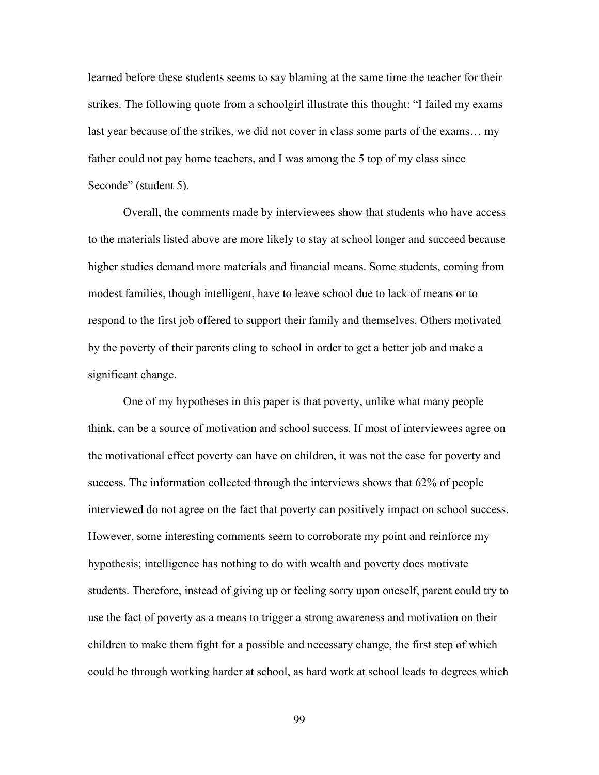learned before these students seems to say blaming at the same time the teacher for their strikes. The following quote from a schoolgirl illustrate this thought: "I failed my exams last year because of the strikes, we did not cover in class some parts of the exams… my father could not pay home teachers, and I was among the 5 top of my class since Seconde" (student 5).

Overall, the comments made by interviewees show that students who have access to the materials listed above are more likely to stay at school longer and succeed because higher studies demand more materials and financial means. Some students, coming from modest families, though intelligent, have to leave school due to lack of means or to respond to the first job offered to support their family and themselves. Others motivated by the poverty of their parents cling to school in order to get a better job and make a significant change.

One of my hypotheses in this paper is that poverty, unlike what many people think, can be a source of motivation and school success. If most of interviewees agree on the motivational effect poverty can have on children, it was not the case for poverty and success. The information collected through the interviews shows that 62% of people interviewed do not agree on the fact that poverty can positively impact on school success. However, some interesting comments seem to corroborate my point and reinforce my hypothesis; intelligence has nothing to do with wealth and poverty does motivate students. Therefore, instead of giving up or feeling sorry upon oneself, parent could try to use the fact of poverty as a means to trigger a strong awareness and motivation on their children to make them fight for a possible and necessary change, the first step of which could be through working harder at school, as hard work at school leads to degrees which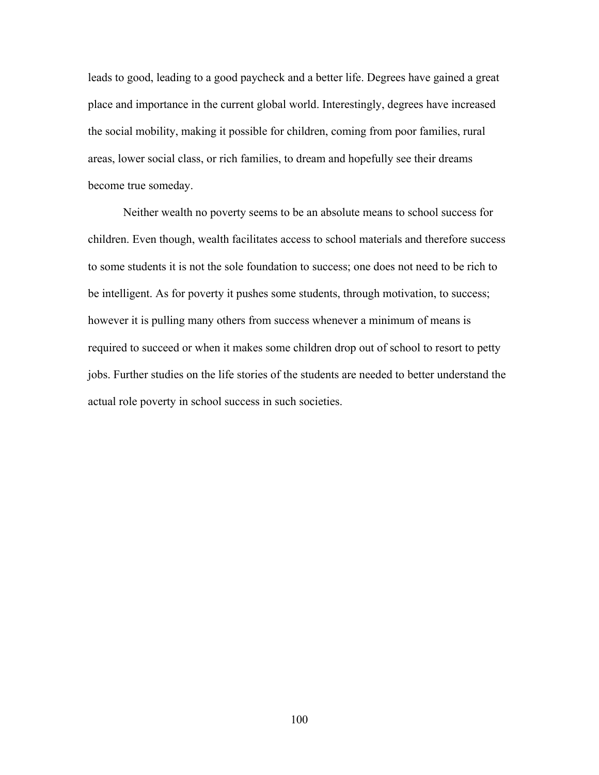leads to good, leading to a good paycheck and a better life. Degrees have gained a great place and importance in the current global world. Interestingly, degrees have increased the social mobility, making it possible for children, coming from poor families, rural areas, lower social class, or rich families, to dream and hopefully see their dreams become true someday.

Neither wealth no poverty seems to be an absolute means to school success for children. Even though, wealth facilitates access to school materials and therefore success to some students it is not the sole foundation to success; one does not need to be rich to be intelligent. As for poverty it pushes some students, through motivation, to success; however it is pulling many others from success whenever a minimum of means is required to succeed or when it makes some children drop out of school to resort to petty jobs. Further studies on the life stories of the students are needed to better understand the actual role poverty in school success in such societies.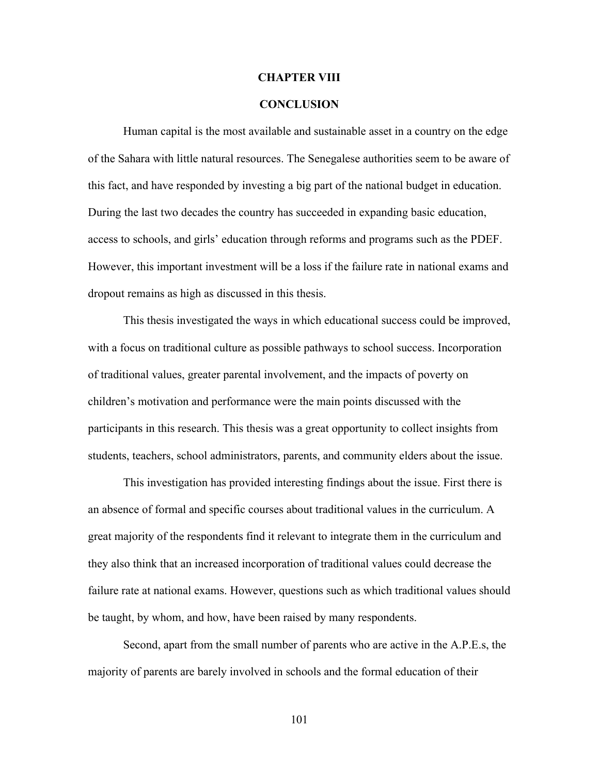### **CHAPTER VIII**

## **CONCLUSION**

Human capital is the most available and sustainable asset in a country on the edge of the Sahara with little natural resources. The Senegalese authorities seem to be aware of this fact, and have responded by investing a big part of the national budget in education. During the last two decades the country has succeeded in expanding basic education, access to schools, and girls' education through reforms and programs such as the PDEF. However, this important investment will be a loss if the failure rate in national exams and dropout remains as high as discussed in this thesis.

This thesis investigated the ways in which educational success could be improved, with a focus on traditional culture as possible pathways to school success. Incorporation of traditional values, greater parental involvement, and the impacts of poverty on children's motivation and performance were the main points discussed with the participants in this research. This thesis was a great opportunity to collect insights from students, teachers, school administrators, parents, and community elders about the issue.

This investigation has provided interesting findings about the issue. First there is an absence of formal and specific courses about traditional values in the curriculum. A great majority of the respondents find it relevant to integrate them in the curriculum and they also think that an increased incorporation of traditional values could decrease the failure rate at national exams. However, questions such as which traditional values should be taught, by whom, and how, have been raised by many respondents.

Second, apart from the small number of parents who are active in the A.P.E.s, the majority of parents are barely involved in schools and the formal education of their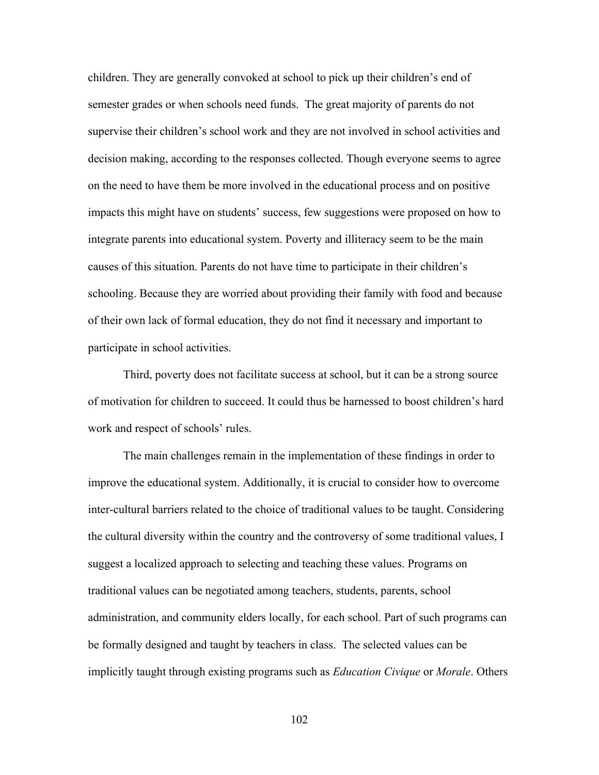children. They are generally convoked at school to pick up their children's end of semester grades or when schools need funds. The great majority of parents do not supervise their children's school work and they are not involved in school activities and decision making, according to the responses collected. Though everyone seems to agree on the need to have them be more involved in the educational process and on positive impacts this might have on students' success, few suggestions were proposed on how to integrate parents into educational system. Poverty and illiteracy seem to be the main causes of this situation. Parents do not have time to participate in their children's schooling. Because they are worried about providing their family with food and because of their own lack of formal education, they do not find it necessary and important to participate in school activities.

Third, poverty does not facilitate success at school, but it can be a strong source of motivation for children to succeed. It could thus be harnessed to boost children's hard work and respect of schools' rules.

The main challenges remain in the implementation of these findings in order to improve the educational system. Additionally, it is crucial to consider how to overcome inter-cultural barriers related to the choice of traditional values to be taught. Considering the cultural diversity within the country and the controversy of some traditional values, I suggest a localized approach to selecting and teaching these values. Programs on traditional values can be negotiated among teachers, students, parents, school administration, and community elders locally, for each school. Part of such programs can be formally designed and taught by teachers in class. The selected values can be implicitly taught through existing programs such as *Education Civique* or *Morale*. Others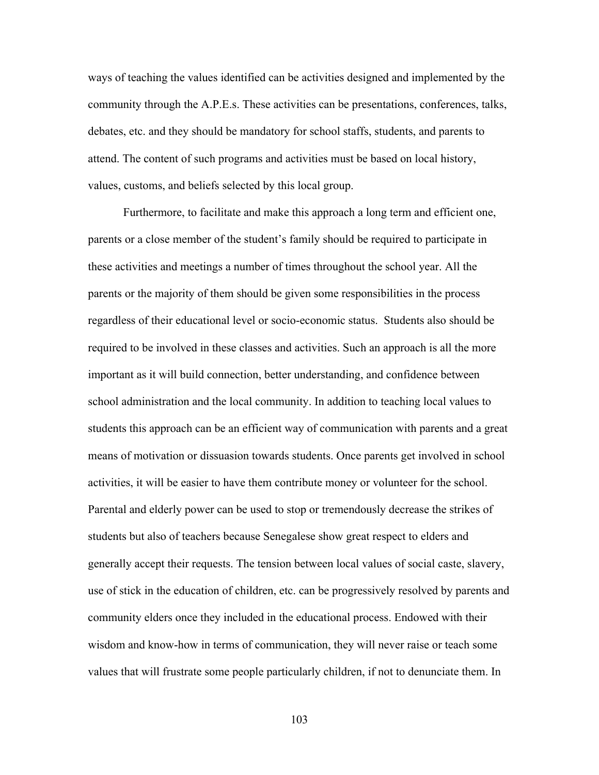ways of teaching the values identified can be activities designed and implemented by the community through the A.P.E.s. These activities can be presentations, conferences, talks, debates, etc. and they should be mandatory for school staffs, students, and parents to attend. The content of such programs and activities must be based on local history, values, customs, and beliefs selected by this local group.

Furthermore, to facilitate and make this approach a long term and efficient one, parents or a close member of the student's family should be required to participate in these activities and meetings a number of times throughout the school year. All the parents or the majority of them should be given some responsibilities in the process regardless of their educational level or socio-economic status. Students also should be required to be involved in these classes and activities. Such an approach is all the more important as it will build connection, better understanding, and confidence between school administration and the local community. In addition to teaching local values to students this approach can be an efficient way of communication with parents and a great means of motivation or dissuasion towards students. Once parents get involved in school activities, it will be easier to have them contribute money or volunteer for the school. Parental and elderly power can be used to stop or tremendously decrease the strikes of students but also of teachers because Senegalese show great respect to elders and generally accept their requests. The tension between local values of social caste, slavery, use of stick in the education of children, etc. can be progressively resolved by parents and community elders once they included in the educational process. Endowed with their wisdom and know-how in terms of communication, they will never raise or teach some values that will frustrate some people particularly children, if not to denunciate them. In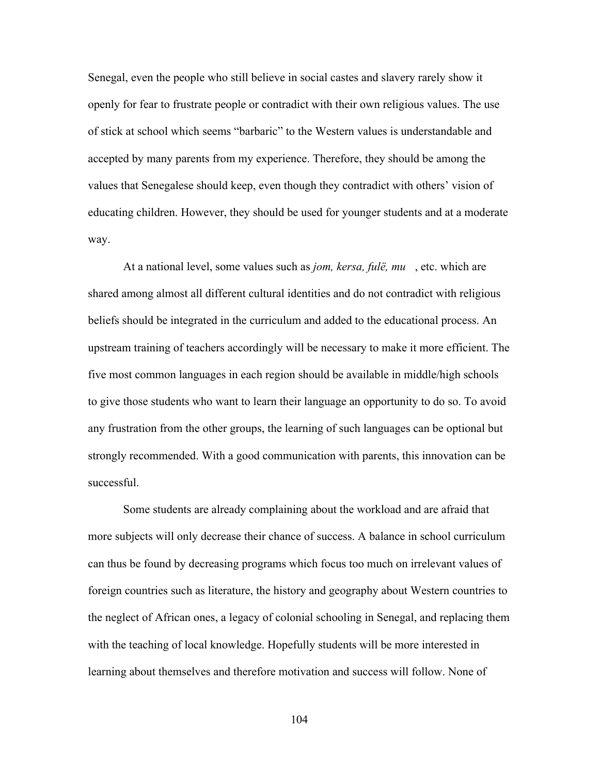Senegal, even the people who still believe in social castes and slavery rarely show it openly for fear to frustrate people or contradict with their own religious values. The use of stick at school which seems "barbaric" to the Western values is understandable and accepted by many parents from my experience. Therefore, they should be among the values that Senegalese should keep, even though they contradict with others' vision of educating children. However, they should be used for younger students and at a moderate way.

At a national level, some values such as *jom, kersa, fulё, mu*, etc. which are shared among almost all different cultural identities and do not contradict with religious beliefs should be integrated in the curriculum and added to the educational process. An upstream training of teachers accordingly will be necessary to make it more efficient. The five most common languages in each region should be available in middle/high schools to give those students who want to learn their language an opportunity to do so. To avoid any frustration from the other groups, the learning of such languages can be optional but strongly recommended. With a good communication with parents, this innovation can be successful.

Some students are already complaining about the workload and are afraid that more subjects will only decrease their chance of success. A balance in school curriculum can thus be found by decreasing programs which focus too much on irrelevant values of foreign countries such as literature, the history and geography about Western countries to the neglect of African ones, a legacy of colonial schooling in Senegal, and replacing them with the teaching of local knowledge. Hopefully students will be more interested in learning about themselves and therefore motivation and success will follow. None of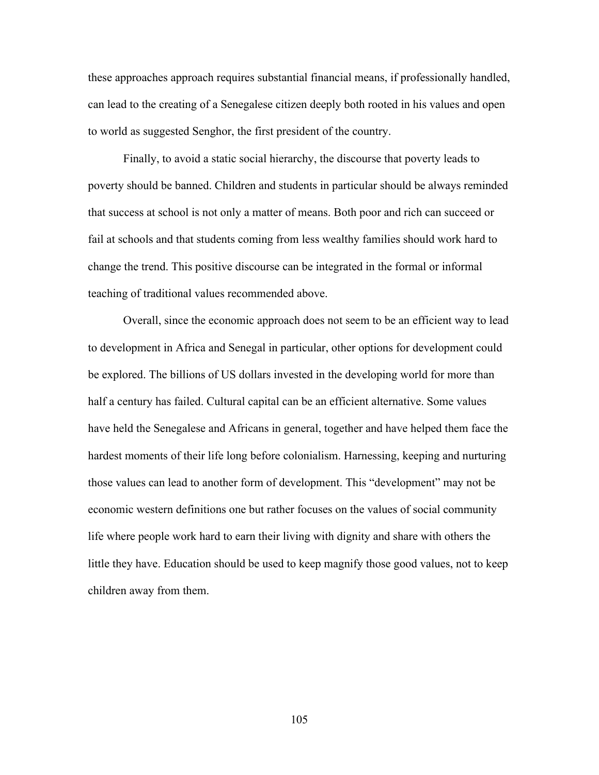these approaches approach requires substantial financial means, if professionally handled, can lead to the creating of a Senegalese citizen deeply both rooted in his values and open to world as suggested Senghor, the first president of the country.

Finally, to avoid a static social hierarchy, the discourse that poverty leads to poverty should be banned. Children and students in particular should be always reminded that success at school is not only a matter of means. Both poor and rich can succeed or fail at schools and that students coming from less wealthy families should work hard to change the trend. This positive discourse can be integrated in the formal or informal teaching of traditional values recommended above.

Overall, since the economic approach does not seem to be an efficient way to lead to development in Africa and Senegal in particular, other options for development could be explored. The billions of US dollars invested in the developing world for more than half a century has failed. Cultural capital can be an efficient alternative. Some values have held the Senegalese and Africans in general, together and have helped them face the hardest moments of their life long before colonialism. Harnessing, keeping and nurturing those values can lead to another form of development. This "development" may not be economic western definitions one but rather focuses on the values of social community life where people work hard to earn their living with dignity and share with others the little they have. Education should be used to keep magnify those good values, not to keep children away from them.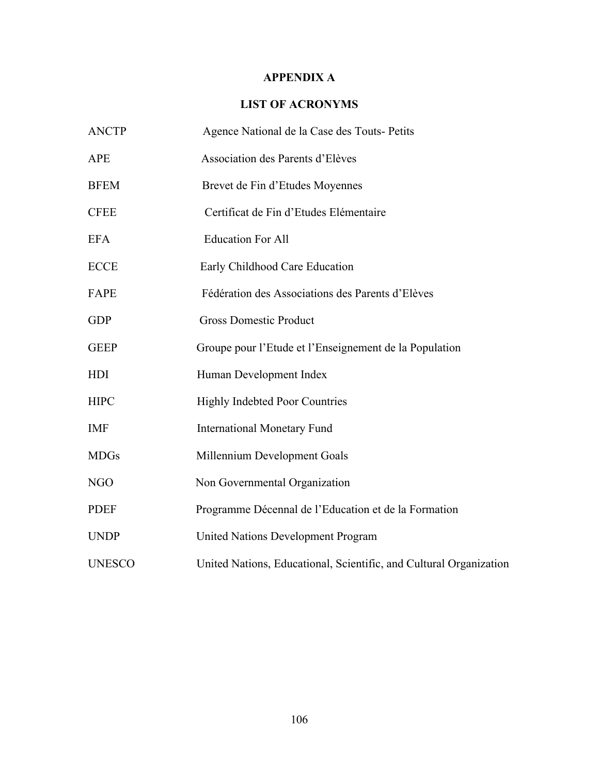## **APPENDIX A**

# **LIST OF ACRONYMS**

| <b>ANCTP</b>  | Agence National de la Case des Touts- Petits                       |
|---------------|--------------------------------------------------------------------|
| <b>APE</b>    | Association des Parents d'Elèves                                   |
| <b>BFEM</b>   | Brevet de Fin d'Etudes Moyennes                                    |
| <b>CFEE</b>   | Certificat de Fin d'Etudes Elémentaire                             |
| <b>EFA</b>    | <b>Education For All</b>                                           |
| <b>ECCE</b>   | Early Childhood Care Education                                     |
| FAPE          | Fédération des Associations des Parents d'Elèves                   |
| <b>GDP</b>    | <b>Gross Domestic Product</b>                                      |
| <b>GEEP</b>   | Groupe pour l'Etude et l'Enseignement de la Population             |
| <b>HDI</b>    | Human Development Index                                            |
| <b>HIPC</b>   | <b>Highly Indebted Poor Countries</b>                              |
| <b>IMF</b>    | <b>International Monetary Fund</b>                                 |
| <b>MDGs</b>   | Millennium Development Goals                                       |
| <b>NGO</b>    | Non Governmental Organization                                      |
| <b>PDEF</b>   | Programme Décennal de l'Education et de la Formation               |
| <b>UNDP</b>   | <b>United Nations Development Program</b>                          |
| <b>UNESCO</b> | United Nations, Educational, Scientific, and Cultural Organization |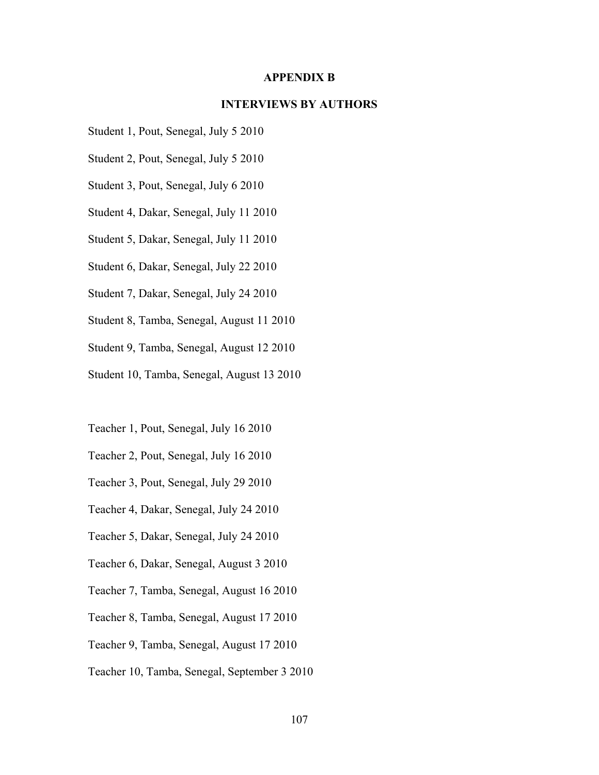### **APPENDIX B**

## **INTERVIEWS BY AUTHORS**

- Student 1, Pout, Senegal, July 5 2010
- Student 2, Pout, Senegal, July 5 2010
- Student 3, Pout, Senegal, July 6 2010
- Student 4, Dakar, Senegal, July 11 2010
- Student 5, Dakar, Senegal, July 11 2010
- Student 6, Dakar, Senegal, July 22 2010
- Student 7, Dakar, Senegal, July 24 2010
- Student 8, Tamba, Senegal, August 11 2010
- Student 9, Tamba, Senegal, August 12 2010
- Student 10, Tamba, Senegal, August 13 2010
- Teacher 1, Pout, Senegal, July 16 2010
- Teacher 2, Pout, Senegal, July 16 2010
- Teacher 3, Pout, Senegal, July 29 2010
- Teacher 4, Dakar, Senegal, July 24 2010
- Teacher 5, Dakar, Senegal, July 24 2010
- Teacher 6, Dakar, Senegal, August 3 2010
- Teacher 7, Tamba, Senegal, August 16 2010
- Teacher 8, Tamba, Senegal, August 17 2010
- Teacher 9, Tamba, Senegal, August 17 2010
- Teacher 10, Tamba, Senegal, September 3 2010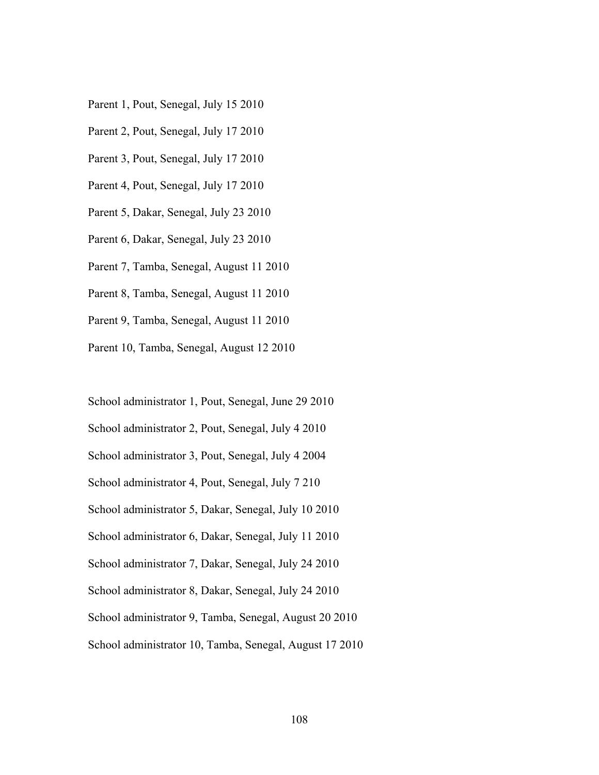- Parent 1, Pout, Senegal, July 15 2010
- Parent 2, Pout, Senegal, July 17 2010
- Parent 3, Pout, Senegal, July 17 2010
- Parent 4, Pout, Senegal, July 17 2010
- Parent 5, Dakar, Senegal, July 23 2010
- Parent 6, Dakar, Senegal, July 23 2010
- Parent 7, Tamba, Senegal, August 11 2010
- Parent 8, Tamba, Senegal, August 11 2010
- Parent 9, Tamba, Senegal, August 11 2010
- Parent 10, Tamba, Senegal, August 12 2010
- School administrator 1, Pout, Senegal, June 29 2010
- School administrator 2, Pout, Senegal, July 4 2010
- School administrator 3, Pout, Senegal, July 4 2004
- School administrator 4, Pout, Senegal, July 7 210
- School administrator 5, Dakar, Senegal, July 10 2010
- School administrator 6, Dakar, Senegal, July 11 2010
- School administrator 7, Dakar, Senegal, July 24 2010
- School administrator 8, Dakar, Senegal, July 24 2010
- School administrator 9, Tamba, Senegal, August 20 2010
- School administrator 10, Tamba, Senegal, August 17 2010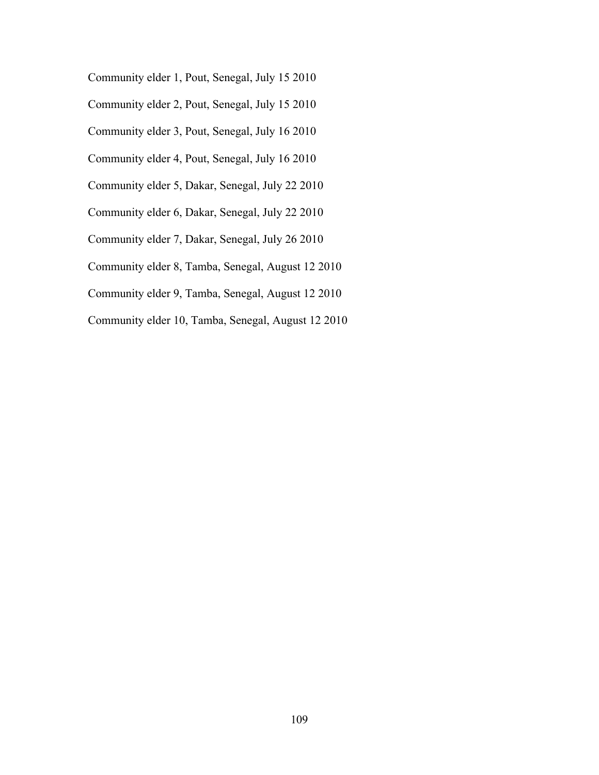Community elder 1, Pout, Senegal, July 15 2010

Community elder 2, Pout, Senegal, July 15 2010

Community elder 3, Pout, Senegal, July 16 2010

- Community elder 4, Pout, Senegal, July 16 2010
- Community elder 5, Dakar, Senegal, July 22 2010

Community elder 6, Dakar, Senegal, July 22 2010

Community elder 7, Dakar, Senegal, July 26 2010

Community elder 8, Tamba, Senegal, August 12 2010

Community elder 9, Tamba, Senegal, August 12 2010

Community elder 10, Tamba, Senegal, August 12 2010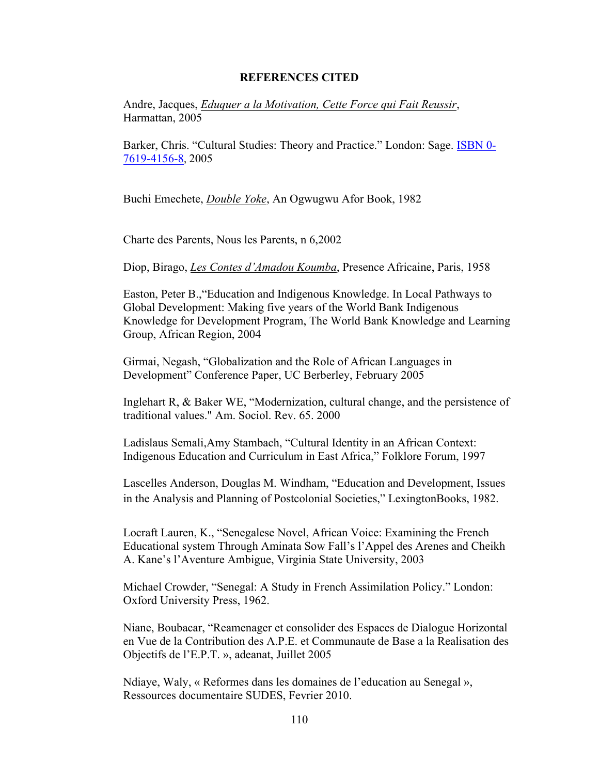### **REFERENCES CITED**

Andre, Jacques, *Eduquer a la Motivation, Cette Force qui Fait Reussir*, Harmattan, 2005

Barker, Chris. "Cultural Studies: Theory and Practice." London: Sage. ISBN 0- 7619-4156-8, 2005

Buchi Emechete, *Double Yoke*, An Ogwugwu Afor Book, 1982

Charte des Parents, Nous les Parents, n 6,2002

Diop, Birago, *Les Contes d'Amadou Koumba*, Presence Africaine, Paris, 1958

Easton, Peter B.,"Education and Indigenous Knowledge. In Local Pathways to Global Development: Making five years of the World Bank Indigenous Knowledge for Development Program, The World Bank Knowledge and Learning Group, African Region, 2004

Girmai, Negash, "Globalization and the Role of African Languages in Development" Conference Paper, UC Berberley, February 2005

Inglehart R, & Baker WE, "Modernization, cultural change, and the persistence of traditional values." Am. Sociol. Rev. 65. 2000

Ladislaus Semali,Amy Stambach, "Cultural Identity in an African Context: Indigenous Education and Curriculum in East Africa," Folklore Forum, 1997

Lascelles Anderson, Douglas M. Windham, "Education and Development, Issues in the Analysis and Planning of Postcolonial Societies," LexingtonBooks, 1982.

Locraft Lauren, K., "Senegalese Novel, African Voice: Examining the French Educational system Through Aminata Sow Fall's l'Appel des Arenes and Cheikh A. Kane's l'Aventure Ambigue, Virginia State University, 2003

Michael Crowder, "Senegal: A Study in French Assimilation Policy." London: Oxford University Press, 1962.

Niane, Boubacar, "Reamenager et consolider des Espaces de Dialogue Horizontal en Vue de la Contribution des A.P.E. et Communaute de Base a la Realisation des Objectifs de l'E.P.T. », adeanat, Juillet 2005

Ndiaye, Waly, « Reformes dans les domaines de l'education au Senegal », Ressources documentaire SUDES, Fevrier 2010.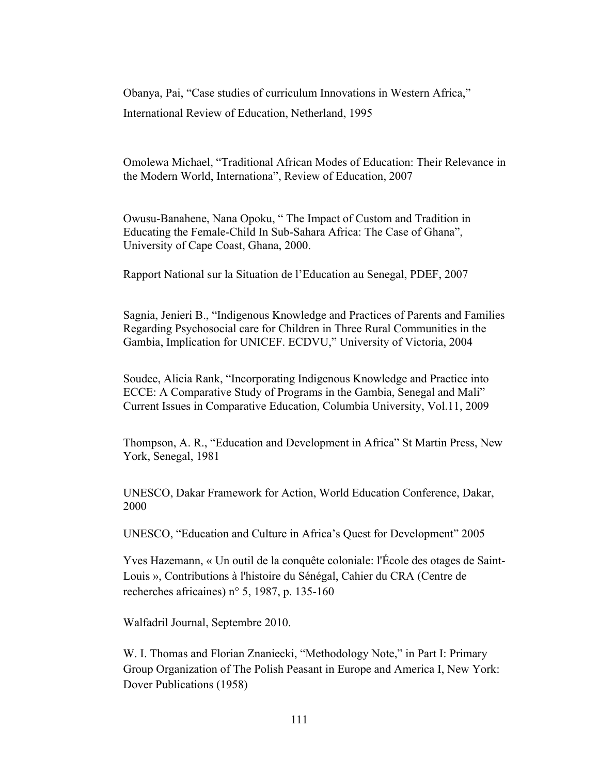Obanya, Pai, "Case studies of curriculum Innovations in Western Africa," International Review of Education, Netherland, 1995

Omolewa Michael, "Traditional African Modes of Education: Their Relevance in the Modern World, Internationa", Review of Education, 2007

Owusu-Banahene, Nana Opoku, " The Impact of Custom and Tradition in Educating the Female-Child In Sub-Sahara Africa: The Case of Ghana", University of Cape Coast, Ghana, 2000.

Rapport National sur la Situation de l'Education au Senegal, PDEF, 2007

Sagnia, Jenieri B., "Indigenous Knowledge and Practices of Parents and Families Regarding Psychosocial care for Children in Three Rural Communities in the Gambia, Implication for UNICEF. ECDVU," University of Victoria, 2004

Soudee, Alicia Rank, "Incorporating Indigenous Knowledge and Practice into ECCE: A Comparative Study of Programs in the Gambia, Senegal and Mali" Current Issues in Comparative Education, Columbia University, Vol.11, 2009

Thompson, A. R., "Education and Development in Africa" St Martin Press, New York, Senegal, 1981

UNESCO, Dakar Framework for Action, World Education Conference, Dakar, 2000

UNESCO, "Education and Culture in Africa's Quest for Development" 2005

Yves Hazemann, « Un outil de la conquête coloniale: l'École des otages de Saint-Louis », Contributions à l'histoire du Sénégal, Cahier du CRA (Centre de recherches africaines) n° 5, 1987, p. 135-160

Walfadril Journal, Septembre 2010.

W. I. Thomas and Florian Znaniecki, "Methodology Note," in Part I: Primary Group Organization of The Polish Peasant in Europe and America I, New York: Dover Publications (1958)